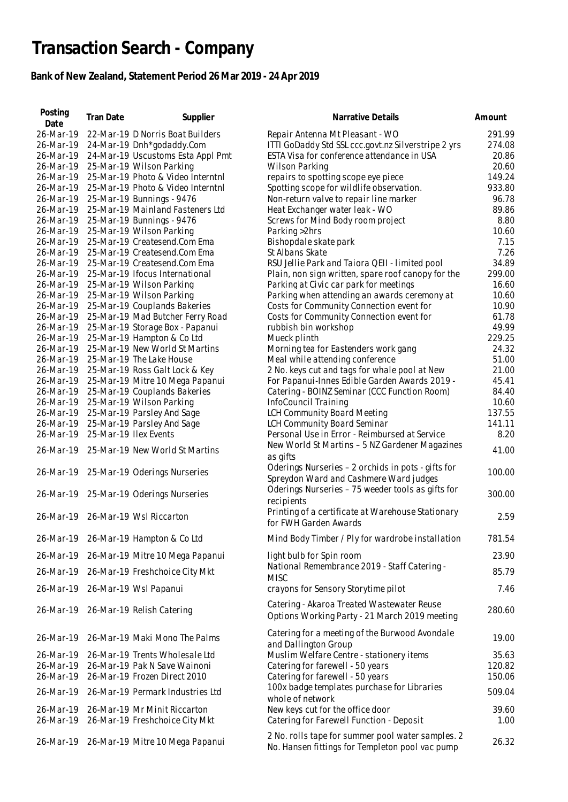## **Transaction Search - Company**

## **Bank of New Zealand, Statement Period 26 Mar 2019 - 24 Apr 2019**

| Posting<br>Date                                                                                      | Tran Date             | Supplier                                                                                                                                                                                                                                                      | Narrative Details                                                                                                                                                                                                                                                                                                                             | Amount                                                                      |
|------------------------------------------------------------------------------------------------------|-----------------------|---------------------------------------------------------------------------------------------------------------------------------------------------------------------------------------------------------------------------------------------------------------|-----------------------------------------------------------------------------------------------------------------------------------------------------------------------------------------------------------------------------------------------------------------------------------------------------------------------------------------------|-----------------------------------------------------------------------------|
| 26-Mar-19<br>26-Mar-19<br>26-Mar-19<br>26-Mar-19<br>26-Mar-19<br>26-Mar-19<br>26-Mar-19              |                       | 22-Mar-19 D Norris Boat Builders<br>24-Mar-19 Dnh*godaddy.Com<br>24-Mar-19 Uscustoms Esta Appl Pmt<br>25-Mar-19 Wilson Parking<br>25-Mar-19 Photo & Video Interntnl<br>25-Mar-19 Photo & Video Interntnl<br>25-Mar-19 Bunnings - 9476                         | Repair Antenna Mt Pleasant - WO<br>ITTI GoDaddy Std SSL ccc.govt.nz Silverstripe 2 yrs<br>ESTA Visa for conference attendance in USA<br><b>Wilson Parking</b><br>repairs to spotting scope eye piece<br>Spotting scope for wildlife observation.<br>Non-return valve to repair line marker                                                    | 291.99<br>274.08<br>20.86<br>20.60<br>149.24<br>933.80<br>96.78             |
| 26-Mar-19<br>26-Mar-19<br>26-Mar-19<br>26-Mar-19<br>26-Mar-19<br>26-Mar-19<br>26-Mar-19<br>26-Mar-19 |                       | 25-Mar-19 Mainland Fasteners Ltd<br>25-Mar-19 Bunnings - 9476<br>25-Mar-19 Wilson Parking<br>25-Mar-19 Createsend.Com Ema<br>25-Mar-19 Createsend.Com Ema<br>25-Mar-19 Createsend.Com Ema<br>25-Mar-19 Ifocus International<br>25-Mar-19 Wilson Parking       | Heat Exchanger water leak - WO<br>Screws for Mind Body room project<br>Parking > 2hrs<br>Bishopdale skate park<br>St Albans Skate<br>RSU Jellie Park and Taiora QEII - limited pool<br>Plain, non sign written, spare roof canopy for the<br>Parking at Civic car park for meetings                                                           | 89.86<br>8.80<br>10.60<br>7.15<br>7.26<br>34.89<br>299.00<br>16.60<br>10.60 |
| 26-Mar-19<br>26-Mar-19<br>26-Mar-19<br>26-Mar-19<br>26-Mar-19<br>26-Mar-19<br>26-Mar-19<br>26-Mar-19 |                       | 25-Mar-19 Wilson Parking<br>25-Mar-19 Couplands Bakeries<br>25-Mar-19 Mad Butcher Ferry Road<br>25-Mar-19 Storage Box - Papanui<br>25-Mar-19 Hampton & Co Ltd<br>25-Mar-19 New World St Martins<br>25-Mar-19 The Lake House<br>25-Mar-19 Ross Galt Lock & Key | Parking when attending an awards ceremony at<br>Costs for Community Connection event for<br>Costs for Community Connection event for<br>rubbish bin workshop<br>Mueck plinth<br>Morning tea for Eastenders work gang<br>Meal while attending conference<br>2 No. keys cut and tags for whale pool at New                                      | 10.90<br>61.78<br>49.99<br>229.25<br>24.32<br>51.00<br>21.00                |
| 26-Mar-19<br>26-Mar-19<br>26-Mar-19<br>26-Mar-19<br>26-Mar-19<br>26-Mar-19                           | 25-Mar-19 Ilex Events | 25-Mar-19 Mitre 10 Mega Papanui<br>25-Mar-19 Couplands Bakeries<br>25-Mar-19 Wilson Parking<br>25-Mar-19 Parsley And Sage<br>25-Mar-19 Parsley And Sage                                                                                                       | For Papanui-Innes Edible Garden Awards 2019 -<br>Catering - BOINZ Seminar (CCC Function Room)<br>InfoCouncil Training<br>LCH Community Board Meeting<br>LCH Community Board Seminar<br>Personal Use in Error - Reimbursed at Service<br>New World St Martins - 5 NZ Gardener Magazines                                                        | 45.41<br>84.40<br>10.60<br>137.55<br>141.11<br>8.20                         |
|                                                                                                      |                       | 26-Mar-19 25-Mar-19 New World St Martins<br>26-Mar-19 25-Mar-19 Oderings Nurseries<br>26-Mar-19 25-Mar-19 Oderings Nurseries<br>26-Mar-19 26-Mar-19 Wsl Riccarton                                                                                             | as gifts<br>Oderings Nurseries - 2 orchids in pots - gifts for<br>Spreydon Ward and Cashmere Ward judges<br>Oderings Nurseries - 75 weeder tools as gifts for<br>recipients<br>Printing of a certificate at Warehouse Stationary                                                                                                              | 41.00<br>100.00<br>300.00<br>2.59                                           |
|                                                                                                      |                       | 26-Mar-19 26-Mar-19 Hampton & Co Ltd                                                                                                                                                                                                                          | for FWH Garden Awards<br>Mind Body Timber / Ply for wardrobe installation                                                                                                                                                                                                                                                                     | 781.54                                                                      |
| 26-Mar-19<br>26-Mar-19                                                                               |                       | 26-Mar-19 Mitre 10 Mega Papanui<br>26-Mar-19 Freshchoice City Mkt<br>26-Mar-19 26-Mar-19 Wsl Papanui                                                                                                                                                          | light bulb for Spin room<br>National Remembrance 2019 - Staff Catering -<br><b>MISC</b><br>crayons for Sensory Storytime pilot                                                                                                                                                                                                                | 23.90<br>85.79<br>7.46                                                      |
|                                                                                                      |                       | 26-Mar-19 26-Mar-19 Relish Catering                                                                                                                                                                                                                           | Catering - Akaroa Treated Wastewater Reuse<br>Options Working Party - 21 March 2019 meeting                                                                                                                                                                                                                                                   | 280.60                                                                      |
| 26-Mar-19<br>26-Mar-19<br>26-Mar-19<br>26-Mar-19<br>26-Mar-19<br>26-Mar-19<br>26-Mar-19              |                       | 26-Mar-19 Maki Mono The Palms<br>26-Mar-19 Trents Wholesale Ltd<br>26-Mar-19 Pak N Save Wainoni<br>26-Mar-19 Frozen Direct 2010<br>26-Mar-19 Permark Industries Ltd<br>26-Mar-19 Mr Minit Riccarton<br>26-Mar-19 Freshchoice City Mkt                         | Catering for a meeting of the Burwood Avondale<br>and Dallington Group<br>Muslim Welfare Centre - stationery items<br>Catering for farewell - 50 years<br>Catering for farewell - 50 years<br>100x badge templates purchase for Libraries<br>whole of network<br>New keys cut for the office door<br>Catering for Farewell Function - Deposit | 19.00<br>35.63<br>120.82<br>150.06<br>509.04<br>39.60<br>1.00               |
|                                                                                                      |                       | 26-Mar-19 26-Mar-19 Mitre 10 Mega Papanui                                                                                                                                                                                                                     | 2 No. rolls tape for summer pool water samples. 2<br>No. Hansen fittings for Templeton pool vac pump                                                                                                                                                                                                                                          | 26.32                                                                       |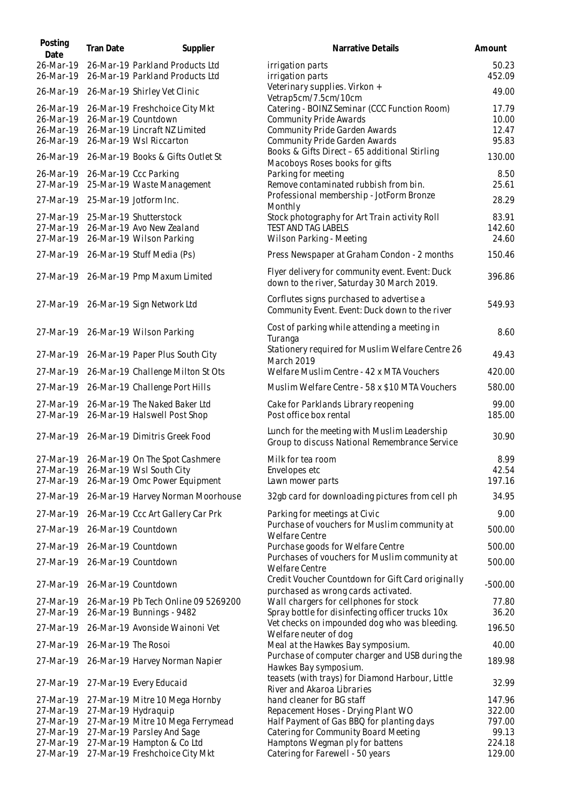| Posting<br>Date                                  | Tran Date           | Supplier                                                                                                                 | Narrative Details                                                                                                                                             | Amount                              |
|--------------------------------------------------|---------------------|--------------------------------------------------------------------------------------------------------------------------|---------------------------------------------------------------------------------------------------------------------------------------------------------------|-------------------------------------|
| 26-Mar-19<br>26-Mar-19                           |                     | 26-Mar-19 Parkland Products Ltd<br>26-Mar-19 Parkland Products Ltd                                                       | irrigation parts<br>irrigation parts                                                                                                                          | 50.23<br>452.09                     |
|                                                  |                     | 26-Mar-19 26-Mar-19 Shirley Vet Clinic                                                                                   | Veterinary supplies. Virkon +<br>Vetrap5cm/7.5cm/10cm                                                                                                         | 49.00                               |
| 26-Mar-19<br>26-Mar-19<br>26-Mar-19<br>26-Mar-19 |                     | 26-Mar-19 Freshchoice City Mkt<br>26-Mar-19 Countdown<br>26-Mar-19 Lincraft NZ Limited<br>26-Mar-19 Wsl Riccarton        | Catering - BOINZ Seminar (CCC Function Room)<br><b>Community Pride Awards</b><br><b>Community Pride Garden Awards</b><br><b>Community Pride Garden Awards</b> | 17.79<br>10.00<br>12.47<br>95.83    |
|                                                  |                     | 26-Mar-19 26-Mar-19 Books & Gifts Outlet St                                                                              | Books & Gifts Direct - 65 additional Stirling<br>Macoboys Roses books for gifts                                                                               | 130.00                              |
| 27-Mar-19                                        |                     | 26-Mar-19 26-Mar-19 Ccc Parking<br>25-Mar-19 Waste Management                                                            | Parking for meeting<br>Remove contaminated rubbish from bin.                                                                                                  | 8.50<br>25.61                       |
|                                                  |                     | 27-Mar-19 25-Mar-19 Jotform Inc.                                                                                         | Professional membership - JotForm Bronze<br>Monthly                                                                                                           | 28.29                               |
| 27-Mar-19<br>27-Mar-19                           |                     | 27-Mar-19 25-Mar-19 Shutterstock<br>26-Mar-19 Avo New Zealand<br>26-Mar-19 Wilson Parking                                | Stock photography for Art Train activity Roll<br>TEST AND TAG LABELS<br>Wilson Parking - Meeting                                                              | 83.91<br>142.60<br>24.60            |
|                                                  |                     | 27-Mar-19 26-Mar-19 Stuff Media (Ps)                                                                                     | Press Newspaper at Graham Condon - 2 months                                                                                                                   | 150.46                              |
|                                                  |                     | 27-Mar-19 26-Mar-19 Pmp Maxum Limited                                                                                    | Flyer delivery for community event. Event: Duck<br>down to the river, Saturday 30 March 2019.                                                                 | 396.86                              |
|                                                  |                     | 27-Mar-19 26-Mar-19 Sign Network Ltd                                                                                     | Corflutes signs purchased to advertise a<br>Community Event. Event: Duck down to the river                                                                    | 549.93                              |
|                                                  |                     | 27-Mar-19 26-Mar-19 Wilson Parking                                                                                       | Cost of parking while attending a meeting in<br>Turanga                                                                                                       | 8.60                                |
| 27-Mar-19                                        |                     | 26-Mar-19 Paper Plus South City                                                                                          | Stationery required for Muslim Welfare Centre 26<br><b>March 2019</b>                                                                                         | 49.43                               |
|                                                  |                     | 27-Mar-19 26-Mar-19 Challenge Milton St Ots                                                                              | Welfare Muslim Centre - 42 x MTA Vouchers                                                                                                                     | 420.00                              |
| 27-Mar-19                                        |                     | 26-Mar-19 Challenge Port Hills                                                                                           | Muslim Welfare Centre - 58 x \$10 MTA Vouchers                                                                                                                | 580.00                              |
| 27-Mar-19                                        |                     | 26-Mar-19 The Naked Baker Ltd<br>27-Mar-19 26-Mar-19 Halswell Post Shop                                                  | Cake for Parklands Library reopening<br>Post office box rental                                                                                                | 99.00<br>185.00                     |
|                                                  |                     | 27-Mar-19 26-Mar-19 Dimitris Greek Food                                                                                  | Lunch for the meeting with Muslim Leadership<br>Group to discuss National Remembrance Service                                                                 | 30.90                               |
| 27-Mar-19                                        |                     | 27-Mar-19 26-Mar-19 On The Spot Cashmere<br>27-Mar-19 26-Mar-19 Wsl South City<br>26-Mar-19 Omc Power Equipment          | Milk for tea room<br>Envelopes etc<br>Lawn mower parts                                                                                                        | 8.99<br>42.54<br>197.16             |
| 27-Mar-19                                        |                     | 26-Mar-19 Harvey Norman Moorhouse                                                                                        | 32gb card for downloading pictures from cell ph                                                                                                               | 34.95                               |
| 27-Mar-19                                        |                     | 26-Mar-19 Ccc Art Gallery Car Prk                                                                                        | Parking for meetings at Civic                                                                                                                                 | 9.00                                |
| 27-Mar-19                                        |                     | 26-Mar-19 Countdown                                                                                                      | Purchase of vouchers for Muslim community at<br>Welfare Centre                                                                                                | 500.00                              |
| 27-Mar-19                                        |                     | 26-Mar-19 Countdown                                                                                                      | Purchase goods for Welfare Centre                                                                                                                             | 500.00                              |
|                                                  |                     | 27-Mar-19 26-Mar-19 Countdown                                                                                            | Purchases of vouchers for Muslim community at<br><b>Welfare Centre</b>                                                                                        | 500.00                              |
| 27-Mar-19                                        |                     | 26-Mar-19 Countdown                                                                                                      | Credit Voucher Countdown for Gift Card originally<br>purchased as wrong cards activated.                                                                      | $-500.00$                           |
| 27-Mar-19<br>27-Mar-19                           |                     | 26-Mar-19 Pb Tech Online 09 5269200<br>26-Mar-19 Bunnings - 9482                                                         | Wall chargers for cellphones for stock<br>Spray bottle for disinfecting officer trucks 10x                                                                    | 77.80<br>36.20                      |
| 27-Mar-19                                        |                     | 26-Mar-19 Avonside Wainoni Vet                                                                                           | Vet checks on impounded dog who was bleeding.                                                                                                                 | 196.50                              |
| 27-Mar-19                                        | 26-Mar-19 The Rosoi |                                                                                                                          | Welfare neuter of dog<br>Meal at the Hawkes Bay symposium.                                                                                                    | 40.00                               |
| 27-Mar-19                                        |                     | 26-Mar-19 Harvey Norman Napier                                                                                           | Purchase of computer charger and USB during the<br>Hawkes Bay symposium.                                                                                      | 189.98                              |
| 27-Mar-19                                        |                     | 27-Mar-19 Every Educaid                                                                                                  | teasets (with trays) for Diamond Harbour, Little<br>River and Akaroa Libraries                                                                                | 32.99                               |
| 27-Mar-19<br>27-Mar-19<br>27-Mar-19<br>27-Mar-19 |                     | 27-Mar-19 Mitre 10 Mega Hornby<br>27-Mar-19 Hydraquip<br>27-Mar-19 Mitre 10 Mega Ferrymead<br>27-Mar-19 Parsley And Sage | hand cleaner for BG staff<br>Repacement Hoses - Drying Plant WO<br>Half Payment of Gas BBQ for planting days<br>Catering for Community Board Meeting          | 147.96<br>322.00<br>797.00<br>99.13 |
| 27-Mar-19<br>27-Mar-19                           |                     | 27-Mar-19 Hampton & Co Ltd<br>27-Mar-19 Freshchoice City Mkt                                                             | Hamptons Wegman ply for battens<br>Catering for Farewell - 50 years                                                                                           | 224.18<br>129.00                    |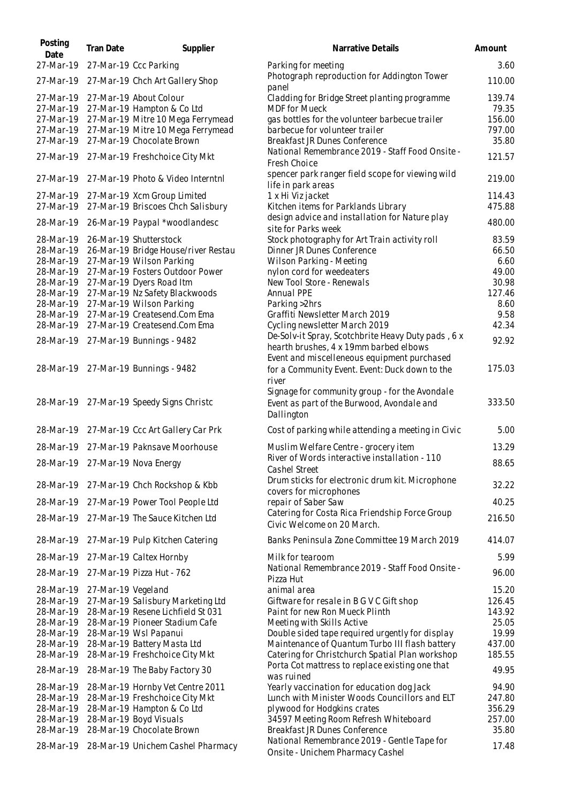| Posting<br>Date        | Tran Date          | Supplier                                                               | Narrative Details                                                                            | Amount          |
|------------------------|--------------------|------------------------------------------------------------------------|----------------------------------------------------------------------------------------------|-----------------|
| 27-Mar-19              |                    | 27-Mar-19 Ccc Parking                                                  | Parking for meeting                                                                          | 3.60            |
|                        |                    | 27-Mar-19 27-Mar-19 Chch Art Gallery Shop                              | Photograph reproduction for Addington Tower<br>panel                                         | 110.00          |
|                        |                    | 27-Mar-19 27-Mar-19 About Colour                                       | Cladding for Bridge Street planting programme                                                | 139.74          |
| 27-Mar-19              |                    | 27-Mar-19 Hampton & Co Ltd                                             | <b>MDF</b> for Mueck                                                                         | 79.35<br>156.00 |
| 27-Mar-19<br>27-Mar-19 |                    | 27-Mar-19 Mitre 10 Mega Ferrymead<br>27-Mar-19 Mitre 10 Mega Ferrymead | gas bottles for the volunteer barbecue trailer<br>barbecue for volunteer trailer             | 797.00          |
| 27-Mar-19              |                    | 27-Mar-19 Chocolate Brown                                              | Breakfast JR Dunes Conference                                                                | 35.80           |
|                        |                    |                                                                        | National Remembrance 2019 - Staff Food Onsite -                                              | 121.57          |
|                        |                    | 27-Mar-19 27-Mar-19 Freshchoice City Mkt                               | Fresh Choice                                                                                 |                 |
|                        |                    | 27-Mar-19 27-Mar-19 Photo & Video Interntnl                            | spencer park ranger field scope for viewing wild<br>life in park areas                       | 219.00          |
|                        |                    | 27-Mar-19 27-Mar-19 Xcm Group Limited                                  | 1 x Hi Viz jacket                                                                            | 114.43          |
| 27-Mar-19              |                    | 27-Mar-19 Briscoes Chch Salisbury                                      | Kitchen items for Parklands Library                                                          | 475.88          |
| 28-Mar-19              |                    | 26-Mar-19 Paypal *woodlandesc                                          | design advice and installation for Nature play                                               | 480.00          |
|                        |                    |                                                                        | site for Parks week                                                                          |                 |
| 28-Mar-19<br>28-Mar-19 |                    | 26-Mar-19 Shutterstock<br>26-Mar-19 Bridge House/river Restau          | Stock photography for Art Train activity roll<br>Dinner JR Dunes Conference                  | 83.59<br>66.50  |
| 28-Mar-19              |                    | 27-Mar-19 Wilson Parking                                               | Wilson Parking - Meeting                                                                     | 6.60            |
| 28-Mar-19              |                    | 27-Mar-19 Fosters Outdoor Power                                        | nylon cord for weedeaters                                                                    | 49.00           |
| 28-Mar-19              |                    | 27-Mar-19 Dyers Road Itm                                               | New Tool Store - Renewals                                                                    | 30.98           |
| 28-Mar-19              |                    | 27-Mar-19 Nz Safety Blackwoods                                         | Annual PPE                                                                                   | 127.46          |
| 28-Mar-19              |                    | 27-Mar-19 Wilson Parking                                               | Parking > 2hrs                                                                               | 8.60            |
| 28-Mar-19              |                    | 27-Mar-19 Createsend.Com Ema                                           | Graffiti Newsletter March 2019                                                               | 9.58            |
| 28-Mar-19              |                    | 27-Mar-19 Createsend.Com Ema                                           | Cycling newsletter March 2019                                                                | 42.34           |
|                        |                    | 28-Mar-19 27-Mar-19 Bunnings - 9482                                    | De-Solv-it Spray, Scotchbrite Heavy Duty pads, 6 x<br>hearth brushes, 4 x 19mm barbed elbows | 92.92           |
|                        |                    |                                                                        | Event and miscelleneous equipment purchased                                                  | 175.03          |
|                        |                    | 28-Mar-19 27-Mar-19 Bunnings - 9482                                    | for a Community Event. Event: Duck down to the<br>river                                      |                 |
|                        |                    |                                                                        | Signage for community group - for the Avondale                                               |                 |
|                        |                    | 28-Mar-19 27-Mar-19 Speedy Signs Christc                               | Event as part of the Burwood, Avondale and                                                   | 333.50          |
|                        |                    |                                                                        | Dallington                                                                                   |                 |
|                        |                    | 28-Mar-19 27-Mar-19 Ccc Art Gallery Car Prk                            | Cost of parking while attending a meeting in Civic                                           | 5.00            |
|                        |                    | 28-Mar-19 27-Mar-19 Paknsave Moorhouse                                 | Muslim Welfare Centre - grocery item                                                         | 13.29           |
|                        |                    |                                                                        | River of Words interactive installation - 110                                                |                 |
|                        |                    | 28-Mar-19 27-Mar-19 Nova Energy                                        | Cashel Street                                                                                | 88.65           |
|                        |                    | 28-Mar-19 27-Mar-19 Chch Rockshop & Kbb                                | Drum sticks for electronic drum kit. Microphone<br>covers for microphones                    | 32.22           |
| 28-Mar-19              |                    | 27-Mar-19 Power Tool People Ltd                                        | repair of Saber Saw                                                                          | 40.25           |
|                        |                    | 28-Mar-19 27-Mar-19 The Sauce Kitchen Ltd                              | Catering for Costa Rica Friendship Force Group                                               | 216.50          |
|                        |                    |                                                                        | Civic Welcome on 20 March.                                                                   |                 |
|                        |                    | 28-Mar-19 27-Mar-19 Pulp Kitchen Catering                              | Banks Peninsula Zone Committee 19 March 2019                                                 | 414.07          |
| 28-Mar-19              |                    | 27-Mar-19 Caltex Hornby                                                | Milk for tearoom<br>National Remembrance 2019 - Staff Food Onsite -                          | 5.99            |
| 28-Mar-19              |                    | 27-Mar-19 Pizza Hut - 762                                              | Pizza Hut                                                                                    | 96.00           |
| 28-Mar-19              | 27-Mar-19 Vegeland |                                                                        | animal area                                                                                  | 15.20           |
| 28-Mar-19              |                    | 27-Mar-19 Salisbury Marketing Ltd                                      | Giftware for resale in B G V C Gift shop                                                     | 126.45          |
| 28-Mar-19              |                    | 28-Mar-19 Resene Lichfield St 031                                      | Paint for new Ron Mueck Plinth                                                               | 143.92          |
| 28-Mar-19<br>28-Mar-19 |                    | 28-Mar-19 Pioneer Stadium Cafe<br>28-Mar-19 Wsl Papanui                | Meeting with Skills Active<br>Double sided tape required urgently for display                | 25.05<br>19.99  |
| 28-Mar-19              |                    | 28-Mar-19 Battery Masta Ltd                                            | Maintenance of Quantum Turbo III flash battery                                               | 437.00          |
| 28-Mar-19              |                    | 28-Mar-19 Freshchoice City Mkt                                         | Catering for Christchurch Spatial Plan workshop                                              | 185.55          |
| 28-Mar-19              |                    | 28-Mar-19 The Baby Factory 30                                          | Porta Cot mattress to replace existing one that<br>was ruined                                | 49.95           |
| 28-Mar-19              |                    | 28-Mar-19 Hornby Vet Centre 2011                                       | Yearly vaccination for education dog Jack                                                    | 94.90           |
| 28-Mar-19              |                    | 28-Mar-19 Freshchoice City Mkt                                         | Lunch with Minister Woods Councillors and ELT                                                | 247.80          |
| 28-Mar-19              |                    | 28-Mar-19 Hampton & Co Ltd                                             | plywood for Hodgkins crates                                                                  | 356.29          |
| 28-Mar-19              |                    | 28-Mar-19 Boyd Visuals                                                 | 34597 Meeting Room Refresh Whiteboard                                                        | 257.00          |
| 28-Mar-19              |                    | 28-Mar-19 Chocolate Brown                                              | Breakfast JR Dunes Conference                                                                | 35.80           |
|                        |                    | 28-Mar-19 28-Mar-19 Unichem Cashel Pharmacy                            | National Remembrance 2019 - Gentle Tape for<br>Onsite - Unichem Pharmacy Cashel              | 17.48           |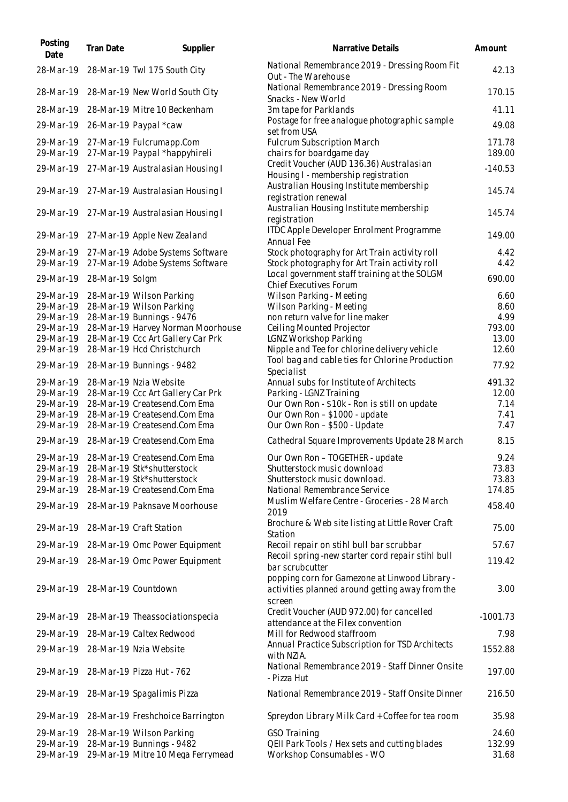| Posting<br>Date        | Tran Date       | Supplier                                                    | Narrative Details                                                                               | Amount          |
|------------------------|-----------------|-------------------------------------------------------------|-------------------------------------------------------------------------------------------------|-----------------|
| 28-Mar-19              |                 | 28-Mar-19 Twl 175 South City                                | National Remembrance 2019 - Dressing Room Fit<br>Out - The Warehouse                            | 42.13           |
| 28-Mar-19              |                 | 28-Mar-19 New World South City                              | National Remembrance 2019 - Dressing Room<br>Snacks - New World                                 | 170.15          |
| 28-Mar-19              |                 | 28-Mar-19 Mitre 10 Beckenham                                | 3m tape for Parklands                                                                           | 41.11           |
| 29-Mar-19              |                 | 26-Mar-19 Paypal *caw                                       | Postage for free analogue photographic sample<br>set from USA                                   | 49.08           |
| 29-Mar-19              |                 | 27-Mar-19 Fulcrumapp.Com                                    | <b>Fulcrum Subscription March</b>                                                               | 171.78          |
| 29-Mar-19              |                 | 27-Mar-19 Paypal *happyhireli                               | chairs for boardgame day                                                                        | 189.00          |
|                        |                 | 29-Mar-19 27-Mar-19 Australasian Housing I                  | Credit Voucher (AUD 136.36) Australasian<br>Housing I - membership registration                 | $-140.53$       |
|                        |                 | 29-Mar-19 27-Mar-19 Australasian Housing I                  | Australian Housing Institute membership<br>registration renewal                                 | 145.74          |
|                        |                 | 29-Mar-19 27-Mar-19 Australasian Housing I                  | Australian Housing Institute membership<br>registration                                         | 145.74          |
|                        |                 | 29-Mar-19 27-Mar-19 Apple New Zealand                       | ITDC Apple Developer Enrolment Programme<br>Annual Fee                                          | 149.00          |
| 29-Mar-19              |                 | 27-Mar-19 Adobe Systems Software                            | Stock photography for Art Train activity roll                                                   | 4.42            |
| 29-Mar-19              |                 | 27-Mar-19 Adobe Systems Software                            | Stock photography for Art Train activity roll                                                   | 4.42            |
| 29-Mar-19              | 28-Mar-19 Solgm |                                                             | Local government staff training at the SOLGM<br><b>Chief Executives Forum</b>                   | 690.00          |
| 29-Mar-19              |                 | 28-Mar-19 Wilson Parking                                    | Wilson Parking - Meeting                                                                        | 6.60            |
| 29-Mar-19              |                 | 28-Mar-19 Wilson Parking                                    | Wilson Parking - Meeting                                                                        | 8.60            |
| 29-Mar-19              |                 | 28-Mar-19 Bunnings - 9476                                   | non return valve for line maker                                                                 | 4.99            |
| 29-Mar-19              |                 | 28-Mar-19 Harvey Norman Moorhouse                           | Ceiling Mounted Projector                                                                       | 793.00          |
| 29-Mar-19              |                 | 28-Mar-19 Ccc Art Gallery Car Prk                           | LGNZ Workshop Parking                                                                           | 13.00           |
| 29-Mar-19<br>29-Mar-19 |                 | 28-Mar-19 Hcd Christchurch<br>28-Mar-19 Bunnings - 9482     | Nipple and Tee for chlorine delivery vehicle<br>Tool bag and cable ties for Chlorine Production | 12.60<br>77.92  |
|                        |                 |                                                             | Specialist                                                                                      |                 |
| 29-Mar-19<br>29-Mar-19 |                 | 28-Mar-19 Nzia Website<br>28-Mar-19 Ccc Art Gallery Car Prk | Annual subs for Institute of Architects<br>Parking - LGNZ Training                              | 491.32<br>12.00 |
| 29-Mar-19              |                 | 28-Mar-19 Createsend.Com Ema                                | Our Own Ron - \$10k - Ron is still on update                                                    | 7.14            |
| 29-Mar-19              |                 | 28-Mar-19 Createsend.Com Ema                                | Our Own Ron - \$1000 - update                                                                   | 7.41            |
| 29-Mar-19              |                 | 28-Mar-19 Createsend.Com Ema                                | Our Own Ron - \$500 - Update                                                                    | 7.47            |
|                        |                 | 29-Mar-19 28-Mar-19 Createsend.Com Ema                      | Cathedral Square Improvements Update 28 March                                                   | 8.15            |
|                        |                 | 29-Mar-19 28-Mar-19 Createsend.Com Ema                      | Our Own Ron - TOGETHER - update                                                                 | 9.24            |
|                        |                 | 29-Mar-19 28-Mar-19 Stk*shutterstock                        | Shutterstock music download                                                                     | 73.83           |
| 29-Mar-19              |                 | 28-Mar-19 Stk*shutterstock                                  | Shutterstock music download.                                                                    | 73.83           |
| 29-Mar-19              |                 | 28-Mar-19 Createsend.Com Ema                                | National Remembrance Service                                                                    | 174.85          |
| 29-Mar-19              |                 | 28-Mar-19 Paknsave Moorhouse                                | Muslim Welfare Centre - Groceries - 28 March<br>2019                                            | 458.40          |
| 29-Mar-19              |                 | 28-Mar-19 Craft Station                                     | Brochure & Web site listing at Little Rover Craft<br>Station                                    | 75.00           |
| 29-Mar-19              |                 | 28-Mar-19 Omc Power Equipment                               | Recoil repair on stihl bull bar scrubbar                                                        | 57.67           |
|                        |                 | 29-Mar-19 28-Mar-19 Omc Power Equipment                     | Recoil spring -new starter cord repair stihl bull<br>bar scrubcutter                            | 119.42          |
|                        |                 |                                                             | popping corn for Gamezone at Linwood Library -                                                  |                 |
| 29-Mar-19              |                 | 28-Mar-19 Countdown                                         | activities planned around getting away from the                                                 | 3.00            |
|                        |                 | 29-Mar-19 28-Mar-19 Theassociationspecia                    | screen<br>Credit Voucher (AUD 972.00) for cancelled                                             | $-1001.73$      |
| 29-Mar-19              |                 | 28-Mar-19 Caltex Redwood                                    | attendance at the Filex convention<br>Mill for Redwood staffroom                                | 7.98            |
|                        |                 |                                                             | Annual Practice Subscription for TSD Architects                                                 |                 |
|                        |                 | 29-Mar-19 28-Mar-19 Nzia Website                            | with NZIA.                                                                                      | 1552.88         |
| 29-Mar-19              |                 | 28-Mar-19 Pizza Hut - 762                                   | National Remembrance 2019 - Staff Dinner Onsite<br>- Pizza Hut                                  | 197.00          |
| 29-Mar-19              |                 | 28-Mar-19 Spagalimis Pizza                                  | National Remembrance 2019 - Staff Onsite Dinner                                                 | 216.50          |
| 29-Mar-19              |                 | 28-Mar-19 Freshchoice Barrington                            | Spreydon Library Milk Card + Coffee for tea room                                                | 35.98           |
| 29-Mar-19              |                 | 28-Mar-19 Wilson Parking                                    | GSO Training                                                                                    | 24.60           |
| 29-Mar-19              |                 | 28-Mar-19 Bunnings - 9482                                   | QEII Park Tools / Hex sets and cutting blades                                                   | 132.99          |
| 29-Mar-19              |                 | 29-Mar-19 Mitre 10 Mega Ferrymead                           | Workshop Consumables - WO                                                                       | 31.68           |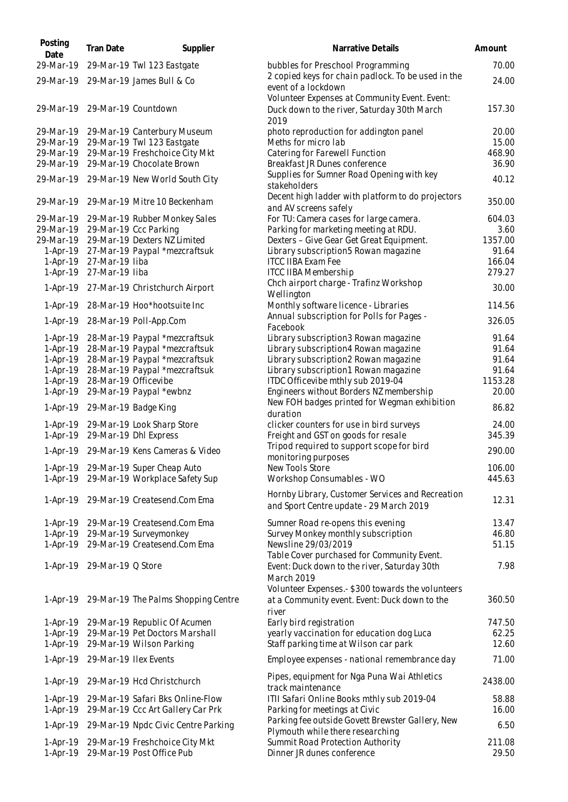| Posting<br>Date          | Tran Date                        | Supplier                                                       | Narrative Details                                                                                        | Amount           |
|--------------------------|----------------------------------|----------------------------------------------------------------|----------------------------------------------------------------------------------------------------------|------------------|
| 29-Mar-19                |                                  | 29-Mar-19 Twl 123 Eastgate                                     | bubbles for Preschool Programming                                                                        | 70.00            |
| 29-Mar-19                |                                  | 29-Mar-19 James Bull & Co                                      | 2 copied keys for chain padlock. To be used in the<br>event of a lockdown                                | 24.00            |
| 29-Mar-19                |                                  | 29-Mar-19 Countdown                                            | Volunteer Expenses at Community Event. Event:<br>Duck down to the river, Saturday 30th March<br>2019     | 157.30           |
| 29-Mar-19                |                                  | 29-Mar-19 Canterbury Museum                                    | photo reproduction for addington panel                                                                   | 20.00            |
| 29-Mar-19                |                                  | 29-Mar-19 Twl 123 Eastgate                                     | Meths for micro lab                                                                                      | 15.00            |
| 29-Mar-19                |                                  | 29-Mar-19 Freshchoice City Mkt                                 | Catering for Farewell Function                                                                           | 468.90           |
| 29-Mar-19                |                                  | 29-Mar-19 Chocolate Brown                                      | Breakfast JR Dunes conference                                                                            | 36.90            |
| 29-Mar-19                |                                  | 29-Mar-19 New World South City                                 | Supplies for Sumner Road Opening with key<br>stakeholders                                                | 40.12            |
| 29-Mar-19                |                                  | 29-Mar-19 Mitre 10 Beckenham                                   | Decent high ladder with platform to do projectors<br>and AV screens safely                               | 350.00           |
| 29-Mar-19                |                                  | 29-Mar-19 Rubber Monkey Sales                                  | For TU: Camera cases for large camera.                                                                   | 604.03           |
| 29-Mar-19                |                                  | 29-Mar-19 Ccc Parking                                          | Parking for marketing meeting at RDU.                                                                    | 3.60             |
| 29-Mar-19                |                                  | 29-Mar-19 Dexters NZ Limited                                   | Dexters - Give Gear Get Great Equipment.                                                                 | 1357.00          |
| $1-Apr-19$               |                                  | 27-Mar-19 Paypal *mezcraftsuk                                  | Library subscription5 Rowan magazine                                                                     | 91.64            |
| $1-Apr-19$               | 27-Mar-19 liba<br>27-Mar-19 liba |                                                                | <b>ITCC IIBA Exam Fee</b>                                                                                | 166.04           |
| 1-Apr-19                 |                                  |                                                                | <b>ITCC IIBA Membership</b><br>Chch airport charge - Trafinz Workshop                                    | 279.27           |
| 1-Apr-19                 |                                  | 27-Mar-19 Christchurch Airport                                 | Wellington                                                                                               | 30.00            |
| $1-Apr-19$<br>1-Apr-19   |                                  | 28-Mar-19 Hoo*hootsuite Inc<br>28-Mar-19 Poll-App.Com          | Monthly software licence - Libraries<br>Annual subscription for Polls for Pages -                        | 114.56<br>326.05 |
|                          |                                  |                                                                | Facebook                                                                                                 |                  |
| $1-Apr-19$               |                                  | 28-Mar-19 Paypal *mezcraftsuk                                  | Library subscription3 Rowan magazine                                                                     | 91.64            |
| $1-Apr-19$               |                                  | 28-Mar-19 Paypal *mezcraftsuk                                  | Library subscription4 Rowan magazine                                                                     | 91.64            |
| $1-Apr-19$<br>$1-Apr-19$ |                                  | 28-Mar-19 Paypal *mezcraftsuk<br>28-Mar-19 Paypal *mezcraftsuk | Library subscription2 Rowan magazine<br>Library subscription1 Rowan magazine                             | 91.64<br>91.64   |
| $1-Apr-19$               | 28-Mar-19 Officevibe             |                                                                | ITDC Officevibe mthly sub 2019-04                                                                        | 1153.28          |
| $1-Apr-19$               |                                  | 29-Mar-19 Paypal *ewbnz                                        | Engineers without Borders NZ membership                                                                  | 20.00            |
| 1-Apr-19                 |                                  | 29-Mar-19 Badge King                                           | New FOH badges printed for Wegman exhibition<br>duration                                                 | 86.82            |
| 1-Apr-19                 |                                  | 29-Mar-19 Look Sharp Store                                     | clicker counters for use in bird surveys                                                                 | 24.00            |
| 1-Apr-19                 |                                  | 29-Mar-19 Dhl Express                                          | Freight and GST on goods for resale                                                                      | 345.39           |
|                          |                                  |                                                                | Tripod required to support scope for bird                                                                |                  |
|                          |                                  | 1-Apr-19 29-Mar-19 Kens Cameras & Video                        | monitoring purposes                                                                                      | 290.00           |
|                          |                                  | 1-Apr-19 29-Mar-19 Super Cheap Auto                            | New Tools Store                                                                                          | 106.00           |
| $1-Apr-19$               |                                  | 29-Mar-19 Workplace Safety Sup                                 | Workshop Consumables - WO                                                                                | 445.63           |
| 1-Apr-19                 |                                  | 29-Mar-19 Createsend.Com Ema                                   | Hornby Library, Customer Services and Recreation<br>and Sport Centre update - 29 March 2019              | 12.31            |
| $1-Apr-19$               |                                  | 29-Mar-19 Createsend.Com Ema                                   | Sumner Road re-opens this evening                                                                        | 13.47            |
| 1-Apr-19                 |                                  | 29-Mar-19 Surveymonkey                                         | Survey Monkey monthly subscription                                                                       | 46.80            |
| 1-Apr-19                 |                                  | 29-Mar-19 Createsend.Com Ema                                   | Newsline 29/03/2019                                                                                      | 51.15            |
| $1-Apr-19$               | 29-Mar-19 Q Store                |                                                                | Table Cover purchased for Community Event.<br>Event: Duck down to the river, Saturday 30th<br>March 2019 | 7.98             |
| 1-Apr-19                 |                                  | 29-Mar-19 The Palms Shopping Centre                            | Volunteer Expenses.- \$300 towards the volunteers<br>at a Community event. Event: Duck down to the       | 360.50           |
|                          |                                  |                                                                | river                                                                                                    |                  |
| $1-Apr-19$               |                                  | 29-Mar-19 Republic Of Acumen                                   | Early bird registration                                                                                  | 747.50           |
| $1-Apr-19$               |                                  | 29-Mar-19 Pet Doctors Marshall                                 | yearly vaccination for education dog Luca                                                                | 62.25            |
| $1-Apr-19$<br>$1-Apr-19$ |                                  | 29-Mar-19 Wilson Parking<br>29-Mar-19 Ilex Events              | Staff parking time at Wilson car park<br>Employee expenses - national remembrance day                    | 12.60<br>71.00   |
|                          |                                  |                                                                | Pipes, equipment for Nga Puna Wai Athletics                                                              |                  |
| $1-Apr-19$<br>$1-Apr-19$ |                                  | 29-Mar-19 Hcd Christchurch<br>29-Mar-19 Safari Bks Online-Flow | track maintenance<br>ITII Safari Online Books mthly sub 2019-04                                          | 2438.00<br>58.88 |
| $1-Apr-19$               |                                  | 29-Mar-19 Ccc Art Gallery Car Prk                              | Parking for meetings at Civic                                                                            | 16.00            |
|                          |                                  |                                                                | Parking fee outside Govett Brewster Gallery, New                                                         |                  |
| $1-Apr-19$               |                                  | 29-Mar-19 Npdc Civic Centre Parking                            | Plymouth while there researching                                                                         | 6.50             |
| $1-Apr-19$<br>$1-Apr-19$ |                                  | 29-Mar-19 Freshchoice City Mkt<br>29-Mar-19 Post Office Pub    | Summit Road Protection Authority<br>Dinner JR dunes conference                                           | 211.08<br>29.50  |
|                          |                                  |                                                                |                                                                                                          |                  |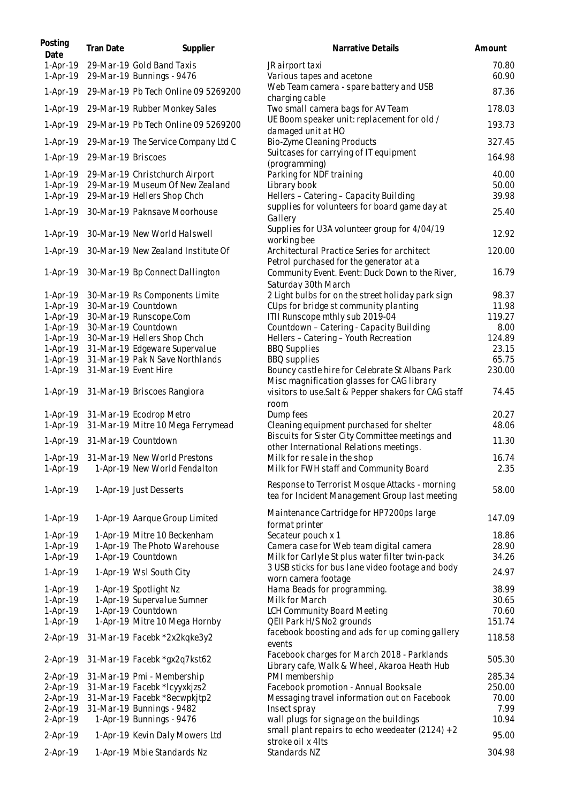| Posting<br>Date          | Tran Date            | Supplier                                                                | Narrative Details                                                                                | Amount         |
|--------------------------|----------------------|-------------------------------------------------------------------------|--------------------------------------------------------------------------------------------------|----------------|
| $1-Apr-19$               |                      | 29-Mar-19 Gold Band Taxis<br>1-Apr-19 29-Mar-19 Bunnings - 9476         | JR airport taxi<br>Various tapes and acetone                                                     | 70.80<br>60.90 |
|                          |                      | 1-Apr-19 29-Mar-19 Pb Tech Online 09 5269200                            | Web Team camera - spare battery and USB<br>charging cable                                        | 87.36          |
|                          |                      | 1-Apr-19 29-Mar-19 Rubber Monkey Sales                                  | Two small camera bags for AV Team                                                                | 178.03         |
|                          |                      | 1-Apr-19 29-Mar-19 Pb Tech Online 09 5269200                            | UE Boom speaker unit: replacement for old /<br>damaged unit at HO                                | 193.73         |
| 1-Apr-19                 |                      | 29-Mar-19 The Service Company Ltd C                                     | <b>Bio-Zyme Cleaning Products</b>                                                                | 327.45         |
| 1-Apr-19                 | 29-Mar-19 Briscoes   |                                                                         | Suitcases for carrying of IT equipment<br>(programming)                                          | 164.98         |
| 1-Apr-19                 |                      | 29-Mar-19 Christchurch Airport                                          | Parking for NDF training                                                                         | 40.00          |
| $1-Apr-19$               |                      | 29-Mar-19 Museum Of New Zealand<br>1-Apr-19 29-Mar-19 Hellers Shop Chch | Library book<br>Hellers - Catering - Capacity Building                                           | 50.00<br>39.98 |
|                          |                      | 1-Apr-19 30-Mar-19 Paknsave Moorhouse                                   | supplies for volunteers for board game day at<br>Gallery                                         | 25.40          |
|                          |                      | 1-Apr-19 30-Mar-19 New World Halswell                                   | Supplies for U3A volunteer group for 4/04/19<br>working bee                                      | 12.92          |
| 1-Apr-19                 |                      | 30-Mar-19 New Zealand Institute Of                                      | Architectural Practice Series for architect                                                      | 120.00         |
| 1-Apr-19                 |                      | 30-Mar-19 Bp Connect Dallington                                         | Petrol purchased for the generator at a<br>Community Event. Event: Duck Down to the River,       | 16.79          |
|                          |                      | 30-Mar-19 Rs Components Limite                                          | Saturday 30th March                                                                              | 98.37          |
| $1-Apr-19$<br>$1-Apr-19$ |                      | 30-Mar-19 Countdown                                                     | 2 Light bulbs for on the street holiday park sign<br>CUps for bridge st community planting       | 11.98          |
| 1-Apr-19                 |                      | 30-Mar-19 Runscope.Com                                                  | ITII Runscope mthly sub 2019-04                                                                  | 119.27         |
| $1-Apr-19$               |                      | 30-Mar-19 Countdown                                                     | Countdown - Catering - Capacity Building                                                         | 8.00           |
| 1-Apr-19                 |                      | 30-Mar-19 Hellers Shop Chch                                             | Hellers - Catering - Youth Recreation                                                            | 124.89         |
| 1-Apr-19                 |                      | 31-Mar-19 Edgeware Supervalue                                           | <b>BBQ Supplies</b>                                                                              | 23.15          |
| 1-Apr-19                 |                      | 31-Mar-19 Pak N Save Northlands                                         | <b>BBQ</b> supplies                                                                              | 65.75          |
| 1-Apr-19                 | 31-Mar-19 Event Hire |                                                                         | Bouncy castle hire for Celebrate St Albans Park<br>Misc magnification glasses for CAG library    | 230.00         |
|                          |                      | 1-Apr-19 31-Mar-19 Briscoes Rangiora                                    | visitors to use.Salt & Pepper shakers for CAG staff<br>room                                      | 74.45          |
| $1-Apr-19$               |                      | 31-Mar-19 Ecodrop Metro                                                 | Dump fees                                                                                        | 20.27          |
| 1-Apr-19                 |                      | 31-Mar-19 Mitre 10 Mega Ferrymead                                       | Cleaning equipment purchased for shelter                                                         | 48.06          |
|                          |                      | 1-Apr-19 31-Mar-19 Countdown                                            | Biscuits for Sister City Committee meetings and<br>other International Relations meetings.       | 11.30          |
| $1-Apr-19$               |                      | 31-Mar-19 New World Prestons                                            | Milk for resale in the shop                                                                      | 16.74          |
| 1-Apr-19                 |                      | 1-Apr-19 New World Fendalton                                            | Milk for FWH staff and Community Board                                                           | 2.35           |
| 1-Apr-19                 |                      | 1-Apr-19 Just Desserts                                                  | Response to Terrorist Mosque Attacks - morning<br>tea for Incident Management Group last meeting | 58.00          |
| 1-Apr-19                 |                      | 1-Apr-19 Aarque Group Limited                                           | Maintenance Cartridge for HP7200ps large<br>format printer                                       | 147.09         |
| $1-Apr-19$               |                      | 1-Apr-19 Mitre 10 Beckenham                                             | Secateur pouch x 1                                                                               | 18.86          |
| 1-Apr-19                 |                      | 1-Apr-19 The Photo Warehouse                                            | Camera case for Web team digital camera                                                          | 28.90          |
| 1-Apr-19                 |                      | 1-Apr-19 Countdown                                                      | Milk for Carlyle St plus water filter twin-pack                                                  | 34.26          |
| 1-Apr-19                 |                      | 1-Apr-19 Wsl South City                                                 | 3 USB sticks for bus lane video footage and body<br>worn camera footage                          | 24.97          |
| 1-Apr-19                 |                      | 1-Apr-19 Spotlight Nz                                                   | Hama Beads for programming.                                                                      | 38.99          |
| 1-Apr-19                 |                      | 1-Apr-19 Supervalue Sumner                                              | Milk for March                                                                                   | 30.65          |
| 1-Apr-19                 |                      | 1-Apr-19 Countdown                                                      | LCH Community Board Meeting                                                                      | 70.60          |
| 1-Apr-19                 |                      | 1-Apr-19 Mitre 10 Mega Hornby                                           | QEII Park H/S No2 grounds                                                                        | 151.74         |
| 2-Apr-19                 |                      | 31-Mar-19 Facebk *2x2kqke3y2                                            | facebook boosting and ads for up coming gallery<br>events                                        | 118.58         |
| $2-Apr-19$               |                      | 31-Mar-19 Facebk *gx2q7kst62                                            | Facebook charges for March 2018 - Parklands<br>Library cafe, Walk & Wheel, Akaroa Heath Hub      | 505.30         |
| $2-Apr-19$               |                      | 31-Mar-19 Pmi - Membership                                              | PMI membership                                                                                   | 285.34         |
| 2-Apr-19                 |                      | 31-Mar-19 Facebk *lcyyxkjzs2                                            | Facebook promotion - Annual Booksale                                                             | 250.00         |
| $2-Apr-19$               |                      | 31-Mar-19 Facebk *8ecwpkjtp2                                            | Messaging travel information out on Facebook                                                     | 70.00          |
| 2-Apr-19                 |                      | 31-Mar-19 Bunnings - 9482                                               | Insect spray                                                                                     | 7.99           |
| 2-Apr-19                 |                      | 1-Apr-19 Bunnings - 9476                                                | wall plugs for signage on the buildings                                                          | 10.94          |
| 2-Apr-19                 |                      | 1-Apr-19 Kevin Daly Mowers Ltd                                          | small plant repairs to echo weedeater $(2124) + 2$<br>stroke oil x 4lts                          | 95.00          |
| 2-Apr-19                 |                      | 1-Apr-19 Mbie Standards Nz                                              | Standards NZ                                                                                     | 304.98         |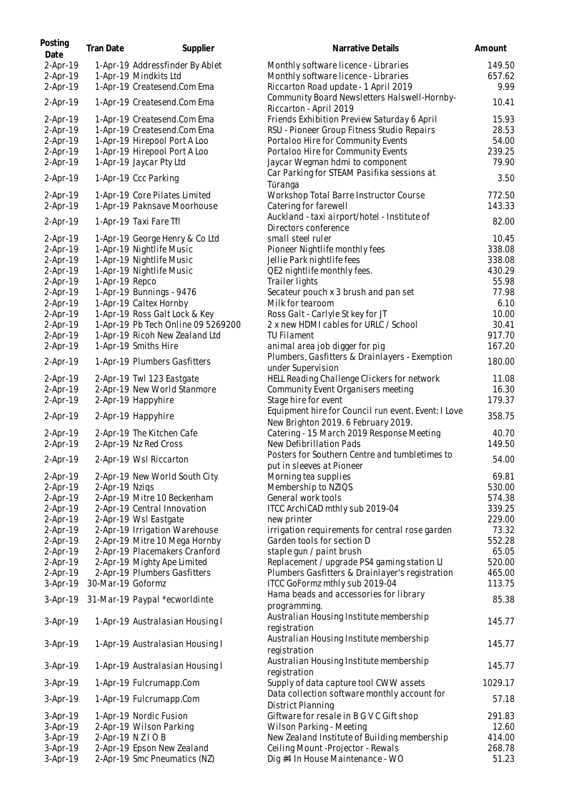| Posting<br>Date          | Tran Date         | Supplier                                             | Narrative Details                                                                          | Amount           |
|--------------------------|-------------------|------------------------------------------------------|--------------------------------------------------------------------------------------------|------------------|
| $2-Apr-19$               |                   | 1-Apr-19 Addressfinder By Ablet                      | Monthly software licence - Libraries                                                       | 149.50           |
| 2-Apr-19                 |                   | 1-Apr-19 Mindkits Ltd                                | Monthly software licence - Libraries                                                       | 657.62           |
| 2-Apr-19                 |                   | 1-Apr-19 Createsend.Com Ema                          | Riccarton Road update - 1 April 2019                                                       | 9.99             |
| 2-Apr-19                 |                   | 1-Apr-19 Createsend.Com Ema                          | Community Board Newsletters Halswell-Hornby-<br>Riccarton - April 2019                     | 10.41            |
| 2-Apr-19                 |                   | 1-Apr-19 Createsend.Com Ema                          | Friends Exhibition Preview Saturday 6 April                                                | 15.93            |
| 2-Apr-19                 |                   | 1-Apr-19 Createsend.Com Ema                          | RSU - Pioneer Group Fitness Studio Repairs                                                 | 28.53            |
| $2-Apr-19$               |                   | 1-Apr-19 Hirepool Port A Loo                         | Portaloo Hire for Community Events                                                         | 54.00            |
| 2-Apr-19                 |                   | 1-Apr-19 Hirepool Port A Loo                         | Portaloo Hire for Community Events                                                         | 239.25           |
| 2-Apr-19                 |                   | 1-Apr-19 Jaycar Pty Ltd                              | Jaycar Wegman hdmi to component                                                            | 79.90            |
|                          |                   |                                                      |                                                                                            |                  |
| 2-Apr-19                 |                   | 1-Apr-19 Ccc Parking                                 | Car Parking for STEAM Pasifika sessions at<br>Tūranga                                      | 3.50             |
| 2-Apr-19                 |                   | 1-Apr-19 Core Pilates Limited                        | Workshop Total Barre Instructor Course                                                     | 772.50           |
| 2-Apr-19                 |                   | 1-Apr-19 Paknsave Moorhouse                          | Catering for farewell                                                                      | 143.33           |
| 2-Apr-19                 |                   | 1-Apr-19 Taxi Fare Tfl                               | Auckland - taxi airport/hotel - Institute of                                               | 82.00            |
|                          |                   |                                                      | Directors conference                                                                       |                  |
| $2-Apr-19$               |                   | 1-Apr-19 George Henry & Co Ltd                       | small steel ruler                                                                          | 10.45            |
| 2-Apr-19                 |                   | 1-Apr-19 Nightlife Music                             | Pioneer Nightlife monthly fees                                                             | 338.08           |
| $2-Apr-19$               |                   | 1-Apr-19 Nightlife Music                             | Jellie Park nightlife fees                                                                 | 338.08           |
| $2-Apr-19$               |                   | 1-Apr-19 Nightlife Music                             | QE2 nightlife monthly fees.                                                                | 430.29           |
| 2-Apr-19                 | 1-Apr-19 Repco    |                                                      | Trailer lights                                                                             | 55.98            |
| 2-Apr-19                 |                   | 1-Apr-19 Bunnings - 9476                             | Secateur pouch x 3 brush and pan set                                                       | 77.98            |
| 2-Apr-19                 |                   | 1-Apr-19 Caltex Hornby                               | Milk for tearoom                                                                           | 6.10             |
| 2-Apr-19                 |                   | 1-Apr-19 Ross Galt Lock & Key                        | Ross Galt - Carlyle St key for JT                                                          | 10.00            |
| 2-Apr-19                 |                   | 1-Apr-19 Pb Tech Online 09 5269200                   | 2 x new HDMI cables for URLC / School                                                      | 30.41            |
|                          |                   |                                                      |                                                                                            |                  |
| 2-Apr-19                 |                   | 1-Apr-19 Ricoh New Zealand Ltd                       | <b>TU Filament</b>                                                                         | 917.70           |
| $2-Apr-19$<br>2-Apr-19   |                   | 1-Apr-19 Smiths Hire<br>1-Apr-19 Plumbers Gasfitters | animal area job digger for pig<br>Plumbers, Gasfitters & Drainlayers - Exemption           | 167.20<br>180.00 |
|                          |                   |                                                      | under Supervision                                                                          |                  |
| 2-Apr-19                 |                   | 2-Apr-19 Twl 123 Eastgate                            | HELL Reading Challenge Clickers for network                                                | 11.08            |
| 2-Apr-19                 |                   | 2-Apr-19 New World Stanmore                          | Community Event Organisers meeting                                                         | 16.30            |
| 2-Apr-19                 |                   | 2-Apr-19 Happyhire                                   | Stage hire for event                                                                       | 179.37           |
| 2-Apr-19                 |                   | 2-Apr-19 Happyhire                                   | Equipment hire for Council run event. Event: I Love<br>New Brighton 2019. 6 February 2019. | 358.75           |
| $2-Apr-19$               |                   | 2-Apr-19 The Kitchen Cafe                            | Catering - 15 March 2019 Response Meeting                                                  | 40.70            |
| 2-Apr-19                 |                   | 2-Apr-19 Nz Red Cross                                | New Defibrillation Pads                                                                    | 149.50           |
| 2-Apr-19                 |                   | 2-Apr-19 Wsl Riccarton                               | Posters for Southern Centre and tumbletimes to<br>put in sleeves at Pioneer                | 54.00            |
| $2-Apr-19$               |                   | 2-Apr-19 New World South City                        | Morning tea supplies                                                                       | 69.81            |
| $2-Apr-19$               | 2-Apr-19 Nzigs    |                                                      | Membership to NZIQS                                                                        | 530.00           |
| 2-Apr-19                 |                   | 2-Apr-19 Mitre 10 Beckenham                          | General work tools                                                                         | 574.38           |
| 2-Apr-19                 |                   | 2-Apr-19 Central Innovation                          | ITCC ArchiCAD mthly sub 2019-04                                                            | 339.25           |
| 2-Apr-19                 |                   | 2-Apr-19 Wsl Eastgate                                | new printer                                                                                | 229.00           |
| $2-Apr-19$               |                   | 2-Apr-19 Irrigation Warehouse                        | irrigation requirements for central rose garden                                            | 73.32            |
| 2-Apr-19                 |                   | 2-Apr-19 Mitre 10 Mega Hornby                        | Garden tools for section D                                                                 | 552.28           |
| $2-Apr-19$               |                   | 2-Apr-19 Placemakers Cranford                        | staple gun / paint brush                                                                   | 65.05            |
| 2-Apr-19                 |                   | 2-Apr-19 Mighty Ape Limited                          | Replacement / upgrade PS4 gaming station LI                                                | 520.00           |
| 2-Apr-19                 |                   | 2-Apr-19 Plumbers Gasfitters                         |                                                                                            | 465.00           |
|                          |                   |                                                      | Plumbers Gasfitters & Drainlayer's registration                                            |                  |
| $3-Apr-19$<br>$3-Apr-19$ | 30-Mar-19 Goformz | 31-Mar-19 Paypal *ecworldinte                        | ITCC GoFormz mthly sub 2019-04<br>Hama beads and accessories for library                   | 113.75<br>85.38  |
|                          |                   |                                                      | programming.                                                                               |                  |
| 3-Apr-19                 |                   | 1-Apr-19 Australasian Housing I                      | Australian Housing Institute membership<br>registration                                    | 145.77           |
| 3-Apr-19                 |                   | 1-Apr-19 Australasian Housing I                      | Australian Housing Institute membership<br>registration                                    | 145.77           |
| 3-Apr-19                 |                   | 1-Apr-19 Australasian Housing I                      | Australian Housing Institute membership<br>registration                                    | 145.77           |
| 3-Apr-19                 |                   | 1-Apr-19 Fulcrumapp.Com                              | Supply of data capture tool CWW assets                                                     | 1029.17          |
| 3-Apr-19                 |                   | 1-Apr-19 Fulcrumapp.Com                              | Data collection software monthly account for<br>District Planning                          | 57.18            |
| 3-Apr-19                 |                   | 1-Apr-19 Nordic Fusion                               | Giftware for resale in B G V C Gift shop                                                   | 291.83           |
| 3-Apr-19                 |                   | 2-Apr-19 Wilson Parking                              | Wilson Parking - Meeting                                                                   | 12.60            |
| 3-Apr-19                 |                   | 2-Apr-19 NZIOB                                       | New Zealand Institute of Building membership                                               | 414.00           |
| 3-Apr-19                 |                   | 2-Apr-19 Epson New Zealand                           | Ceiling Mount -Projector - Rewals                                                          | 268.78           |
| 3-Apr-19                 |                   | 2-Apr-19 Smc Pneumatics (NZ)                         | Dig #4 In House Maintenance - WO                                                           | 51.23            |
|                          |                   |                                                      |                                                                                            |                  |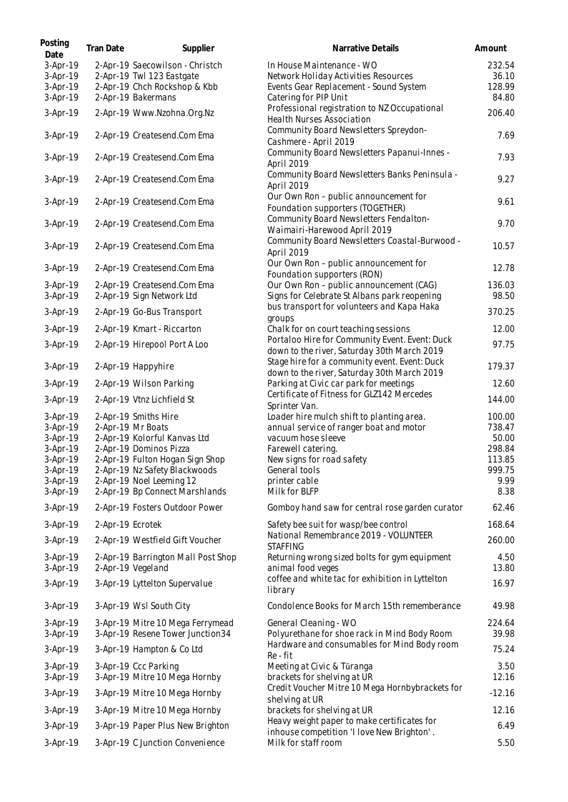| Posting<br>Date      | Tran Date        | Supplier                                                         | Narrative Details                                                                             | Amount           |
|----------------------|------------------|------------------------------------------------------------------|-----------------------------------------------------------------------------------------------|------------------|
| 3-Apr-19             |                  | 2-Apr-19 Saecowilson - Christch                                  | In House Maintenance - WO                                                                     | 232.54           |
| 3-Apr-19             |                  | 2-Apr-19 Twl 123 Eastgate                                        | Network Holiday Activities Resources                                                          | 36.10            |
| 3-Apr-19<br>3-Apr-19 |                  | 2-Apr-19 Chch Rockshop & Kbb<br>2-Apr-19 Bakermans               | Events Gear Replacement - Sound System                                                        | 128.99<br>84.80  |
|                      |                  |                                                                  | Catering for PIP Unit<br>Professional registration to NZ Occupational                         |                  |
| 3-Apr-19             |                  | 2-Apr-19 Www.Nzohna.Org.Nz                                       | Health Nurses Association                                                                     | 206.40           |
| 3-Apr-19             |                  | 2-Apr-19 Createsend.Com Ema                                      | Community Board Newsletters Spreydon-<br>Cashmere - April 2019                                | 7.69             |
| 3-Apr-19             |                  | 2-Apr-19 Createsend.Com Ema                                      | Community Board Newsletters Papanui-Innes -<br>April 2019                                     | 7.93             |
| 3-Apr-19             |                  | 2-Apr-19 Createsend.Com Ema                                      | Community Board Newsletters Banks Peninsula -<br>April 2019                                   | 9.27             |
| 3-Apr-19             |                  | 2-Apr-19 Createsend.Com Ema                                      | Our Own Ron - public announcement for<br>Foundation supporters (TOGETHER)                     | 9.61             |
| 3-Apr-19             |                  | 2-Apr-19 Createsend.Com Ema                                      | Community Board Newsletters Fendalton-<br>Waimairi-Harewood April 2019                        | 9.70             |
| 3-Apr-19             |                  | 2-Apr-19 Createsend.Com Ema                                      | Community Board Newsletters Coastal-Burwood -<br>April 2019                                   | 10.57            |
| 3-Apr-19             |                  | 2-Apr-19 Createsend.Com Ema                                      | Our Own Ron - public announcement for<br>Foundation supporters (RON)                          | 12.78            |
| 3-Apr-19             |                  | 2-Apr-19 Createsend.Com Ema                                      | Our Own Ron - public announcement (CAG)                                                       | 136.03           |
| 3-Apr-19             |                  | 2-Apr-19 Sign Network Ltd                                        | Signs for Celebrate St Albans park reopening<br>bus transport for volunteers and Kapa Haka    | 98.50            |
| 3-Apr-19             |                  | 2-Apr-19 Go-Bus Transport                                        | groups                                                                                        | 370.25           |
| 3-Apr-19             |                  | 2-Apr-19 Kmart - Riccarton                                       | Chalk for on court teaching sessions                                                          | 12.00            |
| 3-Apr-19             |                  | 2-Apr-19 Hirepool Port A Loo                                     | Portaloo Hire for Community Event. Event: Duck<br>down to the river, Saturday 30th March 2019 | 97.75            |
| 3-Apr-19             |                  | 2-Apr-19 Happyhire                                               | Stage hire for a community event. Event: Duck                                                 | 179.37           |
| 3-Apr-19             |                  | 2-Apr-19 Wilson Parking                                          | down to the river, Saturday 30th March 2019<br>Parking at Civic car park for meetings         | 12.60            |
|                      |                  |                                                                  | Certificate of Fitness for GLZ142 Mercedes                                                    |                  |
| 3-Apr-19             |                  | 2-Apr-19 Vtnz Lichfield St                                       | Sprinter Van.                                                                                 | 144.00           |
| 3-Apr-19             |                  | 2-Apr-19 Smiths Hire                                             | Loader hire mulch shift to planting area.                                                     | 100.00           |
| 3-Apr-19             |                  | 2-Apr-19 Mr Boats                                                | annual service of ranger boat and motor                                                       | 738.47           |
| 3-Apr-19             |                  | 2-Apr-19 Kolorful Kanvas Ltd                                     | vacuum hose sleeve                                                                            | 50.00            |
| 3-Apr-19             |                  | 2-Apr-19 Dominos Pizza                                           | Farewell catering.                                                                            | 298.84           |
| 3-Apr-19             |                  | 2-Apr-19 Fulton Hogan Sign Shop<br>2-Apr-19 Nz Safety Blackwoods | New signs for road safety                                                                     | 113.85<br>999.75 |
| 3-Apr-19<br>3-Apr-19 |                  | 2-Apr-19 Noel Leeming 12                                         | General tools<br>printer cable                                                                | 9.99             |
| 3-Apr-19             |                  | 2-Apr-19 Bp Connect Marshlands                                   | Milk for BLFP                                                                                 | 8.38             |
| 3-Apr-19             |                  | 2-Apr-19 Fosters Outdoor Power                                   | Gomboy hand saw for central rose garden curator                                               | 62.46            |
| 3-Apr-19             | 2-Apr-19 Ecrotek |                                                                  | Safety bee suit for wasp/bee control                                                          | 168.64           |
| 3-Apr-19             |                  | 2-Apr-19 Westfield Gift Voucher                                  | National Remembrance 2019 - VOLUNTEER<br><b>STAFFING</b>                                      | 260.00           |
| $3-Apr-19$           |                  | 2-Apr-19 Barrington Mall Post Shop                               | Returning wrong sized bolts for gym equipment                                                 | 4.50             |
| 3-Apr-19             |                  | 2-Apr-19 Vegeland                                                | animal food veges<br>coffee and white tac for exhibition in Lyttelton                         | 13.80            |
| 3-Apr-19             |                  | 3-Apr-19 Lyttelton Supervalue                                    | library                                                                                       | 16.97            |
| 3-Apr-19             |                  | 3-Apr-19 Wsl South City                                          | Condolence Books for March 15th rememberance                                                  | 49.98            |
| 3-Apr-19             |                  | 3-Apr-19 Mitre 10 Mega Ferrymead                                 | General Cleaning - WO                                                                         | 224.64           |
| 3-Apr-19             |                  | 3-Apr-19 Resene Tower Junction34                                 | Polyurethane for shoe rack in Mind Body Room                                                  | 39.98            |
| 3-Apr-19             |                  | 3-Apr-19 Hampton & Co Ltd                                        | Hardware and consumables for Mind Body room<br>Re - fit                                       | 75.24            |
| 3-Apr-19             |                  | 3-Apr-19 Ccc Parking                                             | Meeting at Civic & Tūranga                                                                    | 3.50             |
| 3-Apr-19             |                  | 3-Apr-19 Mitre 10 Mega Hornby                                    | brackets for shelving at UR<br>Credit Voucher Mitre 10 Mega Hornbybrackets for                | 12.16            |
| 3-Apr-19             |                  | 3-Apr-19 Mitre 10 Mega Hornby                                    | shelving at UR                                                                                | $-12.16$         |
| 3-Apr-19             |                  | 3-Apr-19 Mitre 10 Mega Hornby                                    | brackets for shelving at UR                                                                   | 12.16            |
| 3-Apr-19             |                  | 3-Apr-19 Paper Plus New Brighton                                 | Heavy weight paper to make certificates for                                                   | 6.49             |
| 3-Apr-19             |                  | 3-Apr-19 C Junction Convenience                                  | inhouse competition 'I love New Brighton'.<br>Milk for staff room                             | 5.50             |
|                      |                  |                                                                  |                                                                                               |                  |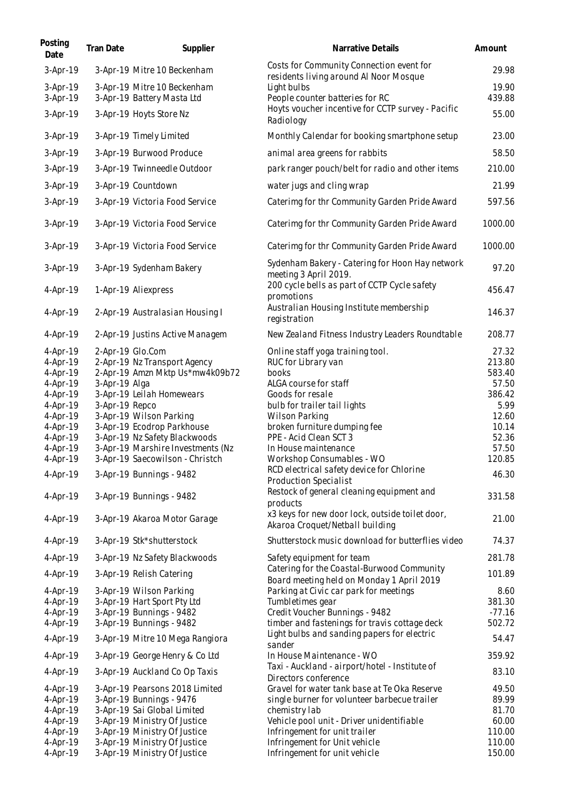| Posting<br>Date      | Tran Date      | Supplier                                                             | Narrative Details                                                                  | Amount         |
|----------------------|----------------|----------------------------------------------------------------------|------------------------------------------------------------------------------------|----------------|
| 3-Apr-19             |                | 3-Apr-19 Mitre 10 Beckenham                                          | Costs for Community Connection event for<br>residents living around Al Noor Mosque | 29.98          |
| 3-Apr-19             |                | 3-Apr-19 Mitre 10 Beckenham                                          | Light bulbs                                                                        | 19.90          |
| 3-Apr-19             |                | 3-Apr-19 Battery Masta Ltd                                           | People counter batteries for RC                                                    | 439.88         |
| 3-Apr-19             |                | 3-Apr-19 Hoyts Store Nz                                              | Hoyts voucher incentive for CCTP survey - Pacific<br>Radiology                     | 55.00          |
| 3-Apr-19             |                | 3-Apr-19 Timely Limited                                              | Monthly Calendar for booking smartphone setup                                      | 23.00          |
| 3-Apr-19             |                | 3-Apr-19 Burwood Produce                                             | animal area greens for rabbits                                                     | 58.50          |
| 3-Apr-19             |                | 3-Apr-19 Twinneedle Outdoor                                          | park ranger pouch/belt for radio and other items                                   | 210.00         |
| 3-Apr-19             |                | 3-Apr-19 Countdown                                                   | water jugs and cling wrap                                                          | 21.99          |
| 3-Apr-19             |                | 3-Apr-19 Victoria Food Service                                       | Caterimg for thr Community Garden Pride Award                                      | 597.56         |
| 3-Apr-19             |                | 3-Apr-19 Victoria Food Service                                       | Caterimg for thr Community Garden Pride Award                                      | 1000.00        |
| 3-Apr-19             |                | 3-Apr-19 Victoria Food Service                                       | Caterimg for thr Community Garden Pride Award                                      | 1000.00        |
| 3-Apr-19             |                | 3-Apr-19 Sydenham Bakery                                             | Sydenham Bakery - Catering for Hoon Hay network<br>meeting 3 April 2019.           | 97.20          |
| 4-Apr-19             |                | 1-Apr-19 Aliexpress                                                  | 200 cycle bells as part of CCTP Cycle safety<br>promotions                         | 456.47         |
| 4-Apr-19             |                | 2-Apr-19 Australasian Housing I                                      | Australian Housing Institute membership<br>registration                            | 146.37         |
| 4-Apr-19             |                | 2-Apr-19 Justins Active Managem                                      | New Zealand Fitness Industry Leaders Roundtable                                    | 208.77         |
| 4-Apr-19             |                | 2-Apr-19 Glo.Com                                                     | Online staff yoga training tool.                                                   | 27.32          |
| 4-Apr-19             |                | 2-Apr-19 Nz Transport Agency                                         | RUC for Library van                                                                | 213.80         |
| 4-Apr-19             |                | 2-Apr-19 Amzn Mktp Us*mw4k09b72                                      | books                                                                              | 583.40         |
| 4-Apr-19             | 3-Apr-19 Alga  |                                                                      | ALGA course for staff                                                              | 57.50          |
| 4-Apr-19             |                | 3-Apr-19 Leilah Homewears                                            | Goods for resale                                                                   | 386.42         |
| 4-Apr-19             | 3-Apr-19 Repco |                                                                      | bulb for trailer tail lights                                                       | 5.99           |
| 4-Apr-19             |                | 3-Apr-19 Wilson Parking                                              | <b>Wilson Parking</b>                                                              | 12.60          |
| 4-Apr-19             |                | 3-Apr-19 Ecodrop Parkhouse                                           | broken furniture dumping fee                                                       | 10.14          |
| 4-Apr-19<br>4-Apr-19 |                | 3-Apr-19 Nz Safety Blackwoods                                        | PPE - Acid Clean SCT 3<br>In House maintenance                                     | 52.36<br>57.50 |
| 4-Apr-19             |                | 3-Apr-19 Marshire Investments (Nz<br>3-Apr-19 Saecowilson - Christch |                                                                                    | 120.85         |
| 4-Apr-19             |                | 3-Apr-19 Bunnings - 9482                                             | Workshop Consumables - WO<br>RCD electrical safety device for Chlorine             | 46.30          |
|                      |                |                                                                      | Production Specialist                                                              |                |
| 4-Apr-19             |                | 3-Apr-19 Bunnings - 9482                                             | Restock of general cleaning equipment and<br>products                              | 331.58         |
| 4-Apr-19             |                | 3-Apr-19 Akaroa Motor Garage                                         | x3 keys for new door lock, outside toilet door,<br>Akaroa Croquet/Netball building | 21.00          |
| 4-Apr-19             |                | 3-Apr-19 Stk*shutterstock                                            | Shutterstock music download for butterflies video                                  | 74.37          |
| 4-Apr-19             |                | 3-Apr-19 Nz Safety Blackwoods                                        | Safety equipment for team<br>Catering for the Coastal-Burwood Community            | 281.78         |
| 4-Apr-19             |                | 3-Apr-19 Relish Catering                                             | Board meeting held on Monday 1 April 2019                                          | 101.89         |
| 4-Apr-19             |                | 3-Apr-19 Wilson Parking                                              | Parking at Civic car park for meetings                                             | 8.60           |
| 4-Apr-19             |                | 3-Apr-19 Hart Sport Pty Ltd                                          | Tumbletimes gear                                                                   | 381.30         |
| 4-Apr-19             |                | 3-Apr-19 Bunnings - 9482                                             | Credit Voucher Bunnings - 9482                                                     | $-77.16$       |
| 4-Apr-19             |                | 3-Apr-19 Bunnings - 9482                                             | timber and fastenings for travis cottage deck                                      | 502.72         |
| 4-Apr-19             |                | 3-Apr-19 Mitre 10 Mega Rangiora                                      | Light bulbs and sanding papers for electric<br>sander                              | 54.47          |
| 4-Apr-19             |                | 3-Apr-19 George Henry & Co Ltd                                       | In House Maintenance - WO                                                          | 359.92         |
| 4-Apr-19             |                | 3-Apr-19 Auckland Co Op Taxis                                        | Taxi - Auckland - airport/hotel - Institute of<br>Directors conference             | 83.10          |
| 4-Apr-19             |                | 3-Apr-19 Pearsons 2018 Limited                                       | Gravel for water tank base at Te Oka Reserve                                       | 49.50          |
| 4-Apr-19             |                | 3-Apr-19 Bunnings - 9476                                             | single burner for volunteer barbecue trailer                                       | 89.99          |
| 4-Apr-19             |                | 3-Apr-19 Sai Global Limited                                          | chemistry lab                                                                      | 81.70          |
| 4-Apr-19             |                | 3-Apr-19 Ministry Of Justice                                         | Vehicle pool unit - Driver unidentifiable                                          | 60.00          |
| 4-Apr-19             |                | 3-Apr-19 Ministry Of Justice                                         | Infringement for unit trailer                                                      | 110.00         |
| 4-Apr-19             |                | 3-Apr-19 Ministry Of Justice                                         | Infringement for Unit vehicle                                                      | 110.00         |
| 4-Apr-19             |                | 3-Apr-19 Ministry Of Justice                                         | Infringement for unit vehicle                                                      | 150.00         |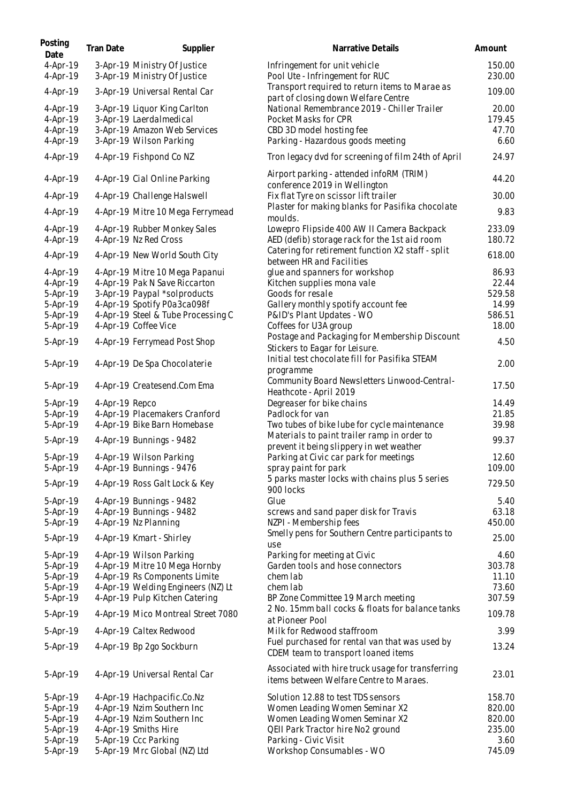| Posting<br>Date      | Tran Date      | Supplier                                                            | Narrative Details                                                                                  | Amount           |
|----------------------|----------------|---------------------------------------------------------------------|----------------------------------------------------------------------------------------------------|------------------|
| 4-Apr-19<br>4-Apr-19 |                | 3-Apr-19 Ministry Of Justice<br>3-Apr-19 Ministry Of Justice        | Infringement for unit vehicle<br>Pool Ute - Infringement for RUC                                   | 150.00<br>230.00 |
| 4-Apr-19             |                | 3-Apr-19 Universal Rental Car                                       | Transport required to return items to Marae as<br>part of closing down Welfare Centre              | 109.00           |
| 4-Apr-19<br>4-Apr-19 |                | 3-Apr-19 Liquor King Carlton<br>3-Apr-19 Laerdalmedical             | National Remembrance 2019 - Chiller Trailer<br>Pocket Masks for CPR                                | 20.00<br>179.45  |
| 4-Apr-19<br>4-Apr-19 |                | 3-Apr-19 Amazon Web Services<br>3-Apr-19 Wilson Parking             | CBD 3D model hosting fee<br>Parking - Hazardous goods meeting                                      | 47.70<br>6.60    |
| 4-Apr-19             |                | 4-Apr-19 Fishpond Co NZ                                             | Tron legacy dvd for screening of film 24th of April                                                | 24.97            |
| 4-Apr-19             |                | 4-Apr-19 Cial Online Parking                                        | Airport parking - attended infoRM (TRIM)<br>conference 2019 in Wellington                          | 44.20            |
| 4-Apr-19             |                | 4-Apr-19 Challenge Halswell                                         | Fix flat Tyre on scissor lift trailer<br>Plaster for making blanks for Pasifika chocolate          | 30.00            |
| 4-Apr-19             |                | 4-Apr-19 Mitre 10 Mega Ferrymead                                    | moulds.                                                                                            | 9.83             |
| 4-Apr-19             |                | 4-Apr-19 Rubber Monkey Sales                                        | Lowepro Flipside 400 AW II Camera Backpack                                                         | 233.09           |
| 4-Apr-19             |                | 4-Apr-19 Nz Red Cross                                               | AED (defib) storage rack for the 1st aid room<br>Catering for retirement function X2 staff - split | 180.72           |
| 4-Apr-19             |                | 4-Apr-19 New World South City                                       | between HR and Facilities                                                                          | 618.00           |
| 4-Apr-19<br>4-Apr-19 |                | 4-Apr-19 Mitre 10 Mega Papanui<br>4-Apr-19 Pak N Save Riccarton     | glue and spanners for workshop<br>Kitchen supplies mona vale                                       | 86.93<br>22.44   |
| 5-Apr-19             |                | 3-Apr-19 Paypal *solproducts                                        | Goods for resale                                                                                   | 529.58           |
| 5-Apr-19             |                | 4-Apr-19 Spotify P0a3ca098f                                         | Gallery monthly spotify account fee                                                                | 14.99            |
| 5-Apr-19             |                | 4-Apr-19 Steel & Tube Processing C                                  | P&ID's Plant Updates - WO                                                                          | 586.51           |
| 5-Apr-19             |                | 4-Apr-19 Coffee Vice                                                | Coffees for U3A group                                                                              | 18.00            |
| 5-Apr-19             |                | 4-Apr-19 Ferrymead Post Shop                                        | Postage and Packaging for Membership Discount<br>Stickers to Eagar for Leisure.                    | 4.50             |
| 5-Apr-19             |                | 4-Apr-19 De Spa Chocolaterie                                        | Initial test chocolate fill for Pasifika STEAM<br>programme                                        | 2.00             |
| 5-Apr-19             |                | 4-Apr-19 Createsend.Com Ema                                         | Community Board Newsletters Linwood-Central-<br>Heathcote - April 2019                             | 17.50            |
| 5-Apr-19             | 4-Apr-19 Repco |                                                                     | Degreaser for bike chains                                                                          | 14.49            |
| 5-Apr-19             |                | 4-Apr-19 Placemakers Cranford                                       | Padlock for van                                                                                    | 21.85<br>39.98   |
| 5-Apr-19<br>5-Apr-19 |                | 4-Apr-19 Bike Barn Homebase<br>4-Apr-19 Bunnings - 9482             | Two tubes of bike lube for cycle maintenance<br>Materials to paint trailer ramp in order to        | 99.37            |
| 5-Apr-19             |                | 4-Apr-19 Wilson Parking                                             | prevent it being slippery in wet weather<br>Parking at Civic car park for meetings                 | 12.60            |
| 5-Apr-19             |                | 4-Apr-19 Bunnings - 9476                                            | spray paint for park                                                                               | 109.00           |
| 5-Apr-19             |                | 4-Apr-19 Ross Galt Lock & Key                                       | 5 parks master locks with chains plus 5 series<br>900 locks                                        | 729.50           |
| 5-Apr-19             |                | 4-Apr-19 Bunnings - 9482                                            | Glue                                                                                               | 5.40             |
| 5-Apr-19             |                | 4-Apr-19 Bunnings - 9482                                            | screws and sand paper disk for Travis                                                              | 63.18            |
| 5-Apr-19             |                | 4-Apr-19 Nz Planning                                                | NZPI - Membership fees                                                                             | 450.00           |
| 5-Apr-19             |                | 4-Apr-19 Kmart - Shirley                                            | Smelly pens for Southern Centre participants to<br>use                                             | 25.00            |
| 5-Apr-19             |                | 4-Apr-19 Wilson Parking                                             | Parking for meeting at Civic                                                                       | 4.60             |
| 5-Apr-19             |                | 4-Apr-19 Mitre 10 Mega Hornby                                       | Garden tools and hose connectors                                                                   | 303.78           |
| 5-Apr-19<br>5-Apr-19 |                | 4-Apr-19 Rs Components Limite<br>4-Apr-19 Welding Engineers (NZ) Lt | chem lab<br>chem lab                                                                               | 11.10<br>73.60   |
| 5-Apr-19             |                | 4-Apr-19 Pulp Kitchen Catering                                      | BP Zone Committee 19 March meeting                                                                 | 307.59           |
| 5-Apr-19             |                | 4-Apr-19 Mico Montreal Street 7080                                  | 2 No. 15mm ball cocks & floats for balance tanks<br>at Pioneer Pool                                | 109.78           |
| 5-Apr-19             |                | 4-Apr-19 Caltex Redwood                                             | Milk for Redwood staffroom                                                                         | 3.99             |
| 5-Apr-19             |                | 4-Apr-19 Bp 2go Sockburn                                            | Fuel purchased for rental van that was used by<br>CDEM team to transport loaned items              | 13.24            |
| 5-Apr-19             |                | 4-Apr-19 Universal Rental Car                                       | Associated with hire truck usage for transferring<br>items between Welfare Centre to Maraes.       | 23.01            |
| 5-Apr-19             |                | 4-Apr-19 Hachpacific.Co.Nz                                          | Solution 12.88 to test TDS sensors                                                                 | 158.70           |
| 5-Apr-19             |                | 4-Apr-19 Nzim Southern Inc                                          | Women Leading Women Seminar X2                                                                     | 820.00           |
| 5-Apr-19             |                | 4-Apr-19 Nzim Southern Inc                                          | Women Leading Women Seminar X2                                                                     | 820.00           |
| 5-Apr-19<br>5-Apr-19 |                | 4-Apr-19 Smiths Hire<br>5-Apr-19 Ccc Parking                        | QEII Park Tractor hire No2 ground<br>Parking - Civic Visit                                         | 235.00<br>3.60   |
| 5-Apr-19             |                | 5-Apr-19 Mrc Global (NZ) Ltd                                        | Workshop Consumables - WO                                                                          | 745.09           |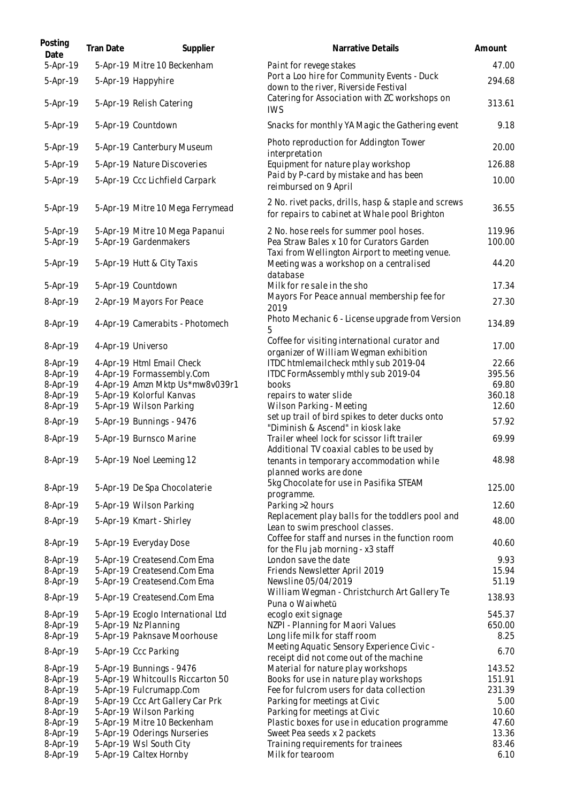| 5-Apr-19 Mitre 10 Beckenham<br>Port a Loo hire for Community Events - Duck<br>5-Apr-19<br>294.68<br>5-Apr-19 Happyhire<br>down to the river, Riverside Festival<br>Catering for Association with ZC workshops on<br>313.61<br>5-Apr-19<br>5-Apr-19 Relish Catering<br><b>IWS</b><br>5-Apr-19<br>5-Apr-19 Countdown<br>Snacks for monthly YA Magic the Gathering event<br>9.18<br>Photo reproduction for Addington Tower<br>5-Apr-19 Canterbury Museum<br>20.00<br>5-Apr-19<br>interpretation<br>5-Apr-19 Nature Discoveries<br>126.88<br>5-Apr-19<br>Equipment for nature play workshop<br>Paid by P-card by mistake and has been<br>10.00<br>5-Apr-19<br>5-Apr-19 Ccc Lichfield Carpark<br>reimbursed on 9 April<br>2 No. rivet packs, drills, hasp & staple and screws<br>5-Apr-19<br>5-Apr-19 Mitre 10 Mega Ferrymead<br>36.55<br>for repairs to cabinet at Whale pool Brighton<br>5-Apr-19<br>5-Apr-19 Mitre 10 Mega Papanui<br>2 No. hose reels for summer pool hoses.<br>119.96<br>5-Apr-19<br>Pea Straw Bales x 10 for Curators Garden<br>5-Apr-19 Gardenmakers<br>100.00<br>Taxi from Wellington Airport to meeting venue.<br>5-Apr-19<br>5-Apr-19 Hutt & City Taxis<br>44.20<br>Meeting was a workshop on a centralised<br>database<br>5-Apr-19<br>5-Apr-19 Countdown<br>Milk for resale in the sho<br>17.34<br>Mayors For Peace annual membership fee for<br>8-Apr-19<br>2-Apr-19 Mayors For Peace<br>27.30<br>2019<br>Photo Mechanic 6 - License upgrade from Version<br>134.89<br>8-Apr-19<br>4-Apr-19 Camerabits - Photomech<br>5<br>Coffee for visiting international curator and<br>17.00<br>8-Apr-19<br>4-Apr-19 Universo<br>organizer of William Wegman exhibition<br>22.66<br>8-Apr-19<br>4-Apr-19 Html Email Check<br>ITDC htmlemailcheck mthly sub 2019-04<br>8-Apr-19<br>4-Apr-19 Formassembly.Com<br>ITDC FormAssembly mthly sub 2019-04<br>395.56<br>8-Apr-19<br>4-Apr-19 Amzn Mktp Us*mw8v039r1<br>69.80<br>books<br>8-Apr-19<br>5-Apr-19 Kolorful Kanvas<br>repairs to water slide<br>360.18<br>8-Apr-19<br>5-Apr-19 Wilson Parking<br>Wilson Parking - Meeting<br>12.60<br>set up trail of bird spikes to deter ducks onto<br>5-Apr-19 Bunnings - 9476<br>57.92<br>8-Apr-19<br>"Diminish & Ascend" in kiosk lake<br>8-Apr-19<br>5-Apr-19 Burnsco Marine<br>Trailer wheel lock for scissor lift trailer<br>Additional TV coaxial cables to be used by<br>48.98<br>8-Apr-19<br>5-Apr-19 Noel Leeming 12<br>tenants in temporary accommodation while<br>planned works are done<br>5kg Chocolate for use in Pasifika STEAM<br>8-Apr-19<br>5-Apr-19 De Spa Chocolaterie<br>125.00<br>programme.<br>8-Apr-19<br>5-Apr-19 Wilson Parking<br>12.60<br>Parking > 2 hours<br>Replacement play balls for the toddlers pool and<br>48.00<br>8-Apr-19<br>5-Apr-19 Kmart - Shirley<br>Lean to swim preschool classes.<br>Coffee for staff and nurses in the function room<br>5-Apr-19 Everyday Dose<br>8-Apr-19<br>for the Flu jab morning - x3 staff<br>9.93<br>8-Apr-19<br>5-Apr-19 Createsend.Com Ema<br>London save the date<br>8-Apr-19<br>5-Apr-19 Createsend.Com Ema<br>15.94<br>Friends Newsletter April 2019<br>8-Apr-19<br>5-Apr-19 Createsend.Com Ema<br>Newsline 05/04/2019<br>51.19<br>William Wegman - Christchurch Art Gallery Te<br>138.93<br>8-Apr-19<br>5-Apr-19 Createsend.Com Ema<br>Puna o Waiwhetū<br>8-Apr-19<br>545.37<br>5-Apr-19 Ecoglo International Ltd<br>ecoglo exit signage<br>8-Apr-19<br>5-Apr-19 Nz Planning<br>NZPI - Planning for Maori Values<br>650.00<br>8-Apr-19<br>5-Apr-19 Paknsave Moorhouse<br>Long life milk for staff room<br>8.25<br>Meeting Aquatic Sensory Experience Civic -<br>8-Apr-19<br>6.70<br>5-Apr-19 Ccc Parking<br>receipt did not come out of the machine<br>143.52<br>5-Apr-19 Bunnings - 9476<br>Material for nature play workshops<br>8-Apr-19<br>5-Apr-19 Whitcoulls Riccarton 50<br>151.91<br>8-Apr-19<br>Books for use in nature play workshops<br>8-Apr-19<br>5-Apr-19 Fulcrumapp.Com<br>Fee for fulcrom users for data collection<br>231.39<br>8-Apr-19<br>Parking for meetings at Civic<br>5.00<br>5-Apr-19 Ccc Art Gallery Car Prk<br>8-Apr-19<br>5-Apr-19 Wilson Parking<br>10.60<br>Parking for meetings at Civic<br>8-Apr-19<br>5-Apr-19 Mitre 10 Beckenham<br>Plastic boxes for use in education programme<br>47.60<br>8-Apr-19<br>5-Apr-19 Oderings Nurseries<br>13.36<br>Sweet Pea seeds x 2 packets<br>8-Apr-19<br>5-Apr-19 Wsl South City<br>83.46<br>Training requirements for trainees<br>5-Apr-19 Caltex Hornby | Posting<br>Date | Tran Date | Supplier | Narrative Details       | Amount |
|--------------------------------------------------------------------------------------------------------------------------------------------------------------------------------------------------------------------------------------------------------------------------------------------------------------------------------------------------------------------------------------------------------------------------------------------------------------------------------------------------------------------------------------------------------------------------------------------------------------------------------------------------------------------------------------------------------------------------------------------------------------------------------------------------------------------------------------------------------------------------------------------------------------------------------------------------------------------------------------------------------------------------------------------------------------------------------------------------------------------------------------------------------------------------------------------------------------------------------------------------------------------------------------------------------------------------------------------------------------------------------------------------------------------------------------------------------------------------------------------------------------------------------------------------------------------------------------------------------------------------------------------------------------------------------------------------------------------------------------------------------------------------------------------------------------------------------------------------------------------------------------------------------------------------------------------------------------------------------------------------------------------------------------------------------------------------------------------------------------------------------------------------------------------------------------------------------------------------------------------------------------------------------------------------------------------------------------------------------------------------------------------------------------------------------------------------------------------------------------------------------------------------------------------------------------------------------------------------------------------------------------------------------------------------------------------------------------------------------------------------------------------------------------------------------------------------------------------------------------------------------------------------------------------------------------------------------------------------------------------------------------------------------------------------------------------------------------------------------------------------------------------------------------------------------------------------------------------------------------------------------------------------------------------------------------------------------------------------------------------------------------------------------------------------------------------------------------------------------------------------------------------------------------------------------------------------------------------------------------------------------------------------------------------------------------------------------------------------------------------------------------------------------------------------------------------------------------------------------------------------------------------------------------------------------------------------------------------------------------------------------------------------------------------------------------------------------------------------------------------------------------------------------------------------------------------------------------------------------------------------------------------------------------------------------------------------------------------------------------------------------------------------------------------------------------------------------------------------------------------------------------|-----------------|-----------|----------|-------------------------|--------|
|                                                                                                                                                                                                                                                                                                                                                                                                                                                                                                                                                                                                                                                                                                                                                                                                                                                                                                                                                                                                                                                                                                                                                                                                                                                                                                                                                                                                                                                                                                                                                                                                                                                                                                                                                                                                                                                                                                                                                                                                                                                                                                                                                                                                                                                                                                                                                                                                                                                                                                                                                                                                                                                                                                                                                                                                                                                                                                                                                                                                                                                                                                                                                                                                                                                                                                                                                                                                                                                                                                                                                                                                                                                                                                                                                                                                                                                                                                                                                                                                                                                                                                                                                                                                                                                                                                                                                                                                                                                                                                              | 5-Apr-19        |           |          | Paint for revege stakes | 47.00  |
|                                                                                                                                                                                                                                                                                                                                                                                                                                                                                                                                                                                                                                                                                                                                                                                                                                                                                                                                                                                                                                                                                                                                                                                                                                                                                                                                                                                                                                                                                                                                                                                                                                                                                                                                                                                                                                                                                                                                                                                                                                                                                                                                                                                                                                                                                                                                                                                                                                                                                                                                                                                                                                                                                                                                                                                                                                                                                                                                                                                                                                                                                                                                                                                                                                                                                                                                                                                                                                                                                                                                                                                                                                                                                                                                                                                                                                                                                                                                                                                                                                                                                                                                                                                                                                                                                                                                                                                                                                                                                                              |                 |           |          |                         |        |
|                                                                                                                                                                                                                                                                                                                                                                                                                                                                                                                                                                                                                                                                                                                                                                                                                                                                                                                                                                                                                                                                                                                                                                                                                                                                                                                                                                                                                                                                                                                                                                                                                                                                                                                                                                                                                                                                                                                                                                                                                                                                                                                                                                                                                                                                                                                                                                                                                                                                                                                                                                                                                                                                                                                                                                                                                                                                                                                                                                                                                                                                                                                                                                                                                                                                                                                                                                                                                                                                                                                                                                                                                                                                                                                                                                                                                                                                                                                                                                                                                                                                                                                                                                                                                                                                                                                                                                                                                                                                                                              |                 |           |          |                         |        |
|                                                                                                                                                                                                                                                                                                                                                                                                                                                                                                                                                                                                                                                                                                                                                                                                                                                                                                                                                                                                                                                                                                                                                                                                                                                                                                                                                                                                                                                                                                                                                                                                                                                                                                                                                                                                                                                                                                                                                                                                                                                                                                                                                                                                                                                                                                                                                                                                                                                                                                                                                                                                                                                                                                                                                                                                                                                                                                                                                                                                                                                                                                                                                                                                                                                                                                                                                                                                                                                                                                                                                                                                                                                                                                                                                                                                                                                                                                                                                                                                                                                                                                                                                                                                                                                                                                                                                                                                                                                                                                              |                 |           |          |                         |        |
|                                                                                                                                                                                                                                                                                                                                                                                                                                                                                                                                                                                                                                                                                                                                                                                                                                                                                                                                                                                                                                                                                                                                                                                                                                                                                                                                                                                                                                                                                                                                                                                                                                                                                                                                                                                                                                                                                                                                                                                                                                                                                                                                                                                                                                                                                                                                                                                                                                                                                                                                                                                                                                                                                                                                                                                                                                                                                                                                                                                                                                                                                                                                                                                                                                                                                                                                                                                                                                                                                                                                                                                                                                                                                                                                                                                                                                                                                                                                                                                                                                                                                                                                                                                                                                                                                                                                                                                                                                                                                                              |                 |           |          |                         |        |
|                                                                                                                                                                                                                                                                                                                                                                                                                                                                                                                                                                                                                                                                                                                                                                                                                                                                                                                                                                                                                                                                                                                                                                                                                                                                                                                                                                                                                                                                                                                                                                                                                                                                                                                                                                                                                                                                                                                                                                                                                                                                                                                                                                                                                                                                                                                                                                                                                                                                                                                                                                                                                                                                                                                                                                                                                                                                                                                                                                                                                                                                                                                                                                                                                                                                                                                                                                                                                                                                                                                                                                                                                                                                                                                                                                                                                                                                                                                                                                                                                                                                                                                                                                                                                                                                                                                                                                                                                                                                                                              |                 |           |          |                         |        |
|                                                                                                                                                                                                                                                                                                                                                                                                                                                                                                                                                                                                                                                                                                                                                                                                                                                                                                                                                                                                                                                                                                                                                                                                                                                                                                                                                                                                                                                                                                                                                                                                                                                                                                                                                                                                                                                                                                                                                                                                                                                                                                                                                                                                                                                                                                                                                                                                                                                                                                                                                                                                                                                                                                                                                                                                                                                                                                                                                                                                                                                                                                                                                                                                                                                                                                                                                                                                                                                                                                                                                                                                                                                                                                                                                                                                                                                                                                                                                                                                                                                                                                                                                                                                                                                                                                                                                                                                                                                                                                              |                 |           |          |                         |        |
|                                                                                                                                                                                                                                                                                                                                                                                                                                                                                                                                                                                                                                                                                                                                                                                                                                                                                                                                                                                                                                                                                                                                                                                                                                                                                                                                                                                                                                                                                                                                                                                                                                                                                                                                                                                                                                                                                                                                                                                                                                                                                                                                                                                                                                                                                                                                                                                                                                                                                                                                                                                                                                                                                                                                                                                                                                                                                                                                                                                                                                                                                                                                                                                                                                                                                                                                                                                                                                                                                                                                                                                                                                                                                                                                                                                                                                                                                                                                                                                                                                                                                                                                                                                                                                                                                                                                                                                                                                                                                                              |                 |           |          |                         |        |
|                                                                                                                                                                                                                                                                                                                                                                                                                                                                                                                                                                                                                                                                                                                                                                                                                                                                                                                                                                                                                                                                                                                                                                                                                                                                                                                                                                                                                                                                                                                                                                                                                                                                                                                                                                                                                                                                                                                                                                                                                                                                                                                                                                                                                                                                                                                                                                                                                                                                                                                                                                                                                                                                                                                                                                                                                                                                                                                                                                                                                                                                                                                                                                                                                                                                                                                                                                                                                                                                                                                                                                                                                                                                                                                                                                                                                                                                                                                                                                                                                                                                                                                                                                                                                                                                                                                                                                                                                                                                                                              |                 |           |          |                         |        |
|                                                                                                                                                                                                                                                                                                                                                                                                                                                                                                                                                                                                                                                                                                                                                                                                                                                                                                                                                                                                                                                                                                                                                                                                                                                                                                                                                                                                                                                                                                                                                                                                                                                                                                                                                                                                                                                                                                                                                                                                                                                                                                                                                                                                                                                                                                                                                                                                                                                                                                                                                                                                                                                                                                                                                                                                                                                                                                                                                                                                                                                                                                                                                                                                                                                                                                                                                                                                                                                                                                                                                                                                                                                                                                                                                                                                                                                                                                                                                                                                                                                                                                                                                                                                                                                                                                                                                                                                                                                                                                              |                 |           |          |                         |        |
|                                                                                                                                                                                                                                                                                                                                                                                                                                                                                                                                                                                                                                                                                                                                                                                                                                                                                                                                                                                                                                                                                                                                                                                                                                                                                                                                                                                                                                                                                                                                                                                                                                                                                                                                                                                                                                                                                                                                                                                                                                                                                                                                                                                                                                                                                                                                                                                                                                                                                                                                                                                                                                                                                                                                                                                                                                                                                                                                                                                                                                                                                                                                                                                                                                                                                                                                                                                                                                                                                                                                                                                                                                                                                                                                                                                                                                                                                                                                                                                                                                                                                                                                                                                                                                                                                                                                                                                                                                                                                                              |                 |           |          |                         |        |
|                                                                                                                                                                                                                                                                                                                                                                                                                                                                                                                                                                                                                                                                                                                                                                                                                                                                                                                                                                                                                                                                                                                                                                                                                                                                                                                                                                                                                                                                                                                                                                                                                                                                                                                                                                                                                                                                                                                                                                                                                                                                                                                                                                                                                                                                                                                                                                                                                                                                                                                                                                                                                                                                                                                                                                                                                                                                                                                                                                                                                                                                                                                                                                                                                                                                                                                                                                                                                                                                                                                                                                                                                                                                                                                                                                                                                                                                                                                                                                                                                                                                                                                                                                                                                                                                                                                                                                                                                                                                                                              |                 |           |          |                         |        |
|                                                                                                                                                                                                                                                                                                                                                                                                                                                                                                                                                                                                                                                                                                                                                                                                                                                                                                                                                                                                                                                                                                                                                                                                                                                                                                                                                                                                                                                                                                                                                                                                                                                                                                                                                                                                                                                                                                                                                                                                                                                                                                                                                                                                                                                                                                                                                                                                                                                                                                                                                                                                                                                                                                                                                                                                                                                                                                                                                                                                                                                                                                                                                                                                                                                                                                                                                                                                                                                                                                                                                                                                                                                                                                                                                                                                                                                                                                                                                                                                                                                                                                                                                                                                                                                                                                                                                                                                                                                                                                              |                 |           |          |                         |        |
|                                                                                                                                                                                                                                                                                                                                                                                                                                                                                                                                                                                                                                                                                                                                                                                                                                                                                                                                                                                                                                                                                                                                                                                                                                                                                                                                                                                                                                                                                                                                                                                                                                                                                                                                                                                                                                                                                                                                                                                                                                                                                                                                                                                                                                                                                                                                                                                                                                                                                                                                                                                                                                                                                                                                                                                                                                                                                                                                                                                                                                                                                                                                                                                                                                                                                                                                                                                                                                                                                                                                                                                                                                                                                                                                                                                                                                                                                                                                                                                                                                                                                                                                                                                                                                                                                                                                                                                                                                                                                                              |                 |           |          |                         |        |
|                                                                                                                                                                                                                                                                                                                                                                                                                                                                                                                                                                                                                                                                                                                                                                                                                                                                                                                                                                                                                                                                                                                                                                                                                                                                                                                                                                                                                                                                                                                                                                                                                                                                                                                                                                                                                                                                                                                                                                                                                                                                                                                                                                                                                                                                                                                                                                                                                                                                                                                                                                                                                                                                                                                                                                                                                                                                                                                                                                                                                                                                                                                                                                                                                                                                                                                                                                                                                                                                                                                                                                                                                                                                                                                                                                                                                                                                                                                                                                                                                                                                                                                                                                                                                                                                                                                                                                                                                                                                                                              |                 |           |          |                         |        |
|                                                                                                                                                                                                                                                                                                                                                                                                                                                                                                                                                                                                                                                                                                                                                                                                                                                                                                                                                                                                                                                                                                                                                                                                                                                                                                                                                                                                                                                                                                                                                                                                                                                                                                                                                                                                                                                                                                                                                                                                                                                                                                                                                                                                                                                                                                                                                                                                                                                                                                                                                                                                                                                                                                                                                                                                                                                                                                                                                                                                                                                                                                                                                                                                                                                                                                                                                                                                                                                                                                                                                                                                                                                                                                                                                                                                                                                                                                                                                                                                                                                                                                                                                                                                                                                                                                                                                                                                                                                                                                              |                 |           |          |                         |        |
|                                                                                                                                                                                                                                                                                                                                                                                                                                                                                                                                                                                                                                                                                                                                                                                                                                                                                                                                                                                                                                                                                                                                                                                                                                                                                                                                                                                                                                                                                                                                                                                                                                                                                                                                                                                                                                                                                                                                                                                                                                                                                                                                                                                                                                                                                                                                                                                                                                                                                                                                                                                                                                                                                                                                                                                                                                                                                                                                                                                                                                                                                                                                                                                                                                                                                                                                                                                                                                                                                                                                                                                                                                                                                                                                                                                                                                                                                                                                                                                                                                                                                                                                                                                                                                                                                                                                                                                                                                                                                                              |                 |           |          |                         |        |
|                                                                                                                                                                                                                                                                                                                                                                                                                                                                                                                                                                                                                                                                                                                                                                                                                                                                                                                                                                                                                                                                                                                                                                                                                                                                                                                                                                                                                                                                                                                                                                                                                                                                                                                                                                                                                                                                                                                                                                                                                                                                                                                                                                                                                                                                                                                                                                                                                                                                                                                                                                                                                                                                                                                                                                                                                                                                                                                                                                                                                                                                                                                                                                                                                                                                                                                                                                                                                                                                                                                                                                                                                                                                                                                                                                                                                                                                                                                                                                                                                                                                                                                                                                                                                                                                                                                                                                                                                                                                                                              |                 |           |          |                         |        |
|                                                                                                                                                                                                                                                                                                                                                                                                                                                                                                                                                                                                                                                                                                                                                                                                                                                                                                                                                                                                                                                                                                                                                                                                                                                                                                                                                                                                                                                                                                                                                                                                                                                                                                                                                                                                                                                                                                                                                                                                                                                                                                                                                                                                                                                                                                                                                                                                                                                                                                                                                                                                                                                                                                                                                                                                                                                                                                                                                                                                                                                                                                                                                                                                                                                                                                                                                                                                                                                                                                                                                                                                                                                                                                                                                                                                                                                                                                                                                                                                                                                                                                                                                                                                                                                                                                                                                                                                                                                                                                              |                 |           |          |                         |        |
|                                                                                                                                                                                                                                                                                                                                                                                                                                                                                                                                                                                                                                                                                                                                                                                                                                                                                                                                                                                                                                                                                                                                                                                                                                                                                                                                                                                                                                                                                                                                                                                                                                                                                                                                                                                                                                                                                                                                                                                                                                                                                                                                                                                                                                                                                                                                                                                                                                                                                                                                                                                                                                                                                                                                                                                                                                                                                                                                                                                                                                                                                                                                                                                                                                                                                                                                                                                                                                                                                                                                                                                                                                                                                                                                                                                                                                                                                                                                                                                                                                                                                                                                                                                                                                                                                                                                                                                                                                                                                                              |                 |           |          |                         |        |
|                                                                                                                                                                                                                                                                                                                                                                                                                                                                                                                                                                                                                                                                                                                                                                                                                                                                                                                                                                                                                                                                                                                                                                                                                                                                                                                                                                                                                                                                                                                                                                                                                                                                                                                                                                                                                                                                                                                                                                                                                                                                                                                                                                                                                                                                                                                                                                                                                                                                                                                                                                                                                                                                                                                                                                                                                                                                                                                                                                                                                                                                                                                                                                                                                                                                                                                                                                                                                                                                                                                                                                                                                                                                                                                                                                                                                                                                                                                                                                                                                                                                                                                                                                                                                                                                                                                                                                                                                                                                                                              |                 |           |          |                         | 69.99  |
|                                                                                                                                                                                                                                                                                                                                                                                                                                                                                                                                                                                                                                                                                                                                                                                                                                                                                                                                                                                                                                                                                                                                                                                                                                                                                                                                                                                                                                                                                                                                                                                                                                                                                                                                                                                                                                                                                                                                                                                                                                                                                                                                                                                                                                                                                                                                                                                                                                                                                                                                                                                                                                                                                                                                                                                                                                                                                                                                                                                                                                                                                                                                                                                                                                                                                                                                                                                                                                                                                                                                                                                                                                                                                                                                                                                                                                                                                                                                                                                                                                                                                                                                                                                                                                                                                                                                                                                                                                                                                                              |                 |           |          |                         |        |
|                                                                                                                                                                                                                                                                                                                                                                                                                                                                                                                                                                                                                                                                                                                                                                                                                                                                                                                                                                                                                                                                                                                                                                                                                                                                                                                                                                                                                                                                                                                                                                                                                                                                                                                                                                                                                                                                                                                                                                                                                                                                                                                                                                                                                                                                                                                                                                                                                                                                                                                                                                                                                                                                                                                                                                                                                                                                                                                                                                                                                                                                                                                                                                                                                                                                                                                                                                                                                                                                                                                                                                                                                                                                                                                                                                                                                                                                                                                                                                                                                                                                                                                                                                                                                                                                                                                                                                                                                                                                                                              |                 |           |          |                         |        |
|                                                                                                                                                                                                                                                                                                                                                                                                                                                                                                                                                                                                                                                                                                                                                                                                                                                                                                                                                                                                                                                                                                                                                                                                                                                                                                                                                                                                                                                                                                                                                                                                                                                                                                                                                                                                                                                                                                                                                                                                                                                                                                                                                                                                                                                                                                                                                                                                                                                                                                                                                                                                                                                                                                                                                                                                                                                                                                                                                                                                                                                                                                                                                                                                                                                                                                                                                                                                                                                                                                                                                                                                                                                                                                                                                                                                                                                                                                                                                                                                                                                                                                                                                                                                                                                                                                                                                                                                                                                                                                              |                 |           |          |                         |        |
|                                                                                                                                                                                                                                                                                                                                                                                                                                                                                                                                                                                                                                                                                                                                                                                                                                                                                                                                                                                                                                                                                                                                                                                                                                                                                                                                                                                                                                                                                                                                                                                                                                                                                                                                                                                                                                                                                                                                                                                                                                                                                                                                                                                                                                                                                                                                                                                                                                                                                                                                                                                                                                                                                                                                                                                                                                                                                                                                                                                                                                                                                                                                                                                                                                                                                                                                                                                                                                                                                                                                                                                                                                                                                                                                                                                                                                                                                                                                                                                                                                                                                                                                                                                                                                                                                                                                                                                                                                                                                                              |                 |           |          |                         |        |
|                                                                                                                                                                                                                                                                                                                                                                                                                                                                                                                                                                                                                                                                                                                                                                                                                                                                                                                                                                                                                                                                                                                                                                                                                                                                                                                                                                                                                                                                                                                                                                                                                                                                                                                                                                                                                                                                                                                                                                                                                                                                                                                                                                                                                                                                                                                                                                                                                                                                                                                                                                                                                                                                                                                                                                                                                                                                                                                                                                                                                                                                                                                                                                                                                                                                                                                                                                                                                                                                                                                                                                                                                                                                                                                                                                                                                                                                                                                                                                                                                                                                                                                                                                                                                                                                                                                                                                                                                                                                                                              |                 |           |          |                         |        |
|                                                                                                                                                                                                                                                                                                                                                                                                                                                                                                                                                                                                                                                                                                                                                                                                                                                                                                                                                                                                                                                                                                                                                                                                                                                                                                                                                                                                                                                                                                                                                                                                                                                                                                                                                                                                                                                                                                                                                                                                                                                                                                                                                                                                                                                                                                                                                                                                                                                                                                                                                                                                                                                                                                                                                                                                                                                                                                                                                                                                                                                                                                                                                                                                                                                                                                                                                                                                                                                                                                                                                                                                                                                                                                                                                                                                                                                                                                                                                                                                                                                                                                                                                                                                                                                                                                                                                                                                                                                                                                              |                 |           |          |                         | 40.60  |
|                                                                                                                                                                                                                                                                                                                                                                                                                                                                                                                                                                                                                                                                                                                                                                                                                                                                                                                                                                                                                                                                                                                                                                                                                                                                                                                                                                                                                                                                                                                                                                                                                                                                                                                                                                                                                                                                                                                                                                                                                                                                                                                                                                                                                                                                                                                                                                                                                                                                                                                                                                                                                                                                                                                                                                                                                                                                                                                                                                                                                                                                                                                                                                                                                                                                                                                                                                                                                                                                                                                                                                                                                                                                                                                                                                                                                                                                                                                                                                                                                                                                                                                                                                                                                                                                                                                                                                                                                                                                                                              |                 |           |          |                         |        |
|                                                                                                                                                                                                                                                                                                                                                                                                                                                                                                                                                                                                                                                                                                                                                                                                                                                                                                                                                                                                                                                                                                                                                                                                                                                                                                                                                                                                                                                                                                                                                                                                                                                                                                                                                                                                                                                                                                                                                                                                                                                                                                                                                                                                                                                                                                                                                                                                                                                                                                                                                                                                                                                                                                                                                                                                                                                                                                                                                                                                                                                                                                                                                                                                                                                                                                                                                                                                                                                                                                                                                                                                                                                                                                                                                                                                                                                                                                                                                                                                                                                                                                                                                                                                                                                                                                                                                                                                                                                                                                              |                 |           |          |                         |        |
|                                                                                                                                                                                                                                                                                                                                                                                                                                                                                                                                                                                                                                                                                                                                                                                                                                                                                                                                                                                                                                                                                                                                                                                                                                                                                                                                                                                                                                                                                                                                                                                                                                                                                                                                                                                                                                                                                                                                                                                                                                                                                                                                                                                                                                                                                                                                                                                                                                                                                                                                                                                                                                                                                                                                                                                                                                                                                                                                                                                                                                                                                                                                                                                                                                                                                                                                                                                                                                                                                                                                                                                                                                                                                                                                                                                                                                                                                                                                                                                                                                                                                                                                                                                                                                                                                                                                                                                                                                                                                                              |                 |           |          |                         |        |
|                                                                                                                                                                                                                                                                                                                                                                                                                                                                                                                                                                                                                                                                                                                                                                                                                                                                                                                                                                                                                                                                                                                                                                                                                                                                                                                                                                                                                                                                                                                                                                                                                                                                                                                                                                                                                                                                                                                                                                                                                                                                                                                                                                                                                                                                                                                                                                                                                                                                                                                                                                                                                                                                                                                                                                                                                                                                                                                                                                                                                                                                                                                                                                                                                                                                                                                                                                                                                                                                                                                                                                                                                                                                                                                                                                                                                                                                                                                                                                                                                                                                                                                                                                                                                                                                                                                                                                                                                                                                                                              |                 |           |          |                         |        |
|                                                                                                                                                                                                                                                                                                                                                                                                                                                                                                                                                                                                                                                                                                                                                                                                                                                                                                                                                                                                                                                                                                                                                                                                                                                                                                                                                                                                                                                                                                                                                                                                                                                                                                                                                                                                                                                                                                                                                                                                                                                                                                                                                                                                                                                                                                                                                                                                                                                                                                                                                                                                                                                                                                                                                                                                                                                                                                                                                                                                                                                                                                                                                                                                                                                                                                                                                                                                                                                                                                                                                                                                                                                                                                                                                                                                                                                                                                                                                                                                                                                                                                                                                                                                                                                                                                                                                                                                                                                                                                              |                 |           |          |                         |        |
|                                                                                                                                                                                                                                                                                                                                                                                                                                                                                                                                                                                                                                                                                                                                                                                                                                                                                                                                                                                                                                                                                                                                                                                                                                                                                                                                                                                                                                                                                                                                                                                                                                                                                                                                                                                                                                                                                                                                                                                                                                                                                                                                                                                                                                                                                                                                                                                                                                                                                                                                                                                                                                                                                                                                                                                                                                                                                                                                                                                                                                                                                                                                                                                                                                                                                                                                                                                                                                                                                                                                                                                                                                                                                                                                                                                                                                                                                                                                                                                                                                                                                                                                                                                                                                                                                                                                                                                                                                                                                                              |                 |           |          |                         |        |
|                                                                                                                                                                                                                                                                                                                                                                                                                                                                                                                                                                                                                                                                                                                                                                                                                                                                                                                                                                                                                                                                                                                                                                                                                                                                                                                                                                                                                                                                                                                                                                                                                                                                                                                                                                                                                                                                                                                                                                                                                                                                                                                                                                                                                                                                                                                                                                                                                                                                                                                                                                                                                                                                                                                                                                                                                                                                                                                                                                                                                                                                                                                                                                                                                                                                                                                                                                                                                                                                                                                                                                                                                                                                                                                                                                                                                                                                                                                                                                                                                                                                                                                                                                                                                                                                                                                                                                                                                                                                                                              |                 |           |          |                         |        |
|                                                                                                                                                                                                                                                                                                                                                                                                                                                                                                                                                                                                                                                                                                                                                                                                                                                                                                                                                                                                                                                                                                                                                                                                                                                                                                                                                                                                                                                                                                                                                                                                                                                                                                                                                                                                                                                                                                                                                                                                                                                                                                                                                                                                                                                                                                                                                                                                                                                                                                                                                                                                                                                                                                                                                                                                                                                                                                                                                                                                                                                                                                                                                                                                                                                                                                                                                                                                                                                                                                                                                                                                                                                                                                                                                                                                                                                                                                                                                                                                                                                                                                                                                                                                                                                                                                                                                                                                                                                                                                              |                 |           |          |                         |        |
|                                                                                                                                                                                                                                                                                                                                                                                                                                                                                                                                                                                                                                                                                                                                                                                                                                                                                                                                                                                                                                                                                                                                                                                                                                                                                                                                                                                                                                                                                                                                                                                                                                                                                                                                                                                                                                                                                                                                                                                                                                                                                                                                                                                                                                                                                                                                                                                                                                                                                                                                                                                                                                                                                                                                                                                                                                                                                                                                                                                                                                                                                                                                                                                                                                                                                                                                                                                                                                                                                                                                                                                                                                                                                                                                                                                                                                                                                                                                                                                                                                                                                                                                                                                                                                                                                                                                                                                                                                                                                                              |                 |           |          |                         |        |
|                                                                                                                                                                                                                                                                                                                                                                                                                                                                                                                                                                                                                                                                                                                                                                                                                                                                                                                                                                                                                                                                                                                                                                                                                                                                                                                                                                                                                                                                                                                                                                                                                                                                                                                                                                                                                                                                                                                                                                                                                                                                                                                                                                                                                                                                                                                                                                                                                                                                                                                                                                                                                                                                                                                                                                                                                                                                                                                                                                                                                                                                                                                                                                                                                                                                                                                                                                                                                                                                                                                                                                                                                                                                                                                                                                                                                                                                                                                                                                                                                                                                                                                                                                                                                                                                                                                                                                                                                                                                                                              |                 |           |          |                         |        |
|                                                                                                                                                                                                                                                                                                                                                                                                                                                                                                                                                                                                                                                                                                                                                                                                                                                                                                                                                                                                                                                                                                                                                                                                                                                                                                                                                                                                                                                                                                                                                                                                                                                                                                                                                                                                                                                                                                                                                                                                                                                                                                                                                                                                                                                                                                                                                                                                                                                                                                                                                                                                                                                                                                                                                                                                                                                                                                                                                                                                                                                                                                                                                                                                                                                                                                                                                                                                                                                                                                                                                                                                                                                                                                                                                                                                                                                                                                                                                                                                                                                                                                                                                                                                                                                                                                                                                                                                                                                                                                              |                 |           |          |                         |        |
|                                                                                                                                                                                                                                                                                                                                                                                                                                                                                                                                                                                                                                                                                                                                                                                                                                                                                                                                                                                                                                                                                                                                                                                                                                                                                                                                                                                                                                                                                                                                                                                                                                                                                                                                                                                                                                                                                                                                                                                                                                                                                                                                                                                                                                                                                                                                                                                                                                                                                                                                                                                                                                                                                                                                                                                                                                                                                                                                                                                                                                                                                                                                                                                                                                                                                                                                                                                                                                                                                                                                                                                                                                                                                                                                                                                                                                                                                                                                                                                                                                                                                                                                                                                                                                                                                                                                                                                                                                                                                                              |                 |           |          |                         |        |
|                                                                                                                                                                                                                                                                                                                                                                                                                                                                                                                                                                                                                                                                                                                                                                                                                                                                                                                                                                                                                                                                                                                                                                                                                                                                                                                                                                                                                                                                                                                                                                                                                                                                                                                                                                                                                                                                                                                                                                                                                                                                                                                                                                                                                                                                                                                                                                                                                                                                                                                                                                                                                                                                                                                                                                                                                                                                                                                                                                                                                                                                                                                                                                                                                                                                                                                                                                                                                                                                                                                                                                                                                                                                                                                                                                                                                                                                                                                                                                                                                                                                                                                                                                                                                                                                                                                                                                                                                                                                                                              |                 |           |          |                         |        |
|                                                                                                                                                                                                                                                                                                                                                                                                                                                                                                                                                                                                                                                                                                                                                                                                                                                                                                                                                                                                                                                                                                                                                                                                                                                                                                                                                                                                                                                                                                                                                                                                                                                                                                                                                                                                                                                                                                                                                                                                                                                                                                                                                                                                                                                                                                                                                                                                                                                                                                                                                                                                                                                                                                                                                                                                                                                                                                                                                                                                                                                                                                                                                                                                                                                                                                                                                                                                                                                                                                                                                                                                                                                                                                                                                                                                                                                                                                                                                                                                                                                                                                                                                                                                                                                                                                                                                                                                                                                                                                              |                 |           |          |                         |        |
|                                                                                                                                                                                                                                                                                                                                                                                                                                                                                                                                                                                                                                                                                                                                                                                                                                                                                                                                                                                                                                                                                                                                                                                                                                                                                                                                                                                                                                                                                                                                                                                                                                                                                                                                                                                                                                                                                                                                                                                                                                                                                                                                                                                                                                                                                                                                                                                                                                                                                                                                                                                                                                                                                                                                                                                                                                                                                                                                                                                                                                                                                                                                                                                                                                                                                                                                                                                                                                                                                                                                                                                                                                                                                                                                                                                                                                                                                                                                                                                                                                                                                                                                                                                                                                                                                                                                                                                                                                                                                                              | 8-Apr-19        |           |          | Milk for tearoom        | 6.10   |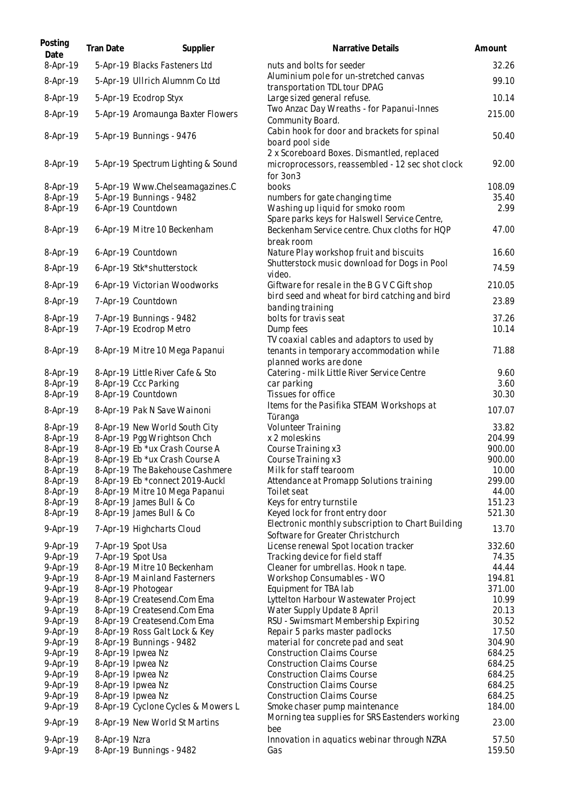| Posting<br>Date      | Tran Date     | Supplier                                                  | Narrative Details                                                                                            | Amount         |
|----------------------|---------------|-----------------------------------------------------------|--------------------------------------------------------------------------------------------------------------|----------------|
| 8-Apr-19             |               | 5-Apr-19 Blacks Fasteners Ltd                             | nuts and bolts for seeder                                                                                    | 32.26          |
| 8-Apr-19             |               | 5-Apr-19 Ullrich Alumnm Co Ltd                            | Aluminium pole for un-stretched canvas<br>transportation TDL tour DPAG                                       | 99.10          |
| 8-Apr-19             |               | 5-Apr-19 Ecodrop Styx                                     | Large sized general refuse.                                                                                  | 10.14          |
| 8-Apr-19             |               | 5-Apr-19 Aromaunga Baxter Flowers                         | Two Anzac Day Wreaths - for Papanui-Innes<br>Community Board.                                                | 215.00         |
| 8-Apr-19             |               | 5-Apr-19 Bunnings - 9476                                  | Cabin hook for door and brackets for spinal<br>board pool side<br>2 x Scoreboard Boxes. Dismantled, replaced | 50.40          |
| 8-Apr-19             |               | 5-Apr-19 Spectrum Lighting & Sound                        | microprocessors, reassembled - 12 sec shot clock<br>for 3on3                                                 | 92.00          |
| 8-Apr-19             |               | 5-Apr-19 Www.Chelseamagazines.C                           | books                                                                                                        | 108.09         |
| 8-Apr-19             |               | 5-Apr-19 Bunnings - 9482                                  | numbers for gate changing time                                                                               | 35.40          |
| 8-Apr-19             |               | 6-Apr-19 Countdown                                        | Washing up liquid for smoko room<br>Spare parks keys for Halswell Service Centre,                            | 2.99           |
| 8-Apr-19             |               | 6-Apr-19 Mitre 10 Beckenham                               | Beckenham Service centre. Chux cloths for HQP<br>break room                                                  | 47.00          |
| 8-Apr-19             |               | 6-Apr-19 Countdown                                        | Nature Play workshop fruit and biscuits                                                                      | 16.60          |
| 8-Apr-19             |               | 6-Apr-19 Stk*shutterstock                                 | Shutterstock music download for Dogs in Pool<br>video.                                                       | 74.59          |
| 8-Apr-19             |               | 6-Apr-19 Victorian Woodworks                              | Giftware for resale in the B G V C Gift shop                                                                 | 210.05         |
| 8-Apr-19             |               | 7-Apr-19 Countdown                                        | bird seed and wheat for bird catching and bird<br>banding training                                           | 23.89          |
| 8-Apr-19             |               | 7-Apr-19 Bunnings - 9482                                  | bolts for travis seat                                                                                        | 37.26          |
| 8-Apr-19             |               | 7-Apr-19 Ecodrop Metro                                    | Dump fees<br>TV coaxial cables and adaptors to used by                                                       | 10.14          |
| 8-Apr-19             |               | 8-Apr-19 Mitre 10 Mega Papanui                            | tenants in temporary accommodation while<br>planned works are done                                           | 71.88          |
| 8-Apr-19             |               | 8-Apr-19 Little River Cafe & Sto                          | Catering - milk Little River Service Centre                                                                  | 9.60           |
| 8-Apr-19             |               | 8-Apr-19 Ccc Parking                                      | car parking                                                                                                  | 3.60           |
| 8-Apr-19             |               | 8-Apr-19 Countdown                                        | Tissues for office                                                                                           | 30.30          |
| 8-Apr-19             |               | 8-Apr-19 Pak N Save Wainoni                               | Items for the Pasifika STEAM Workshops at<br>Tūranga                                                         | 107.07         |
| 8-Apr-19             |               | 8-Apr-19 New World South City                             | Volunteer Training                                                                                           | 33.82          |
| 8-Apr-19             |               | 8-Apr-19 Pgg Wrightson Chch                               | x 2 moleskins                                                                                                | 204.99         |
| 8-Apr-19             |               | 8-Apr-19 Eb *ux Crash Course A                            | Course Training x3                                                                                           | 900.00         |
| 8-Apr-19             |               | 8-Apr-19 Eb *ux Crash Course A                            | Course Training x3                                                                                           | 900.00         |
| 8-Apr-19             |               | 8-Apr-19 The Bakehouse Cashmere                           | Milk for staff tearoom                                                                                       | 10.00          |
| 8-Apr-19             |               | 8-Apr-19 Eb *connect 2019-Auckl                           | Attendance at Promapp Solutions training                                                                     | 299.00         |
| 8-Apr-19             |               | 8-Apr-19 Mitre 10 Mega Papanui                            | Toilet seat                                                                                                  | 44.00          |
| 8-Apr-19             |               | 8-Apr-19 James Bull & Co                                  | Keys for entry turnstile                                                                                     | 151.23         |
| 8-Apr-19             |               | 8-Apr-19 James Bull & Co                                  | Keyed lock for front entry door                                                                              | 521.30         |
| 9-Apr-19             |               | 7-Apr-19 Highcharts Cloud                                 | Electronic monthly subscription to Chart Building<br>Software for Greater Christchurch                       | 13.70          |
| 9-Apr-19             |               | 7-Apr-19 Spot Usa                                         | License renewal Spot location tracker                                                                        | 332.60         |
| 9-Apr-19             |               | 7-Apr-19 Spot Usa                                         | Tracking device for field staff                                                                              | 74.35          |
| 9-Apr-19             |               | 8-Apr-19 Mitre 10 Beckenham                               | Cleaner for umbrellas. Hook n tape.                                                                          | 44.44          |
| 9-Apr-19             |               | 8-Apr-19 Mainland Fasterners                              | Workshop Consumables - WO                                                                                    | 194.81         |
| 9-Apr-19             |               | 8-Apr-19 Photogear                                        | Equipment for TBA lab                                                                                        | 371.00         |
| 9-Apr-19             |               | 8-Apr-19 Createsend.Com Ema                               | Lyttelton Harbour Wastewater Project                                                                         | 10.99<br>20.13 |
| 9-Apr-19             |               | 8-Apr-19 Createsend.Com Ema                               | Water Supply Update 8 April                                                                                  |                |
| 9-Apr-19<br>9-Apr-19 |               | 8-Apr-19 Createsend.Com Ema                               | RSU - Swimsmart Membership Expiring                                                                          | 30.52<br>17.50 |
| 9-Apr-19             |               | 8-Apr-19 Ross Galt Lock & Key<br>8-Apr-19 Bunnings - 9482 | Repair 5 parks master padlocks<br>material for concrete pad and seat                                         | 304.90         |
| 9-Apr-19             |               | 8-Apr-19 Ipwea Nz                                         | <b>Construction Claims Course</b>                                                                            | 684.25         |
| 9-Apr-19             |               | 8-Apr-19 Ipwea Nz                                         | <b>Construction Claims Course</b>                                                                            | 684.25         |
| 9-Apr-19             |               | 8-Apr-19 Ipwea Nz                                         | <b>Construction Claims Course</b>                                                                            | 684.25         |
| 9-Apr-19             |               | 8-Apr-19 Ipwea Nz                                         | <b>Construction Claims Course</b>                                                                            | 684.25         |
| 9-Apr-19             |               | 8-Apr-19 Ipwea Nz                                         | <b>Construction Claims Course</b>                                                                            | 684.25         |
| 9-Apr-19             |               | 8-Apr-19 Cyclone Cycles & Mowers L                        | Smoke chaser pump maintenance                                                                                | 184.00         |
| 9-Apr-19             |               | 8-Apr-19 New World St Martins                             | Morning tea supplies for SRS Eastenders working<br>bee                                                       | 23.00          |
| 9-Apr-19             | 8-Apr-19 Nzra |                                                           | Innovation in aquatics webinar through NZRA                                                                  | 57.50          |
| 9-Apr-19             |               | 8-Apr-19 Bunnings - 9482                                  | Gas                                                                                                          | 159.50         |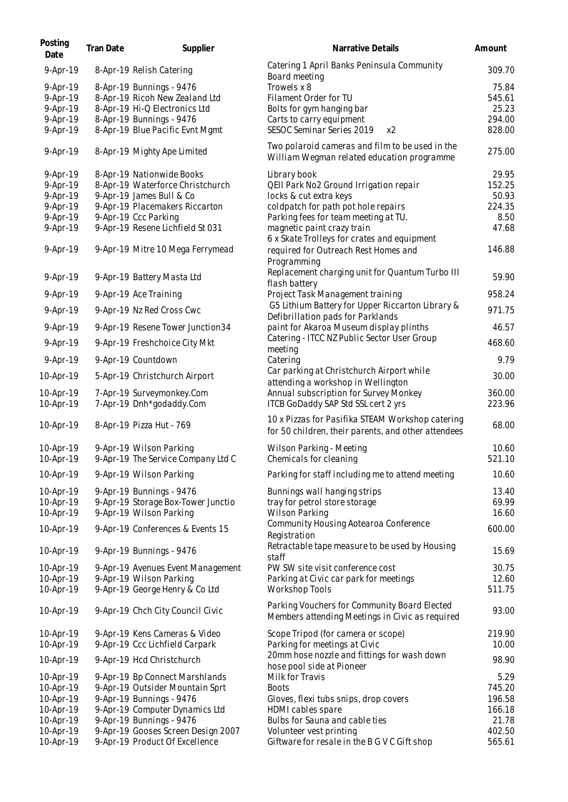| Posting<br>Date        | Tran Date | Supplier                                              | Narrative Details                                                                                       | Amount           |
|------------------------|-----------|-------------------------------------------------------|---------------------------------------------------------------------------------------------------------|------------------|
| 9-Apr-19               |           | 8-Apr-19 Relish Catering                              | Catering 1 April Banks Peninsula Community<br>Board meeting                                             | 309.70           |
| 9-Apr-19               |           | 8-Apr-19 Bunnings - 9476                              | Trowels x 8                                                                                             | 75.84            |
| 9-Apr-19               |           | 8-Apr-19 Ricoh New Zealand Ltd                        | Filament Order for TU                                                                                   | 545.61           |
| 9-Apr-19               |           | 8-Apr-19 Hi-Q Electronics Ltd                         | Bolts for gym hanging bar                                                                               | 25.23            |
| 9-Apr-19               |           | 8-Apr-19 Bunnings - 9476                              | Carts to carry equipment                                                                                | 294.00           |
| 9-Apr-19               |           | 8-Apr-19 Blue Pacific Evnt Mgmt                       | SESOC Seminar Series 2019<br>x2                                                                         | 828.00           |
| 9-Apr-19               |           | 8-Apr-19 Mighty Ape Limited                           | Two polaroid cameras and film to be used in the<br>William Wegman related education programme           | 275.00           |
| 9-Apr-19               |           | 8-Apr-19 Nationwide Books                             | Library book                                                                                            | 29.95            |
| 9-Apr-19               |           | 8-Apr-19 Waterforce Christchurch                      | QEII Park No2 Ground Irrigation repair                                                                  | 152.25           |
| 9-Apr-19               |           | 9-Apr-19 James Bull & Co                              | locks & cut extra keys                                                                                  | 50.93            |
| 9-Apr-19               |           | 9-Apr-19 Placemakers Riccarton                        | coldpatch for path pot hole repairs                                                                     | 224.35           |
| 9-Apr-19               |           | 9-Apr-19 Ccc Parking                                  | Parking fees for team meeting at TU.                                                                    | 8.50             |
| 9-Apr-19               |           | 9-Apr-19 Resene Lichfield St 031                      | magnetic paint crazy train                                                                              | 47.68            |
|                        |           |                                                       | 6 x Skate Trolleys for crates and equipment                                                             |                  |
| 9-Apr-19               |           | 9-Apr-19 Mitre 10 Mega Ferrymead                      | required for Outreach Rest Homes and                                                                    | 146.88           |
|                        |           |                                                       | Programming                                                                                             |                  |
| 9-Apr-19               |           | 9-Apr-19 Battery Masta Ltd                            | Replacement charging unit for Quantum Turbo III<br>flash battery                                        | 59.90            |
| 9-Apr-19               |           | 9-Apr-19 Ace Training                                 | Project Task Management training                                                                        | 958.24           |
| 9-Apr-19               |           | 9-Apr-19 Nz Red Cross Cwc                             | G5 Lithium Battery for Upper Riccarton Library &<br>Defibrillation pads for Parklands                   | 971.75           |
| 9-Apr-19               |           | 9-Apr-19 Resene Tower Junction34                      | paint for Akaroa Museum display plinths                                                                 | 46.57            |
| 9-Apr-19               |           | 9-Apr-19 Freshchoice City Mkt                         | Catering - ITCC NZ Public Sector User Group<br>meeting                                                  | 468.60           |
| 9-Apr-19               |           | 9-Apr-19 Countdown                                    | Catering                                                                                                | 9.79             |
| 10-Apr-19              |           | 5-Apr-19 Christchurch Airport                         | Car parking at Christchurch Airport while<br>attending a workshop in Wellington                         | 30.00            |
| 10-Apr-19<br>10-Apr-19 |           | 7-Apr-19 Surveymonkey.Com<br>7-Apr-19 Dnh*godaddy.Com | Annual subscription for Survey Monkey<br>ITCB GoDaddy SAP Std SSL cert 2 yrs                            | 360.00<br>223.96 |
|                        |           |                                                       |                                                                                                         |                  |
| 10-Apr-19              |           | 8-Apr-19 Pizza Hut - 769                              | 10 x Pizzas for Pasifika STEAM Workshop catering<br>for 50 children, their parents, and other attendees | 68.00            |
| 10-Apr-19              |           | 9-Apr-19 Wilson Parking                               | Wilson Parking - Meeting                                                                                | 10.60            |
| 10-Apr-19              |           | 9-Apr-19 The Service Company Ltd C                    | Chemicals for cleaning                                                                                  | 521.10           |
| 10-Apr-19              |           | 9-Apr-19 Wilson Parking                               | Parking for staff including me to attend meeting                                                        | 10.60            |
| 10-Apr-19              |           | 9-Apr-19 Bunnings - 9476                              | Bunnings wall hanging strips                                                                            | 13.40            |
| 10-Apr-19              |           | 9-Apr-19 Storage Box-Tower Junctio                    | tray for petrol store storage                                                                           | 69.99            |
| 10-Apr-19              |           | 9-Apr-19 Wilson Parking                               | Wilson Parking                                                                                          | 16.60            |
| 10-Apr-19              |           | 9-Apr-19 Conferences & Events 15                      | Community Housing Aotearoa Conference<br>Registration                                                   | 600.00           |
| 10-Apr-19              |           | 9-Apr-19 Bunnings - 9476                              | Retractable tape measure to be used by Housing<br>staff                                                 | 15.69            |
| 10-Apr-19              |           | 9-Apr-19 Avenues Event Management                     | PW SW site visit conference cost                                                                        | 30.75            |
| 10-Apr-19              |           | 9-Apr-19 Wilson Parking                               | Parking at Civic car park for meetings                                                                  | 12.60            |
| 10-Apr-19              |           | 9-Apr-19 George Henry & Co Ltd                        | <b>Workshop Tools</b>                                                                                   | 511.75           |
| 10-Apr-19              |           | 9-Apr-19 Chch City Council Civic                      | Parking Vouchers for Community Board Elected<br>Members attending Meetings in Civic as required         | 93.00            |
| 10-Apr-19              |           | 9-Apr-19 Kens Cameras & Video                         | Scope Tripod (for camera or scope)                                                                      | 219.90           |
| 10-Apr-19              |           | 9-Apr-19 Ccc Lichfield Carpark                        | Parking for meetings at Civic                                                                           | 10.00            |
| 10-Apr-19              |           | 9-Apr-19 Hcd Christchurch                             | 20mm hose nozzle and fittings for wash down                                                             | 98.90            |
|                        |           |                                                       | hose pool side at Pioneer                                                                               |                  |
| 10-Apr-19              |           | 9-Apr-19 Bp Connect Marshlands                        | Milk for Travis                                                                                         | 5.29             |
| 10-Apr-19              |           | 9-Apr-19 Outsider Mountain Sprt                       | <b>Boots</b>                                                                                            | 745.20           |
| 10-Apr-19              |           | 9-Apr-19 Bunnings - 9476                              | Gloves, flexi tubs snips, drop covers                                                                   | 196.58           |
| 10-Apr-19              |           | 9-Apr-19 Computer Dynamics Ltd                        | HDMI cables spare                                                                                       | 166.18           |
| 10-Apr-19              |           | 9-Apr-19 Bunnings - 9476                              | Bulbs for Sauna and cable ties                                                                          | 21.78            |
| 10-Apr-19              |           | 9-Apr-19 Gooses Screen Design 2007                    | Volunteer vest printing                                                                                 | 402.50           |
| 10-Apr-19              |           | 9-Apr-19 Product Of Excellence                        | Giftware for resale in the B G V C Gift shop                                                            | 565.61           |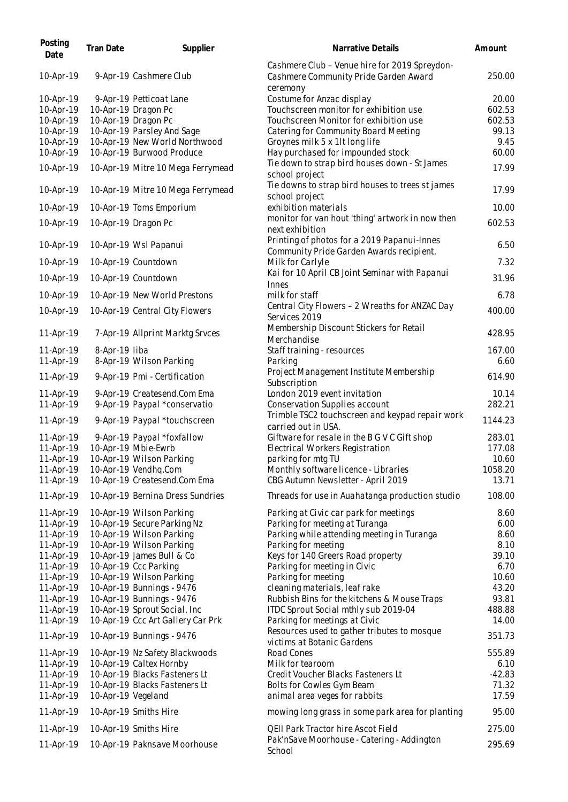| Posting<br>Date        | Tran Date          | Supplier                                                  | Narrative Details                                                                                  | Amount          |
|------------------------|--------------------|-----------------------------------------------------------|----------------------------------------------------------------------------------------------------|-----------------|
| 10-Apr-19              |                    | 9-Apr-19 Cashmere Club                                    | Cashmere Club - Venue hire for 2019 Spreydon-<br>Cashmere Community Pride Garden Award<br>ceremony | 250.00          |
| 10-Apr-19              |                    | 9-Apr-19 Petticoat Lane                                   | Costume for Anzac display                                                                          | 20.00           |
| 10-Apr-19              |                    | 10-Apr-19 Dragon Pc                                       | Touchscreen monitor for exhibition use                                                             | 602.53          |
| 10-Apr-19              |                    | 10-Apr-19 Dragon Pc                                       | Touchscreen Monitor for exhibition use                                                             | 602.53          |
| 10-Apr-19              |                    | 10-Apr-19 Parsley And Sage                                | Catering for Community Board Meeting                                                               | 99.13           |
| 10-Apr-19              |                    | 10-Apr-19 New World Northwood                             | Groynes milk 5 x 1lt long life                                                                     | 9.45            |
| 10-Apr-19              |                    | 10-Apr-19 Burwood Produce                                 | Hay purchased for impounded stock                                                                  | 60.00           |
| 10-Apr-19              |                    | 10-Apr-19 Mitre 10 Mega Ferrymead                         | Tie down to strap bird houses down - St James<br>school project                                    | 17.99           |
| 10-Apr-19              |                    | 10-Apr-19 Mitre 10 Mega Ferrymead                         | Tie downs to strap bird houses to trees st james<br>school project                                 | 17.99           |
| 10-Apr-19              |                    | 10-Apr-19 Toms Emporium                                   | exhibition materials                                                                               | 10.00           |
| 10-Apr-19              |                    | 10-Apr-19 Dragon Pc                                       | monitor for van hout 'thing' artwork in now then<br>next exhibition                                | 602.53          |
| 10-Apr-19              |                    | 10-Apr-19 Wsl Papanui                                     | Printing of photos for a 2019 Papanui-Innes<br>Community Pride Garden Awards recipient.            | 6.50            |
| 10-Apr-19              |                    | 10-Apr-19 Countdown                                       | Milk for Carlyle                                                                                   | 7.32            |
| 10-Apr-19              |                    | 10-Apr-19 Countdown                                       | Kai for 10 April CB Joint Seminar with Papanui                                                     | 31.96           |
| 10-Apr-19              |                    | 10-Apr-19 New World Prestons                              | Innes<br>milk for staff                                                                            | 6.78            |
|                        |                    |                                                           | Central City Flowers - 2 Wreaths for ANZAC Day                                                     |                 |
| 10-Apr-19              |                    | 10-Apr-19 Central City Flowers                            | Services 2019                                                                                      | 400.00          |
| 11-Apr-19              |                    | 7-Apr-19 Allprint Marktg Srvces                           | Membership Discount Stickers for Retail<br>Merchandise                                             | 428.95          |
| 11-Apr-19              | 8-Apr-19 liba      |                                                           | Staff training - resources                                                                         | 167.00          |
| 11-Apr-19              |                    | 8-Apr-19 Wilson Parking                                   | Parking                                                                                            | 6.60            |
| 11-Apr-19              |                    | 9-Apr-19 Pmi - Certification                              | Project Management Institute Membership<br>Subscription                                            | 614.90          |
| 11-Apr-19              |                    | 9-Apr-19 Createsend.Com Ema                               | London 2019 event invitation                                                                       | 10.14           |
| 11-Apr-19              |                    | 9-Apr-19 Paypal *conservatio                              | Conservation Supplies account                                                                      | 282.21          |
| 11-Apr-19              |                    | 9-Apr-19 Paypal *touchscreen                              | Trimble TSC2 touchscreen and keypad repair work<br>carried out in USA.                             | 1144.23         |
| 11-Apr-19              |                    | 9-Apr-19 Paypal *foxfallow                                | Giftware for resale in the B G V C Gift shop                                                       | 283.01          |
| 11-Apr-19              |                    | 10-Apr-19 Mbie-Ewrb                                       | Electrical Workers Registration                                                                    | 177.08          |
| 11-Apr-19              |                    | 10-Apr-19 Wilson Parking                                  | parking for mtg TU                                                                                 | 10.60           |
| 11-Apr-19              |                    | 10-Apr-19 Vendhq.Com                                      | Monthly software licence - Libraries                                                               | 1058.20         |
| 11-Apr-19              |                    | 10-Apr-19 Createsend.Com Ema                              | CBG Autumn Newsletter - April 2019                                                                 | 13.71           |
| 11-Apr-19              |                    | 10-Apr-19 Bernina Dress Sundries                          | Threads for use in Auahatanga production studio                                                    | 108.00          |
| 11-Apr-19              |                    | 10-Apr-19 Wilson Parking                                  | Parking at Civic car park for meetings                                                             | 8.60            |
| 11-Apr-19              |                    | 10-Apr-19 Secure Parking Nz                               | Parking for meeting at Turanga                                                                     | 6.00            |
| 11-Apr-19              |                    | 10-Apr-19 Wilson Parking                                  | Parking while attending meeting in Turanga                                                         | 8.60            |
| 11-Apr-19              |                    | 10-Apr-19 Wilson Parking                                  | Parking for meeting                                                                                | 8.10            |
| 11-Apr-19              |                    | 10-Apr-19 James Bull & Co                                 | Keys for 140 Greers Road property                                                                  | 39.10           |
| 11-Apr-19              |                    | 10-Apr-19 Ccc Parking                                     | Parking for meeting in Civic                                                                       | 6.70            |
| 11-Apr-19              |                    | 10-Apr-19 Wilson Parking                                  | Parking for meeting                                                                                | 10.60           |
| 11-Apr-19              |                    | 10-Apr-19 Bunnings - 9476                                 | cleaning materials, leaf rake                                                                      | 43.20           |
| 11-Apr-19<br>11-Apr-19 |                    | 10-Apr-19 Bunnings - 9476<br>10-Apr-19 Sprout Social, Inc | Rubbish Bins for the kitchens & Mouse Traps<br>ITDC Sprout Social mthly sub 2019-04                | 93.81<br>488.88 |
| 11-Apr-19              |                    | 10-Apr-19 Ccc Art Gallery Car Prk                         | Parking for meetings at Civic                                                                      | 14.00           |
| 11-Apr-19              |                    | 10-Apr-19 Bunnings - 9476                                 | Resources used to gather tributes to mosque<br>victims at Botanic Gardens                          | 351.73          |
| 11-Apr-19              |                    | 10-Apr-19 Nz Safety Blackwoods                            | Road Cones                                                                                         | 555.89          |
| 11-Apr-19              |                    | 10-Apr-19 Caltex Hornby                                   | Milk for tearoom                                                                                   | 6.10            |
| 11-Apr-19              |                    | 10-Apr-19 Blacks Fasteners Lt                             | Credit Voucher Blacks Fasteners Lt                                                                 | $-42.83$        |
| 11-Apr-19              |                    | 10-Apr-19 Blacks Fasteners Lt                             | Bolts for Cowles Gym Beam                                                                          | 71.32           |
| 11-Apr-19              | 10-Apr-19 Vegeland |                                                           | animal area veges for rabbits                                                                      | 17.59           |
| 11-Apr-19              |                    | 10-Apr-19 Smiths Hire                                     | mowing long grass in some park area for planting                                                   | 95.00           |
| 11-Apr-19              |                    | 10-Apr-19 Smiths Hire                                     | QEII Park Tractor hire Ascot Field                                                                 | 275.00          |
| 11-Apr-19              |                    | 10-Apr-19 Paknsave Moorhouse                              | Pak'nSave Moorhouse - Catering - Addington<br>School                                               | 295.69          |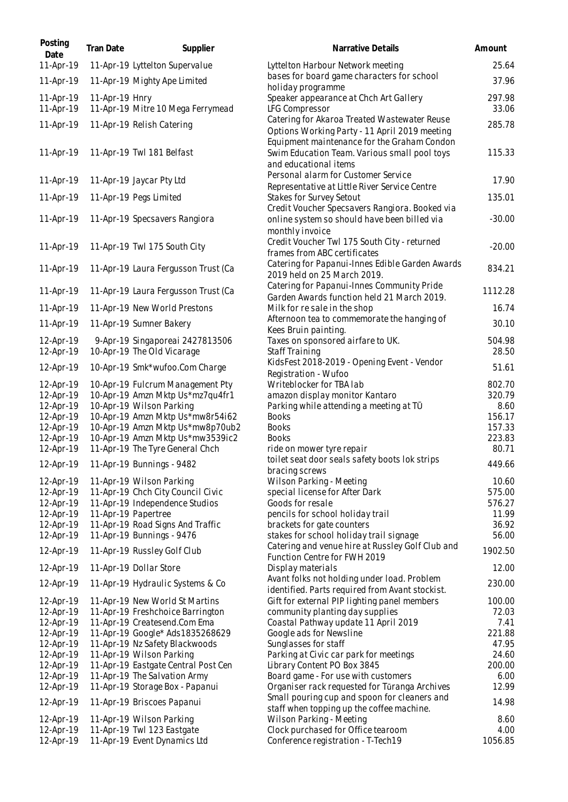| Posting<br>Date        | Tran Date      | Supplier                                                             | Narrative Details                                                                                                    | Amount           |
|------------------------|----------------|----------------------------------------------------------------------|----------------------------------------------------------------------------------------------------------------------|------------------|
| 11-Apr-19              |                | 11-Apr-19 Lyttelton Supervalue                                       | Lyttelton Harbour Network meeting                                                                                    | 25.64            |
| 11-Apr-19              |                | 11-Apr-19 Mighty Ape Limited                                         | bases for board game characters for school<br>holiday programme                                                      | 37.96            |
| 11-Apr-19<br>11-Apr-19 | 11-Apr-19 Hnry | 11-Apr-19 Mitre 10 Mega Ferrymead                                    | Speaker appearance at Chch Art Gallery<br>LFG Compressor                                                             | 297.98<br>33.06  |
| 11-Apr-19              |                | 11-Apr-19 Relish Catering                                            | Catering for Akaroa Treated Wastewater Reuse<br>Options Working Party - 11 April 2019 meeting                        | 285.78           |
| 11-Apr-19              |                | 11-Apr-19 Twl 181 Belfast                                            | Equipment maintenance for the Graham Condon<br>Swim Education Team. Various small pool toys<br>and educational items | 115.33           |
| 11-Apr-19              |                | 11-Apr-19 Jaycar Pty Ltd                                             | Personal alarm for Customer Service<br>Representative at Little River Service Centre                                 | 17.90            |
| 11-Apr-19              |                | 11-Apr-19 Pegs Limited                                               | Stakes for Survey Setout<br>Credit Voucher Specsavers Rangiora. Booked via                                           | 135.01           |
| 11-Apr-19              |                | 11-Apr-19 Specsavers Rangiora                                        | online system so should have been billed via<br>monthly invoice                                                      | $-30.00$         |
| 11-Apr-19              |                | 11-Apr-19 Twl 175 South City                                         | Credit Voucher Twl 175 South City - returned<br>frames from ABC certificates                                         | $-20.00$         |
| 11-Apr-19              |                | 11-Apr-19 Laura Fergusson Trust (Ca                                  | Catering for Papanui-Innes Edible Garden Awards<br>2019 held on 25 March 2019.                                       | 834.21           |
| 11-Apr-19              |                | 11-Apr-19 Laura Fergusson Trust (Ca                                  | Catering for Papanui-Innes Community Pride<br>Garden Awards function held 21 March 2019.                             | 1112.28          |
| 11-Apr-19              |                | 11-Apr-19 New World Prestons                                         | Milk for resale in the shop                                                                                          | 16.74            |
| 11-Apr-19              |                | 11-Apr-19 Sumner Bakery                                              | Afternoon tea to commemorate the hanging of<br>Kees Bruin painting.                                                  | 30.10            |
| 12-Apr-19<br>12-Apr-19 |                | 9-Apr-19 Singaporeai 2427813506<br>10-Apr-19 The Old Vicarage        | Taxes on sponsored airfare to UK.<br>Staff Training                                                                  | 504.98<br>28.50  |
| 12-Apr-19              |                | 10-Apr-19 Smk*wufoo.Com Charge                                       | KidsFest 2018-2019 - Opening Event - Vendor<br>Registration - Wufoo                                                  | 51.61            |
| 12-Apr-19              |                | 10-Apr-19 Fulcrum Management Pty                                     | Writeblocker for TBA lab                                                                                             | 802.70           |
| 12-Apr-19              |                | 10-Apr-19 Amzn Mktp Us*mz7qu4fr1                                     | amazon display monitor Kantaro                                                                                       | 320.79           |
| 12-Apr-19              |                | 10-Apr-19 Wilson Parking                                             | Parking while attending a meeting at TŪ                                                                              | 8.60             |
| 12-Apr-19<br>12-Apr-19 |                | 10-Apr-19 Amzn Mktp Us*mw8r54i62<br>10-Apr-19 Amzn Mktp Us*mw8p70ub2 | <b>Books</b><br><b>Books</b>                                                                                         | 156.17<br>157.33 |
| 12-Apr-19              |                | 10-Apr-19 Amzn Mktp Us*mw3539ic2                                     | <b>Books</b>                                                                                                         | 223.83           |
| 12-Apr-19              |                | 11-Apr-19 The Tyre General Chch                                      | ride on mower tyre repair                                                                                            | 80.71            |
|                        |                | 12-Apr-19   11-Apr-19   Bunnings - 9482                              | toilet seat door seals safety boots lok strips<br>bracing screws                                                     | 449.66           |
| 12-Apr-19              |                | 11-Apr-19 Wilson Parking                                             | Wilson Parking - Meeting                                                                                             | 10.60            |
| 12-Apr-19              |                | 11-Apr-19 Chch City Council Civic                                    | special license for After Dark                                                                                       | 575.00           |
| 12-Apr-19              |                | 11-Apr-19 Independence Studios                                       | Goods for resale                                                                                                     | 576.27           |
| 12-Apr-19              |                | 11-Apr-19 Papertree                                                  | pencils for school holiday trail                                                                                     | 11.99            |
| 12-Apr-19              |                | 11-Apr-19 Road Signs And Traffic                                     | brackets for gate counters                                                                                           | 36.92            |
| 12-Apr-19              |                | 11-Apr-19 Bunnings - 9476                                            | stakes for school holiday trail signage                                                                              | 56.00            |
| 12-Apr-19              |                | 11-Apr-19 Russley Golf Club                                          | Catering and venue hire at Russley Golf Club and<br>Function Centre for FWH 2019                                     | 1902.50          |
| 12-Apr-19              |                | 11-Apr-19 Dollar Store                                               | Display materials                                                                                                    | 12.00            |
| 12-Apr-19              |                | 11-Apr-19 Hydraulic Systems & Co                                     | Avant folks not holding under load. Problem<br>identified. Parts required from Avant stockist.                       | 230.00           |
| 12-Apr-19              |                | 11-Apr-19 New World St Martins                                       | Gift for external PIP lighting panel members                                                                         | 100.00           |
| 12-Apr-19              |                | 11-Apr-19 Freshchoice Barrington                                     | community planting day supplies                                                                                      | 72.03            |
| 12-Apr-19              |                | 11-Apr-19 Createsend.Com Ema                                         | Coastal Pathway update 11 April 2019                                                                                 | 7.41             |
| 12-Apr-19              |                | 11-Apr-19 Google* Ads1835268629                                      | Google ads for Newsline                                                                                              | 221.88           |
| 12-Apr-19              |                | 11-Apr-19 Nz Safety Blackwoods                                       | Sunglasses for staff                                                                                                 | 47.95            |
| 12-Apr-19              |                | 11-Apr-19 Wilson Parking                                             | Parking at Civic car park for meetings                                                                               | 24.60            |
| 12-Apr-19              |                | 11-Apr-19 Eastgate Central Post Cen                                  | Library Content PO Box 3845                                                                                          | 200.00           |
| 12-Apr-19              |                | 11-Apr-19 The Salvation Army                                         | Board game - For use with customers                                                                                  | 6.00             |
| 12-Apr-19              |                | 11-Apr-19 Storage Box - Papanui                                      | Organiser rack requested for Tūranga Archives                                                                        | 12.99            |
| 12-Apr-19              |                | 11-Apr-19 Briscoes Papanui                                           | Small pouring cup and spoon for cleaners and<br>staff when topping up the coffee machine.                            | 14.98            |
| 12-Apr-19              |                | 11-Apr-19 Wilson Parking                                             | Wilson Parking - Meeting                                                                                             | 8.60             |
| 12-Apr-19              |                | 11-Apr-19 Twl 123 Eastgate                                           | Clock purchased for Office tearoom                                                                                   | 4.00             |
| 12-Apr-19              |                | 11-Apr-19 Event Dynamics Ltd                                         | Conference registration - T-Tech19                                                                                   | 1056.85          |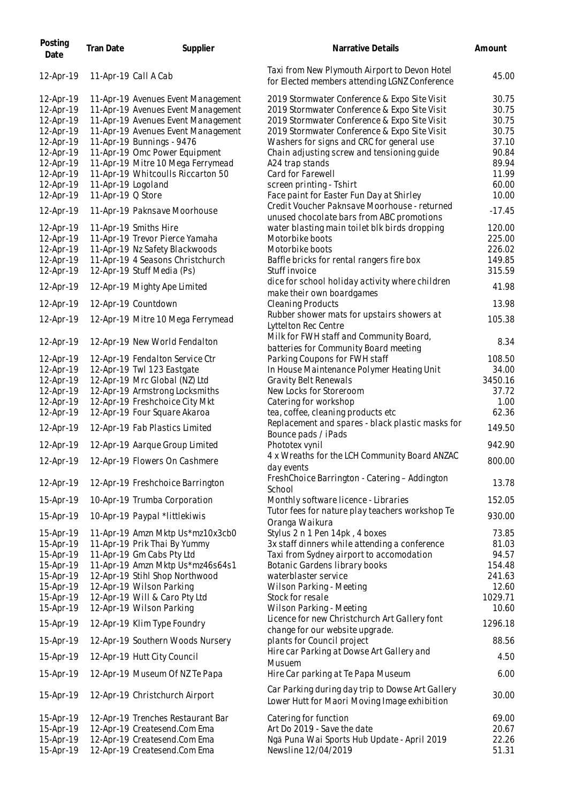| Posting<br>Date | Tran Date          | Supplier                                                | Narrative Details                                                                              | Amount   |
|-----------------|--------------------|---------------------------------------------------------|------------------------------------------------------------------------------------------------|----------|
| 12-Apr-19       |                    | 11-Apr-19 Call A Cab                                    | Taxi from New Plymouth Airport to Devon Hotel<br>for Elected members attending LGNZ Conference | 45.00    |
| 12-Apr-19       |                    | 11-Apr-19 Avenues Event Management                      | 2019 Stormwater Conference & Expo Site Visit                                                   | 30.75    |
| 12-Apr-19       |                    | 11-Apr-19 Avenues Event Management                      | 2019 Stormwater Conference & Expo Site Visit                                                   | 30.75    |
| 12-Apr-19       |                    | 11-Apr-19 Avenues Event Management                      | 2019 Stormwater Conference & Expo Site Visit                                                   | 30.75    |
| 12-Apr-19       |                    | 11-Apr-19 Avenues Event Management                      | 2019 Stormwater Conference & Expo Site Visit                                                   | 30.75    |
|                 |                    |                                                         |                                                                                                |          |
| 12-Apr-19       |                    | 11-Apr-19 Bunnings - 9476                               | Washers for signs and CRC for general use                                                      | 37.10    |
| 12-Apr-19       |                    | 11-Apr-19 Omc Power Equipment                           | Chain adjusting screw and tensioning guide                                                     | 90.84    |
| 12-Apr-19       |                    | 11-Apr-19 Mitre 10 Mega Ferrymead                       | A24 trap stands                                                                                | 89.94    |
| 12-Apr-19       |                    | 11-Apr-19 Whitcoulls Riccarton 50                       | Card for Farewell                                                                              | 11.99    |
| 12-Apr-19       | 11-Apr-19 Logoland |                                                         | screen printing - Tshirt                                                                       | 60.00    |
| 12-Apr-19       | 11-Apr-19 Q Store  |                                                         | Face paint for Easter Fun Day at Shirley                                                       | 10.00    |
| 12-Apr-19       |                    | 11-Apr-19 Paknsave Moorhouse                            | Credit Voucher Paknsave Moorhouse - returned<br>unused chocolate bars from ABC promotions      | $-17.45$ |
| 12-Apr-19       |                    | 11-Apr-19 Smiths Hire                                   | water blasting main toilet blk birds dropping                                                  | 120.00   |
| 12-Apr-19       |                    | 11-Apr-19 Trevor Pierce Yamaha                          | Motorbike boots                                                                                | 225.00   |
| 12-Apr-19       |                    | 11-Apr-19 Nz Safety Blackwoods                          | Motorbike boots                                                                                | 226.02   |
| 12-Apr-19       |                    | 11-Apr-19 4 Seasons Christchurch                        | Baffle bricks for rental rangers fire box                                                      | 149.85   |
| 12-Apr-19       |                    | 12-Apr-19 Stuff Media (Ps)                              | Stuff invoice                                                                                  | 315.59   |
| 12-Apr-19       |                    | 12-Apr-19 Mighty Ape Limited                            | dice for school holiday activity where children<br>make their own boardgames                   | 41.98    |
| 12-Apr-19       |                    | 12-Apr-19 Countdown                                     | <b>Cleaning Products</b>                                                                       | 13.98    |
| 12-Apr-19       |                    | 12-Apr-19 Mitre 10 Mega Ferrymead                       | Rubber shower mats for upstairs showers at<br>Lyttelton Rec Centre                             | 105.38   |
| 12-Apr-19       |                    | 12-Apr-19 New World Fendalton                           | Milk for FWH staff and Community Board,<br>batteries for Community Board meeting               | 8.34     |
| 12-Apr-19       |                    | 12-Apr-19 Fendalton Service Ctr                         | Parking Coupons for FWH staff                                                                  | 108.50   |
| 12-Apr-19       |                    | 12-Apr-19 Twl 123 Eastgate                              | In House Maintenance Polymer Heating Unit                                                      | 34.00    |
| 12-Apr-19       |                    | 12-Apr-19 Mrc Global (NZ) Ltd                           | Gravity Belt Renewals                                                                          | 3450.16  |
| 12-Apr-19       |                    | 12-Apr-19 Armstrong Locksmiths                          | New Locks for Storeroom                                                                        | 37.72    |
| 12-Apr-19       |                    | 12-Apr-19 Freshchoice City Mkt                          | Catering for workshop                                                                          | 1.00     |
| 12-Apr-19       |                    | 12-Apr-19 Four Square Akaroa                            | tea, coffee, cleaning products etc                                                             | 62.36    |
|                 |                    |                                                         | Replacement and spares - black plastic masks for                                               |          |
| 12-Apr-19       |                    | 12-Apr-19 Fab Plastics Limited                          | Bounce pads / iPads                                                                            | 149.50   |
| 12-Apr-19       |                    | 12-Apr-19 Aarque Group Limited                          | Phototex vynil                                                                                 | 942.90   |
|                 |                    | 12-Apr-19 12-Apr-19 Flowers On Cashmere                 | 4 x Wreaths for the LCH Community Board ANZAC<br>day events                                    | 800.00   |
| 12-Apr-19       |                    | 12-Apr-19 Freshchoice Barrington                        | FreshChoice Barrington - Catering - Addington<br>School                                        | 13.78    |
| 15-Apr-19       |                    | 10-Apr-19 Trumba Corporation                            | Monthly software licence - Libraries                                                           | 152.05   |
| 15-Apr-19       |                    | 10-Apr-19 Paypal *littlekiwis                           | Tutor fees for nature play teachers workshop Te<br>Oranga Waikura                              | 930.00   |
| 15-Apr-19       |                    | 11-Apr-19 Amzn Mktp Us*mz10x3cb0                        | Stylus 2 n 1 Pen 14pk, 4 boxes                                                                 | 73.85    |
| 15-Apr-19       |                    | 11-Apr-19 Prik Thai By Yummy                            | 3x staff dinners while attending a conference                                                  | 81.03    |
| 15-Apr-19       |                    | 11-Apr-19 Gm Cabs Pty Ltd                               | Taxi from Sydney airport to accomodation                                                       | 94.57    |
| 15-Apr-19       |                    | 11-Apr-19 Amzn Mktp Us*mz46s64s1                        | Botanic Gardens library books                                                                  | 154.48   |
| 15-Apr-19       |                    | 12-Apr-19 Stihl Shop Northwood                          | waterblaster service                                                                           | 241.63   |
| 15-Apr-19       |                    | 12-Apr-19 Wilson Parking                                | Wilson Parking - Meeting                                                                       | 12.60    |
| 15-Apr-19       |                    | 12-Apr-19 Will & Caro Pty Ltd                           | Stock for resale                                                                               | 1029.71  |
| 15-Apr-19       |                    |                                                         |                                                                                                | 10.60    |
| 15-Apr-19       |                    | 12-Apr-19 Wilson Parking<br>12-Apr-19 Klim Type Foundry | Wilson Parking - Meeting<br>Licence for new Christchurch Art Gallery font                      | 1296.18  |
| 15-Apr-19       |                    | 12-Apr-19 Southern Woods Nursery                        | change for our website upgrade.<br>plants for Council project                                  | 88.56    |
| 15-Apr-19       |                    | 12-Apr-19 Hutt City Council                             | Hire car Parking at Dowse Art Gallery and                                                      | 4.50     |
| 15-Apr-19       |                    | 12-Apr-19 Museum Of NZ Te Papa                          | Musuem<br>Hire Car parking at Te Papa Museum                                                   | 6.00     |
|                 |                    |                                                         | Car Parking during day trip to Dowse Art Gallery                                               |          |
| 15-Apr-19       |                    | 12-Apr-19 Christchurch Airport                          | Lower Hutt for Maori Moving Image exhibition                                                   | 30.00    |
| 15-Apr-19       |                    | 12-Apr-19 Trenches Restaurant Bar                       | Catering for function                                                                          | 69.00    |
| 15-Apr-19       |                    | 12-Apr-19 Createsend.Com Ema                            | Art Do 2019 - Save the date                                                                    | 20.67    |
| 15-Apr-19       |                    | 12-Apr-19 Createsend.Com Ema                            | Ngā Puna Wai Sports Hub Update - April 2019                                                    | 22.26    |
| 15-Apr-19       |                    | 12-Apr-19 Createsend.Com Ema                            | Newsline 12/04/2019                                                                            | 51.31    |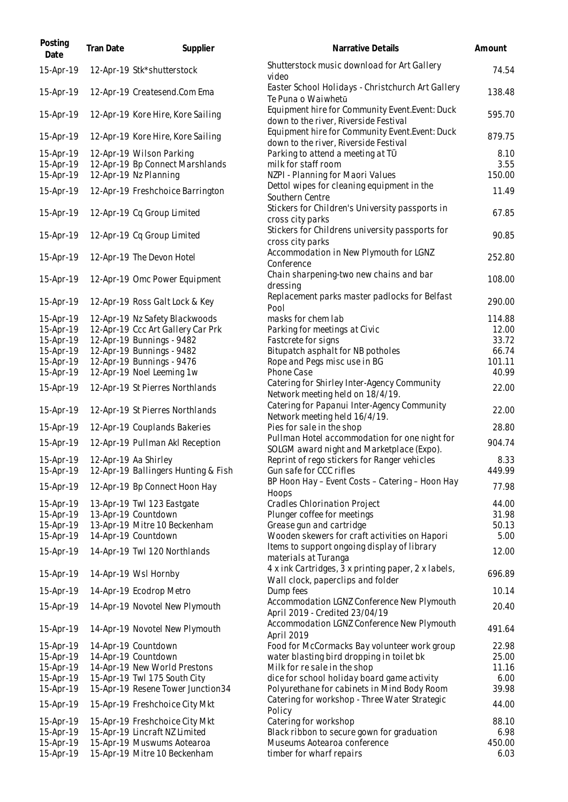| Posting<br>Date        | Tran Date | Supplier                                                     | Narrative Details                                                                            | Amount          |
|------------------------|-----------|--------------------------------------------------------------|----------------------------------------------------------------------------------------------|-----------------|
| 15-Apr-19              |           | 12-Apr-19 Stk*shutterstock                                   | Shutterstock music download for Art Gallery<br>video                                         | 74.54           |
| 15-Apr-19              |           | 12-Apr-19 Createsend.Com Ema                                 | Easter School Holidays - Christchurch Art Gallery<br>Te Puna o Waiwhetū                      | 138.48          |
| 15-Apr-19              |           | 12-Apr-19 Kore Hire, Kore Sailing                            | Equipment hire for Community Event. Event: Duck<br>down to the river, Riverside Festival     | 595.70          |
| 15-Apr-19              |           | 12-Apr-19 Kore Hire, Kore Sailing                            | Equipment hire for Community Event. Event: Duck<br>down to the river, Riverside Festival     | 879.75          |
| 15-Apr-19              |           | 12-Apr-19 Wilson Parking                                     | Parking to attend a meeting at TŪ                                                            | 8.10            |
| 15-Apr-19              |           | 12-Apr-19 Bp Connect Marshlands                              | milk for staff room                                                                          | 3.55            |
| 15-Apr-19              |           | 12-Apr-19 Nz Planning                                        | NZPI - Planning for Maori Values<br>Dettol wipes for cleaning equipment in the               | 150.00          |
| 15-Apr-19              |           | 12-Apr-19 Freshchoice Barrington                             | Southern Centre                                                                              | 11.49           |
| 15-Apr-19              |           | 12-Apr-19 Cq Group Limited                                   | Stickers for Children's University passports in<br>cross city parks                          | 67.85           |
| 15-Apr-19              |           | 12-Apr-19 Cq Group Limited                                   | Stickers for Childrens university passports for<br>cross city parks                          | 90.85           |
| 15-Apr-19              |           | 12-Apr-19 The Devon Hotel                                    | Accommodation in New Plymouth for LGNZ<br>Conference                                         | 252.80          |
| 15-Apr-19              |           | 12-Apr-19 Omc Power Equipment                                | Chain sharpening-two new chains and bar<br>dressing                                          | 108.00          |
| 15-Apr-19              |           | 12-Apr-19 Ross Galt Lock & Key                               | Replacement parks master padlocks for Belfast<br>Pool                                        | 290.00          |
| 15-Apr-19              |           | 12-Apr-19 Nz Safety Blackwoods                               | masks for chem lab                                                                           | 114.88          |
| 15-Apr-19              |           | 12-Apr-19 Ccc Art Gallery Car Prk                            | Parking for meetings at Civic                                                                | 12.00           |
| 15-Apr-19<br>15-Apr-19 |           | 12-Apr-19 Bunnings - 9482<br>12-Apr-19 Bunnings - 9482       | Fastcrete for signs<br>Bitupatch asphalt for NB potholes                                     | 33.72           |
| 15-Apr-19              |           | 12-Apr-19 Bunnings - 9476                                    | Rope and Pegs misc use in BG                                                                 | 66.74<br>101.11 |
| 15-Apr-19              |           | 12-Apr-19 Noel Leeming 1w                                    | Phone Case                                                                                   | 40.99           |
| 15-Apr-19              |           | 12-Apr-19 St Pierres Northlands                              | Catering for Shirley Inter-Agency Community<br>Network meeting held on 18/4/19.              | 22.00           |
| 15-Apr-19              |           | 12-Apr-19 St Pierres Northlands                              | Catering for Papanui Inter-Agency Community<br>Network meeting held 16/4/19.                 | 22.00           |
| 15-Apr-19              |           | 12-Apr-19 Couplands Bakeries                                 | Pies for sale in the shop                                                                    | 28.80           |
| 15-Apr-19              |           | 12-Apr-19 Pullman Akl Reception                              | Pullman Hotel accommodation for one night for<br>SOLGM award night and Marketplace (Expo).   | 904.74          |
| 15-Apr-19              |           | 12-Apr-19 Aa Shirley                                         | Reprint of rego stickers for Ranger vehicles                                                 | 8.33            |
| 15-Apr-19              |           | 12-Apr-19 Ballingers Hunting & Fish                          | Gun safe for CCC rifles                                                                      | 449.99          |
| 15-Apr-19              |           | 12-Apr-19 Bp Connect Hoon Hay                                | BP Hoon Hay - Event Costs - Catering - Hoon Hay<br>Hoops                                     | 77.98           |
| 15-Apr-19              |           | 13-Apr-19 Twl 123 Eastgate                                   | Cradles Chlorination Project                                                                 | 44.00           |
| 15-Apr-19              |           | 13-Apr-19 Countdown                                          | Plunger coffee for meetings                                                                  | 31.98           |
| 15-Apr-19              |           | 13-Apr-19 Mitre 10 Beckenham                                 | Grease gun and cartridge                                                                     | 50.13           |
| 15-Apr-19              |           | 14-Apr-19 Countdown                                          | Wooden skewers for craft activities on Hapori<br>Items to support ongoing display of library | 5.00            |
| 15-Apr-19              |           | 14-Apr-19 Twl 120 Northlands                                 | materials at Turanga                                                                         | 12.00           |
| 15-Apr-19              |           | 14-Apr-19 Wsl Hornby                                         | 4 x ink Cartridges, 3 x printing paper, 2 x labels,<br>Wall clock, paperclips and folder     | 696.89          |
| 15-Apr-19              |           | 14-Apr-19 Ecodrop Metro                                      | Dump fees<br>Accommodation LGNZ Conference New Plymouth                                      | 10.14           |
| 15-Apr-19              |           | 14-Apr-19 Novotel New Plymouth                               | April 2019 - Credited 23/04/19                                                               | 20.40           |
| 15-Apr-19              |           | 14-Apr-19 Novotel New Plymouth                               | Accommodation LGNZ Conference New Plymouth<br>April 2019                                     | 491.64          |
| 15-Apr-19              |           | 14-Apr-19 Countdown                                          | Food for McCormacks Bay volunteer work group                                                 | 22.98           |
| 15-Apr-19              |           | 14-Apr-19 Countdown                                          | water blasting bird dropping in toilet bk                                                    | 25.00           |
| 15-Apr-19<br>15-Apr-19 |           | 14-Apr-19 New World Prestons<br>15-Apr-19 Twl 175 South City | Milk for resale in the shop<br>dice for school holiday board game activity                   | 11.16<br>6.00   |
| 15-Apr-19              |           | 15-Apr-19 Resene Tower Junction34                            | Polyurethane for cabinets in Mind Body Room                                                  | 39.98           |
|                        |           |                                                              | Catering for workshop - Three Water Strategic                                                |                 |
| 15-Apr-19              |           | 15-Apr-19 Freshchoice City Mkt                               | Policy                                                                                       | 44.00           |
| 15-Apr-19              |           | 15-Apr-19 Freshchoice City Mkt                               | Catering for workshop                                                                        | 88.10           |
| 15-Apr-19              |           | 15-Apr-19 Lincraft NZ Limited                                | Black ribbon to secure gown for graduation                                                   | 6.98            |
| 15-Apr-19<br>15-Apr-19 |           | 15-Apr-19 Muswums Aotearoa<br>15-Apr-19 Mitre 10 Beckenham   | Museums Aotearoa conference<br>timber for wharf repairs                                      | 450.00<br>6.03  |
|                        |           |                                                              |                                                                                              |                 |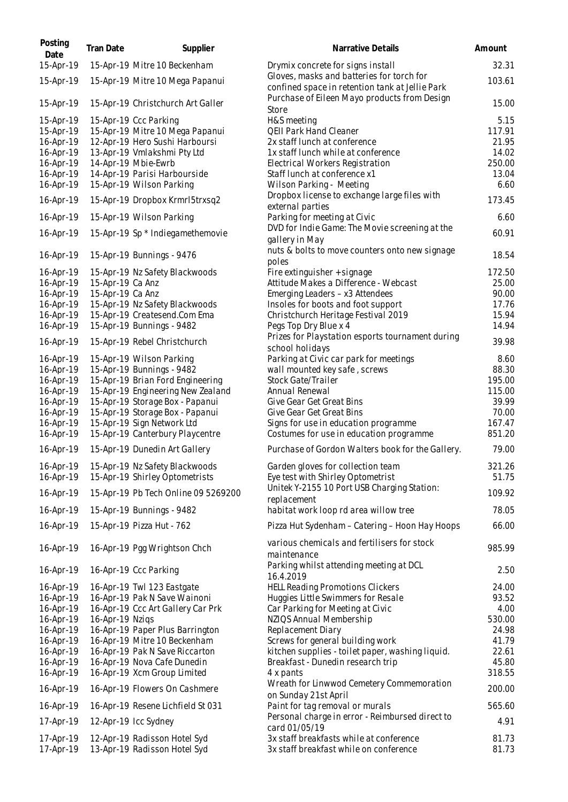| Posting<br>Date        | Tran Date        | Supplier                                                         | Narrative Details                                                                            | Amount          |
|------------------------|------------------|------------------------------------------------------------------|----------------------------------------------------------------------------------------------|-----------------|
| 15-Apr-19              |                  | 15-Apr-19 Mitre 10 Beckenham                                     | Drymix concrete for signs install                                                            | 32.31           |
| 15-Apr-19              |                  | 15-Apr-19 Mitre 10 Mega Papanui                                  | Gloves, masks and batteries for torch for<br>confined space in retention tank at Jellie Park | 103.61          |
| 15-Apr-19              |                  | 15-Apr-19 Christchurch Art Galler                                | Purchase of Eileen Mayo products from Design<br>Store                                        | 15.00           |
| 15-Apr-19              |                  | 15-Apr-19 Ccc Parking                                            | H&S meeting                                                                                  | 5.15            |
| 15-Apr-19              |                  | 15-Apr-19 Mitre 10 Mega Papanui                                  | <b>QEII Park Hand Cleaner</b>                                                                | 117.91          |
| 16-Apr-19              |                  | 12-Apr-19 Hero Sushi Harboursi                                   | 2x staff lunch at conference                                                                 | 21.95           |
| 16-Apr-19              |                  | 13-Apr-19 Vmlakshmi Pty Ltd                                      | 1x staff lunch while at conference                                                           | 14.02           |
| 16-Apr-19              |                  | 14-Apr-19 Mbie-Ewrb                                              | Electrical Workers Registration                                                              | 250.00          |
| 16-Apr-19              |                  | 14-Apr-19 Parisi Harbourside                                     | Staff lunch at conference x1                                                                 | 13.04           |
| 16-Apr-19              |                  | 15-Apr-19 Wilson Parking                                         | Wilson Parking - Meeting                                                                     | 6.60            |
| 16-Apr-19              |                  | 15-Apr-19 Dropbox Krmrl5trxsq2                                   | Dropbox license to exchange large files with<br>external parties                             | 173.45          |
| 16-Apr-19              |                  | 15-Apr-19 Wilson Parking                                         | Parking for meeting at Civic                                                                 | 6.60            |
| 16-Apr-19              |                  | 15-Apr-19 Sp * Indiegamethemovie                                 | DVD for Indie Game: The Movie screening at the<br>gallery in May                             | 60.91           |
| 16-Apr-19              |                  | 15-Apr-19 Bunnings - 9476                                        | nuts & bolts to move counters onto new signage<br>poles                                      | 18.54           |
| 16-Apr-19              |                  | 15-Apr-19 Nz Safety Blackwoods                                   | Fire extinguisher + signage                                                                  | 172.50          |
| 16-Apr-19              | 15-Apr-19 Ca Anz |                                                                  | Attitude Makes a Difference - Webcast                                                        | 25.00           |
| 16-Apr-19              | 15-Apr-19 Ca Anz |                                                                  | Emerging Leaders - x3 Attendees                                                              | 90.00           |
| 16-Apr-19              |                  | 15-Apr-19 Nz Safety Blackwoods                                   | Insoles for boots and foot support                                                           | 17.76           |
| 16-Apr-19              |                  | 15-Apr-19 Createsend.Com Ema                                     | Christchurch Heritage Festival 2019                                                          | 15.94           |
| 16-Apr-19              |                  | 15-Apr-19 Bunnings - 9482                                        | Pegs Top Dry Blue x 4                                                                        | 14.94           |
| 16-Apr-19              |                  | 15-Apr-19 Rebel Christchurch                                     | Prizes for Playstation esports tournament during<br>school holidays                          | 39.98           |
| 16-Apr-19              |                  | 15-Apr-19 Wilson Parking                                         | Parking at Civic car park for meetings                                                       | 8.60            |
| 16-Apr-19              |                  | 15-Apr-19 Bunnings - 9482                                        | wall mounted key safe, screws                                                                | 88.30           |
| 16-Apr-19              |                  | 15-Apr-19 Brian Ford Engineering                                 | Stock Gate/Trailer                                                                           | 195.00          |
| 16-Apr-19              |                  | 15-Apr-19 Engineering New Zealand                                | Annual Renewal                                                                               | 115.00          |
| 16-Apr-19              |                  | 15-Apr-19 Storage Box - Papanui                                  | Give Gear Get Great Bins                                                                     | 39.99           |
| 16-Apr-19              |                  | 15-Apr-19 Storage Box - Papanui                                  | Give Gear Get Great Bins                                                                     | 70.00           |
| 16-Apr-19              |                  | 15-Apr-19 Sign Network Ltd                                       | Signs for use in education programme                                                         | 167.47          |
| 16-Apr-19              |                  | 15-Apr-19 Canterbury Playcentre                                  | Costumes for use in education programme                                                      | 851.20          |
| 16-Apr-19              |                  | 15-Apr-19 Dunedin Art Gallery                                    | Purchase of Gordon Walters book for the Gallery.                                             | 79.00           |
| 16-Apr-19<br>16-Apr-19 |                  | 15-Apr-19 Nz Safety Blackwoods<br>15-Apr-19 Shirley Optometrists | Garden gloves for collection team<br>Eye test with Shirley Optometrist                       | 321.26<br>51.75 |
| 16-Apr-19              |                  | 15-Apr-19 Pb Tech Online 09 5269200                              | Unitek Y-2155 10 Port USB Charging Station:<br>replacement                                   | 109.92          |
| 16-Apr-19              |                  | 15-Apr-19 Bunnings - 9482                                        | habitat work loop rd area willow tree                                                        | 78.05           |
| 16-Apr-19              |                  | 15-Apr-19 Pizza Hut - 762                                        | Pizza Hut Sydenham - Catering - Hoon Hay Hoops                                               | 66.00           |
| 16-Apr-19              |                  | 16-Apr-19 Pgg Wrightson Chch                                     | various chemicals and fertilisers for stock<br>maintenance                                   | 985.99          |
| 16-Apr-19              |                  | 16-Apr-19 Ccc Parking                                            | Parking whilst attending meeting at DCL<br>16.4.2019                                         | 2.50            |
| 16-Apr-19              |                  | 16-Apr-19 Twl 123 Eastgate                                       | <b>HELL Reading Promotions Clickers</b>                                                      | 24.00           |
| 16-Apr-19              |                  | 16-Apr-19 Pak N Save Wainoni                                     | Huggies Little Swimmers for Resale                                                           | 93.52           |
| 16-Apr-19              |                  | 16-Apr-19 Ccc Art Gallery Car Prk                                | Car Parking for Meeting at Civic                                                             | 4.00            |
| 16-Apr-19              | 16-Apr-19 Nziqs  |                                                                  | NZIQS Annual Membership                                                                      | 530.00          |
| 16-Apr-19              |                  | 16-Apr-19 Paper Plus Barrington                                  | Replacement Diary                                                                            | 24.98           |
| 16-Apr-19              |                  | 16-Apr-19 Mitre 10 Beckenham                                     | Screws for general building work                                                             | 41.79           |
| 16-Apr-19              |                  | 16-Apr-19 Pak N Save Riccarton                                   | kitchen supplies - toilet paper, washing liquid.                                             | 22.61           |
| 16-Apr-19              |                  | 16-Apr-19 Nova Cafe Dunedin                                      | Breakfast - Dunedin research trip                                                            | 45.80           |
| 16-Apr-19              |                  | 16-Apr-19 Xcm Group Limited                                      | 4 x pants                                                                                    | 318.55          |
| 16-Apr-19              |                  | 16-Apr-19 Flowers On Cashmere                                    | Wreath for Linwwod Cemetery Commemoration<br>on Sunday 21st April                            | 200.00          |
| 16-Apr-19              |                  | 16-Apr-19 Resene Lichfield St 031                                | Paint for tag removal or murals                                                              | 565.60          |
| 17-Apr-19              |                  | 12-Apr-19 Icc Sydney                                             | Personal charge in error - Reimbursed direct to<br>card 01/05/19                             | 4.91            |
| 17-Apr-19              |                  | 12-Apr-19 Radisson Hotel Syd                                     | 3x staff breakfasts while at conference                                                      | 81.73           |
| 17-Apr-19              |                  | 13-Apr-19 Radisson Hotel Syd                                     | 3x staff breakfast while on conference                                                       | 81.73           |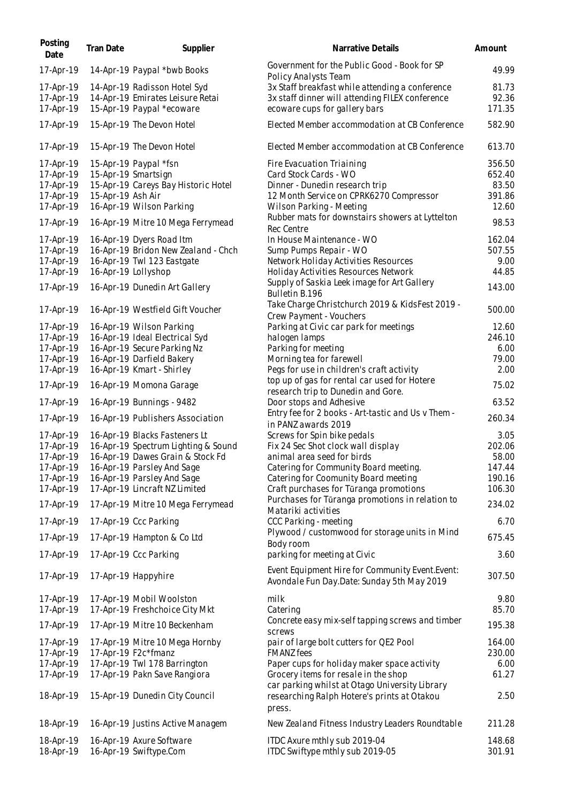| Posting<br>Date                     | Tran Date         | Supplier                                                                                      | Narrative Details                                                                                                                                           | Amount                   |
|-------------------------------------|-------------------|-----------------------------------------------------------------------------------------------|-------------------------------------------------------------------------------------------------------------------------------------------------------------|--------------------------|
| 17-Apr-19                           |                   | 14-Apr-19 Paypal *bwb Books                                                                   | Government for the Public Good - Book for SP                                                                                                                | 49.99                    |
| 17-Apr-19<br>17-Apr-19<br>17-Apr-19 |                   | 14-Apr-19 Radisson Hotel Syd<br>14-Apr-19 Emirates Leisure Retai<br>15-Apr-19 Paypal *ecoware | Policy Analysts Team<br>3x Staff breakfast while attending a conference<br>3x staff dinner will attending FILEX conference<br>ecoware cups for gallery bars | 81.73<br>92.36<br>171.35 |
| 17-Apr-19                           |                   | 15-Apr-19 The Devon Hotel                                                                     | Elected Member accommodation at CB Conference                                                                                                               | 582.90                   |
| 17-Apr-19                           |                   | 15-Apr-19 The Devon Hotel                                                                     | Elected Member accommodation at CB Conference                                                                                                               | 613.70                   |
|                                     |                   |                                                                                               |                                                                                                                                                             | 356.50                   |
| 17-Apr-19<br>17-Apr-19              |                   | 15-Apr-19 Paypal *fsn<br>15-Apr-19 Smartsign                                                  | Fire Evacuation Triaining<br>Card Stock Cards - WO                                                                                                          | 652.40                   |
| 17-Apr-19<br>17-Apr-19<br>17-Apr-19 | 15-Apr-19 Ash Air | 15-Apr-19 Careys Bay Historic Hotel<br>16-Apr-19 Wilson Parking                               | Dinner - Dunedin research trip<br>12 Month Service on CPRK6270 Compressor<br>Wilson Parking - Meeting                                                       | 83.50<br>391.86<br>12.60 |
| 17-Apr-19                           |                   | 16-Apr-19 Mitre 10 Mega Ferrymead                                                             | Rubber mats for downstairs showers at Lyttelton<br>Rec Centre                                                                                               | 98.53                    |
| 17-Apr-19                           |                   | 16-Apr-19 Dyers Road Itm                                                                      | In House Maintenance - WO                                                                                                                                   | 162.04                   |
| 17-Apr-19                           |                   | 16-Apr-19 Bridon New Zealand - Chch                                                           | Sump Pumps Repair - WO                                                                                                                                      | 507.55                   |
| 17-Apr-19<br>17-Apr-19              |                   | 16-Apr-19 Twl 123 Eastgate<br>16-Apr-19 Lollyshop                                             | Network Holiday Activities Resources<br>Holiday Activities Resources Network                                                                                | 9.00<br>44.85            |
| 17-Apr-19                           |                   | 16-Apr-19 Dunedin Art Gallery                                                                 | Supply of Saskia Leek image for Art Gallery                                                                                                                 | 143.00                   |
|                                     |                   |                                                                                               | Bulletin B.196<br>Take Charge Christchurch 2019 & KidsFest 2019 -                                                                                           |                          |
| 17-Apr-19                           |                   | 16-Apr-19 Westfield Gift Voucher                                                              | Crew Payment - Vouchers                                                                                                                                     | 500.00                   |
| 17-Apr-19                           |                   | 16-Apr-19 Wilson Parking                                                                      | Parking at Civic car park for meetings                                                                                                                      | 12.60                    |
| 17-Apr-19<br>17-Apr-19              |                   | 16-Apr-19 Ideal Electrical Syd<br>16-Apr-19 Secure Parking Nz                                 | halogen lamps<br>Parking for meeting                                                                                                                        | 246.10<br>6.00           |
| 17-Apr-19                           |                   | 16-Apr-19 Darfield Bakery                                                                     | Morning tea for farewell                                                                                                                                    | 79.00                    |
| 17-Apr-19                           |                   | 16-Apr-19 Kmart - Shirley                                                                     | Pegs for use in children's craft activity                                                                                                                   | 2.00                     |
| 17-Apr-19                           |                   | 16-Apr-19 Momona Garage                                                                       | top up of gas for rental car used for Hotere                                                                                                                | 75.02                    |
| 17-Apr-19                           |                   | 16-Apr-19 Bunnings - 9482                                                                     | research trip to Dunedin and Gore.<br>Door stops and Adhesive                                                                                               | 63.52                    |
| 17-Apr-19                           |                   | 16-Apr-19 Publishers Association                                                              | Entry fee for 2 books - Art-tastic and Us v Them -                                                                                                          | 260.34                   |
|                                     |                   |                                                                                               | in PANZ awards 2019                                                                                                                                         |                          |
| 17-Apr-19                           |                   | 16-Apr-19 Blacks Fasteners Lt                                                                 | Screws for Spin bike pedals                                                                                                                                 | 3.05                     |
| 17-Apr-19                           |                   | 16-Apr-19 Spectrum Lighting & Sound                                                           | Fix 24 Sec Shot clock wall display                                                                                                                          | 202.06                   |
| 17-Apr-19                           |                   | 16-Apr-19 Dawes Grain & Stock Fd                                                              | animal area seed for birds                                                                                                                                  | 58.00                    |
| 17-Apr-19<br>17-Apr-19              |                   | 16-Apr-19 Parsley And Sage<br>16-Apr-19 Parsley And Sage                                      | Catering for Community Board meeting.                                                                                                                       | 147.44<br>190.16         |
| 17-Apr-19                           |                   | 17-Apr-19 Lincraft NZ Limited                                                                 | Catering for Coomunity Board meeting<br>Craft purchases for Tūranga promotions                                                                              | 106.30                   |
| 17-Apr-19                           |                   | 17-Apr-19 Mitre 10 Mega Ferrymead                                                             | Purchases for Tūranga promotions in relation to                                                                                                             | 234.02                   |
|                                     |                   |                                                                                               | Matariki activities                                                                                                                                         |                          |
| 17-Apr-19                           |                   | 17-Apr-19 Ccc Parking                                                                         | CCC Parking - meeting<br>Plywood / customwood for storage units in Mind                                                                                     | 6.70                     |
| 17-Apr-19                           |                   | 17-Apr-19 Hampton & Co Ltd                                                                    | Body room                                                                                                                                                   | 675.45                   |
| 17-Apr-19                           |                   | 17-Apr-19 Ccc Parking                                                                         | parking for meeting at Civic                                                                                                                                | 3.60                     |
| 17-Apr-19                           |                   | 17-Apr-19 Happyhire                                                                           | Event Equipment Hire for Community Event. Event:<br>Avondale Fun Day.Date: Sunday 5th May 2019                                                              | 307.50                   |
| 17-Apr-19                           |                   | 17-Apr-19 Mobil Woolston                                                                      | milk                                                                                                                                                        | 9.80                     |
| 17-Apr-19                           |                   | 17-Apr-19 Freshchoice City Mkt                                                                | Catering                                                                                                                                                    | 85.70                    |
| 17-Apr-19                           |                   | 17-Apr-19 Mitre 10 Beckenham                                                                  | Concrete easy mix-self tapping screws and timber<br>screws                                                                                                  | 195.38                   |
| 17-Apr-19                           |                   | 17-Apr-19 Mitre 10 Mega Hornby                                                                | pair of large bolt cutters for QE2 Pool                                                                                                                     | 164.00                   |
| 17-Apr-19                           |                   | 17-Apr-19 F2c*fmanz                                                                           | <b>FMANZ</b> fees                                                                                                                                           | 230.00                   |
| 17-Apr-19                           |                   | 17-Apr-19 Twl 178 Barrington                                                                  | Paper cups for holiday maker space activity                                                                                                                 | 6.00                     |
| 17-Apr-19                           |                   | 17-Apr-19 Pakn Save Rangiora                                                                  | Grocery items for resale in the shop<br>car parking whilst at Otago University Library                                                                      | 61.27                    |
| 18-Apr-19                           |                   | 15-Apr-19 Dunedin City Council                                                                | researching Ralph Hotere's prints at Otakou<br>press.                                                                                                       | 2.50                     |
| 18-Apr-19                           |                   | 16-Apr-19 Justins Active Managem                                                              | New Zealand Fitness Industry Leaders Roundtable                                                                                                             | 211.28                   |
| 18-Apr-19<br>18-Apr-19              |                   | 16-Apr-19 Axure Software<br>16-Apr-19 Swiftype.Com                                            | ITDC Axure mthly sub 2019-04<br>ITDC Swiftype mthly sub 2019-05                                                                                             | 148.68<br>301.91         |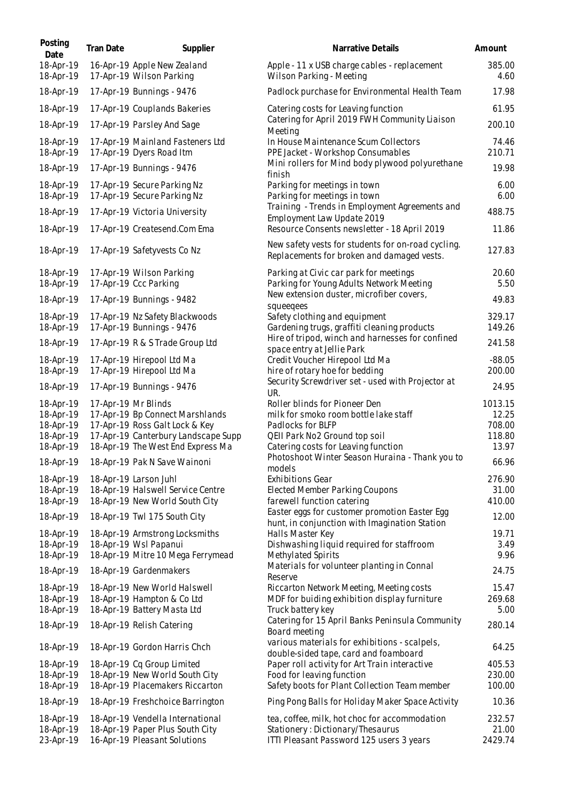| Posting<br>Date        | Tran Date | Supplier                                                          | Narrative Details                                                                                | Amount             |
|------------------------|-----------|-------------------------------------------------------------------|--------------------------------------------------------------------------------------------------|--------------------|
| 18-Apr-19<br>18-Apr-19 |           | 16-Apr-19 Apple New Zealand<br>17-Apr-19 Wilson Parking           | Apple - 11 x USB charge cables - replacement<br>Wilson Parking - Meeting                         | 385.00<br>4.60     |
| 18-Apr-19              |           | 17-Apr-19 Bunnings - 9476                                         | Padlock purchase for Environmental Health Team                                                   | 17.98              |
| 18-Apr-19              |           | 17-Apr-19 Couplands Bakeries                                      | Catering costs for Leaving function                                                              | 61.95              |
| 18-Apr-19              |           | 17-Apr-19 Parsley And Sage                                        | Catering for April 2019 FWH Community Liaison<br>Meeting                                         | 200.10             |
| 18-Apr-19<br>18-Apr-19 |           | 17-Apr-19 Mainland Fasteners Ltd<br>17-Apr-19 Dyers Road Itm      | In House Maintenance Scum Collectors<br>PPE Jacket - Workshop Consumables                        | 74.46<br>210.71    |
| 18-Apr-19              |           | 17-Apr-19 Bunnings - 9476                                         | Mini rollers for Mind body plywood polyurethane<br>finish                                        | 19.98              |
| 18-Apr-19<br>18-Apr-19 |           | 17-Apr-19 Secure Parking Nz<br>17-Apr-19 Secure Parking Nz        | Parking for meetings in town<br>Parking for meetings in town                                     | 6.00<br>6.00       |
| 18-Apr-19              |           | 17-Apr-19 Victoria University                                     | Training - Trends in Employment Agreements and<br>Employment Law Update 2019                     | 488.75             |
| 18-Apr-19              |           | 17-Apr-19 Createsend.Com Ema                                      | Resource Consents newsletter - 18 April 2019                                                     | 11.86              |
| 18-Apr-19              |           | 17-Apr-19 Safetyvests Co Nz                                       | New safety vests for students for on-road cycling.<br>Replacements for broken and damaged vests. | 127.83             |
| 18-Apr-19<br>18-Apr-19 |           | 17-Apr-19 Wilson Parking<br>17-Apr-19 Ccc Parking                 | Parking at Civic car park for meetings<br>Parking for Young Adults Network Meeting               | 20.60<br>5.50      |
| 18-Apr-19              |           | 17-Apr-19 Bunnings - 9482                                         | New extension duster, microfiber covers,<br>squeeqees                                            | 49.83              |
| 18-Apr-19              |           | 17-Apr-19 Nz Safety Blackwoods                                    | Safety clothing and equipment                                                                    | 329.17             |
| 18-Apr-19              |           | 17-Apr-19 Bunnings - 9476                                         | Gardening trugs, graffiti cleaning products<br>Hire of tripod, winch and harnesses for confined  | 149.26             |
| 18-Apr-19              |           | 17-Apr-19 R & S Trade Group Ltd                                   | space entry at Jellie Park                                                                       | 241.58             |
| 18-Apr-19<br>18-Apr-19 |           | 17-Apr-19 Hirepool Ltd Ma<br>17-Apr-19 Hirepool Ltd Ma            | Credit Voucher Hirepool Ltd Ma<br>hire of rotary hoe for bedding                                 | $-88.05$<br>200.00 |
| 18-Apr-19              |           | 17-Apr-19 Bunnings - 9476                                         | Security Screwdriver set - used with Projector at<br>UR.                                         | 24.95              |
| 18-Apr-19              |           | 17-Apr-19 Mr Blinds                                               | Roller blinds for Pioneer Den                                                                    | 1013.15            |
| 18-Apr-19<br>18-Apr-19 |           | 17-Apr-19 Bp Connect Marshlands<br>17-Apr-19 Ross Galt Lock & Key | milk for smoko room bottle lake staff<br>Padlocks for BLFP                                       | 12.25<br>708.00    |
| 18-Apr-19              |           | 17-Apr-19 Canterbury Landscape Supp                               | QEII Park No2 Ground top soil                                                                    | 118.80             |
| 18-Apr-19              |           | 18-Apr-19 The West End Express Ma                                 | Catering costs for Leaving function                                                              | 13.97              |
| 18-Apr-19              |           | 18-Apr-19 Pak N Save Wainoni                                      | Photoshoot Winter Season Huraina - Thank you to<br>models                                        | 66.96              |
| 18-Apr-19              |           | 18-Apr-19 Larson Juhl                                             | <b>Exhibitions Gear</b>                                                                          | 276.90             |
| 18-Apr-19              |           | 18-Apr-19 Halswell Service Centre                                 | Elected Member Parking Coupons                                                                   | 31.00              |
| 18-Apr-19              |           | 18-Apr-19 New World South City                                    | farewell function catering                                                                       | 410.00             |
| 18-Apr-19              |           | 18-Apr-19 Twl 175 South City                                      | Easter eggs for customer promotion Easter Egg<br>hunt, in conjunction with Imagination Station   | 12.00              |
| 18-Apr-19              |           | 18-Apr-19 Armstrong Locksmiths                                    | Halls Master Key                                                                                 | 19.71              |
| 18-Apr-19              |           | 18-Apr-19 Wsl Papanui                                             | Dishwashing liquid required for staffroom                                                        | 3.49               |
| 18-Apr-19<br>18-Apr-19 |           | 18-Apr-19 Mitre 10 Mega Ferrymead<br>18-Apr-19 Gardenmakers       | Methylated Spirits<br>Materials for volunteer planting in Connal                                 | 9.96<br>24.75      |
|                        |           |                                                                   | Reserve                                                                                          |                    |
| 18-Apr-19              |           | 18-Apr-19 New World Halswell                                      | Riccarton Network Meeting, Meeting costs                                                         | 15.47              |
| 18-Apr-19<br>18-Apr-19 |           | 18-Apr-19 Hampton & Co Ltd<br>18-Apr-19 Battery Masta Ltd         | MDF for buiding exhibition display furniture<br>Truck battery key                                | 269.68<br>5.00     |
| 18-Apr-19              |           | 18-Apr-19 Relish Catering                                         | Catering for 15 April Banks Peninsula Community<br>Board meeting                                 | 280.14             |
| 18-Apr-19              |           | 18-Apr-19 Gordon Harris Chch                                      | various materials for exhibitions - scalpels,<br>double-sided tape, card and foamboard           | 64.25              |
| 18-Apr-19              |           | 18-Apr-19 Cq Group Limited                                        | Paper roll activity for Art Train interactive                                                    | 405.53             |
| 18-Apr-19              |           | 18-Apr-19 New World South City                                    | Food for leaving function                                                                        | 230.00             |
| 18-Apr-19              |           | 18-Apr-19 Placemakers Riccarton                                   | Safety boots for Plant Collection Team member                                                    | 100.00             |
| 18-Apr-19              |           | 18-Apr-19 Freshchoice Barrington                                  | Ping Pong Balls for Holiday Maker Space Activity                                                 | 10.36              |
| 18-Apr-19              |           | 18-Apr-19 Vendella International                                  | tea, coffee, milk, hot choc for accommodation                                                    | 232.57             |
| 18-Apr-19<br>23-Apr-19 |           | 18-Apr-19 Paper Plus South City<br>16-Apr-19 Pleasant Solutions   | Stationery: Dictionary/Thesaurus<br>ITTI Pleasant Password 125 users 3 years                     | 21.00<br>2429.74   |

| Narrative Details                                                                                                                                                                                                      | Amount                                                 |
|------------------------------------------------------------------------------------------------------------------------------------------------------------------------------------------------------------------------|--------------------------------------------------------|
| Apple - 11 x USB charge cables - replacement<br>Wilson Parking - Meeting                                                                                                                                               | 385.00<br>4.60                                         |
| Padlock purchase for Environmental Health Team                                                                                                                                                                         | 17.98                                                  |
| Catering costs for Leaving function<br>Catering for April 2019 FWH Community Liaison<br>Meeting                                                                                                                        | 61.95<br>200.10                                        |
| In House Maintenance Scum Collectors<br>PPE Jacket - Workshop Consumables<br>Mini rollers for Mind body plywood polyurethane<br>finish                                                                                 | 74.46<br>210.71<br>19.98                               |
| Parking for meetings in town<br>Parking for meetings in town<br>Training - Trends in Employment Agreements and<br>Employment Law Update 2019                                                                           | 6.00<br>6.00<br>488.75                                 |
| Resource Consents newsletter - 18 April 2019                                                                                                                                                                           | 11.86                                                  |
| New safety vests for students for on-road cycling.<br>Replacements for broken and damaged vests.                                                                                                                       | 127.83                                                 |
| Parking at Civic car park for meetings<br>Parking for Young Adults Network Meeting<br>New extension duster, microfiber covers,                                                                                         | 20.60<br>5.50<br>49.83                                 |
| squeeqees<br>Safety clothing and equipment<br>Gardening trugs, graffiti cleaning products<br>Hire of tripod, winch and harnesses for confined                                                                          | 329.17<br>149.26<br>241.58                             |
| space entry at Jellie Park<br>Credit Voucher Hirepool Ltd Ma<br>hire of rotary hoe for bedding                                                                                                                         | $-88.05$<br>200.00                                     |
| Security Screwdriver set - used with Projector at<br>UR.                                                                                                                                                               | 24.95                                                  |
| Roller blinds for Pioneer Den<br>milk for smoko room bottle lake staff<br>Padlocks for BLFP<br>QEII Park No2 Ground top soil<br>Catering costs for Leaving function<br>Photoshoot Winter Season Huraina - Thank you to | 1013.15<br>12.25<br>708.00<br>118.80<br>13.97<br>66.96 |
| models<br><b>Exhibitions Gear</b><br><b>Elected Member Parking Coupons</b>                                                                                                                                             | 276.90<br>31.00                                        |
| farewell function catering<br>Easter eggs for customer promotion Easter Egg                                                                                                                                            | 410.00<br>12.00                                        |
| hunt, in conjunction with Imagination Station<br>Halls Master Key<br>Dishwashing liquid required for staffroom<br>Methylated Spirits                                                                                   | 19.71<br>3.49<br>9.96                                  |
| Materials for volunteer planting in Connal<br>Reserve                                                                                                                                                                  | 24.75                                                  |
| Riccarton Network Meeting, Meeting costs<br>MDF for buiding exhibition display furniture<br>Truck battery key                                                                                                          | 15.47<br>269.68<br>5.00                                |
| Catering for 15 April Banks Peninsula Community<br>Board meeting                                                                                                                                                       | 280.14                                                 |
| various materials for exhibitions - scalpels,<br>double-sided tape, card and foamboard                                                                                                                                 | 64.25                                                  |
| Paper roll activity for Art Train interactive<br>Food for leaving function<br>Safety boots for Plant Collection Team member                                                                                            | 405.53<br>230.00<br>100.00                             |
| Ping Pong Balls for Holiday Maker Space Activity                                                                                                                                                                       | 10.36                                                  |
| tea, coffee, milk, hot choc for accommodation<br>Stationery: Dictionary/Thesaurus<br>ITTI Pleasant Password 125 users 3 years                                                                                          | 232.57<br>21.00<br>2429.74                             |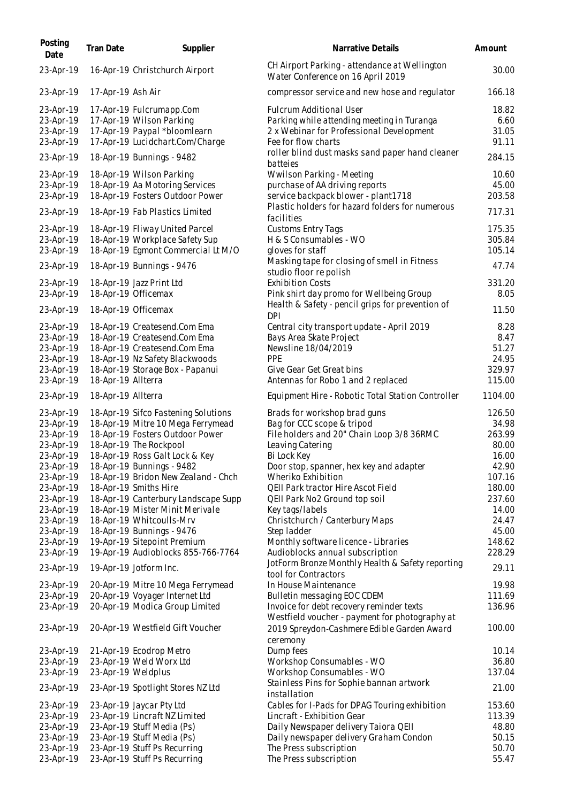| Posting<br>Date        | Tran Date          | Supplier                                                            | Narrative Details                                                                  | Amount           |
|------------------------|--------------------|---------------------------------------------------------------------|------------------------------------------------------------------------------------|------------------|
| 23-Apr-19              |                    | 16-Apr-19 Christchurch Airport                                      | CH Airport Parking - attendance at Wellington<br>Water Conference on 16 April 2019 | 30.00            |
| 23-Apr-19              | 17-Apr-19 Ash Air  |                                                                     | compressor service and new hose and regulator                                      | 166.18           |
| 23-Apr-19              |                    | 17-Apr-19 Fulcrumapp.Com                                            | <b>Fulcrum Additional User</b>                                                     | 18.82            |
| 23-Apr-19              |                    | 17-Apr-19 Wilson Parking                                            | Parking while attending meeting in Turanga                                         | 6.60             |
| 23-Apr-19              |                    | 17-Apr-19 Paypal *bloomlearn                                        | 2 x Webinar for Professional Development                                           | 31.05            |
| 23-Apr-19              |                    | 17-Apr-19 Lucidchart.Com/Charge                                     | Fee for flow charts                                                                | 91.11            |
| 23-Apr-19              |                    | 18-Apr-19 Bunnings - 9482                                           | roller blind dust masks sand paper hand cleaner<br>batteies                        | 284.15           |
| 23-Apr-19              |                    | 18-Apr-19 Wilson Parking                                            | Wwilson Parking - Meeting                                                          | 10.60            |
| 23-Apr-19              |                    | 18-Apr-19 Aa Motoring Services                                      | purchase of AA driving reports                                                     | 45.00            |
| 23-Apr-19              |                    | 18-Apr-19 Fosters Outdoor Power                                     | service backpack blower - plant1718                                                | 203.58           |
| 23-Apr-19              |                    | 18-Apr-19 Fab Plastics Limited                                      | Plastic holders for hazard folders for numerous                                    | 717.31           |
|                        |                    |                                                                     | facilities                                                                         |                  |
| 23-Apr-19              |                    | 18-Apr-19 Fliway United Parcel                                      | <b>Customs Entry Tags</b>                                                          | 175.35           |
| 23-Apr-19              |                    | 18-Apr-19 Workplace Safety Sup                                      | H & S Consumables - WO                                                             | 305.84           |
| 23-Apr-19              |                    | 18-Apr-19 Eqmont Commercial Lt M/O                                  | gloves for staff                                                                   | 105.14           |
| 23-Apr-19              |                    | 18-Apr-19 Bunnings - 9476                                           | Masking tape for closing of smell in Fitness                                       | 47.74            |
|                        |                    |                                                                     | studio floor re polish                                                             |                  |
| 23-Apr-19              |                    | 18-Apr-19 Jazz Print Ltd                                            | <b>Exhibition Costs</b>                                                            | 331.20           |
| 23-Apr-19              |                    | 18-Apr-19 Officemax                                                 | Pink shirt day promo for Wellbeing Group                                           | 8.05             |
| 23-Apr-19              |                    | 18-Apr-19 Officemax                                                 | Health & Safety - pencil grips for prevention of<br><b>DPI</b>                     | 11.50            |
| 23-Apr-19              |                    | 18-Apr-19 Createsend.Com Ema                                        | Central city transport update - April 2019                                         | 8.28             |
| 23-Apr-19              |                    | 18-Apr-19 Createsend.Com Ema                                        | Bays Area Skate Project                                                            | 8.47             |
| 23-Apr-19              |                    | 18-Apr-19 Createsend.Com Ema                                        | Newsline 18/04/2019                                                                | 51.27            |
| 23-Apr-19              |                    | 18-Apr-19 Nz Safety Blackwoods                                      | PPE                                                                                | 24.95            |
| 23-Apr-19              |                    | 18-Apr-19 Storage Box - Papanui                                     | Give Gear Get Great bins                                                           | 329.97           |
| 23-Apr-19              | 18-Apr-19 Allterra |                                                                     | Antennas for Robo 1 and 2 replaced                                                 | 115.00           |
| 23-Apr-19              | 18-Apr-19 Allterra |                                                                     | Equipment Hire - Robotic Total Station Controller                                  | 1104.00          |
| 23-Apr-19              |                    | 18-Apr-19 Sifco Fastening Solutions                                 | Brads for workshop brad guns                                                       | 126.50           |
| 23-Apr-19              |                    | 18-Apr-19 Mitre 10 Mega Ferrymead                                   | Bag for CCC scope & tripod                                                         | 34.98            |
| 23-Apr-19              |                    | 18-Apr-19 Fosters Outdoor Power                                     | File holders and 20" Chain Loop 3/8 36RMC                                          | 263.99           |
| 23-Apr-19              |                    | 18-Apr-19 The Rockpool                                              | Leaving Catering                                                                   | 80.00            |
| 23-Apr-19              |                    | 18-Apr-19 Ross Galt Lock & Key                                      | Bi Lock Key                                                                        | 16.00            |
| 23-Apr-19              |                    | 18-Apr-19 Bunnings - 9482                                           | Door stop, spanner, hex key and adapter                                            | 42.90            |
| 23-Apr-19              |                    | 18-Apr-19 Bridon New Zealand - Chch                                 | Wheriko Exhibition                                                                 | 107.16           |
| 23-Apr-19              |                    | 18-Apr-19 Smiths Hire                                               | QEII Park tractor Hire Ascot Field                                                 | 180.00           |
| 23-Apr-19              |                    | 18-Apr-19 Canterbury Landscape Supp                                 | QEII Park No2 Ground top soil                                                      | 237.60           |
| 23-Apr-19              |                    | 18-Apr-19 Mister Minit Merivale                                     | Key tags/labels                                                                    | 14.00            |
| 23-Apr-19              |                    | 18-Apr-19 Whitcoulls-Mrv                                            | Christchurch / Canterbury Maps                                                     | 24.47            |
| 23-Apr-19              |                    | 18-Apr-19 Bunnings - 9476                                           | Step ladder                                                                        | 45.00            |
| 23-Apr-19              |                    | 19-Apr-19 Sitepoint Premium                                         | Monthly software licence - Libraries                                               | 148.62           |
| 23-Apr-19              |                    | 19-Apr-19 Audioblocks 855-766-7764                                  | Audioblocks annual subscription                                                    | 228.29           |
| 23-Apr-19              |                    | 19-Apr-19 Jotform Inc.                                              | JotForm Bronze Monthly Health & Safety reporting                                   | 29.11            |
|                        |                    |                                                                     | tool for Contractors                                                               |                  |
| 23-Apr-19              |                    | 20-Apr-19 Mitre 10 Mega Ferrymead<br>20-Apr-19 Voyager Internet Ltd | In House Maintenance                                                               | 19.98            |
| 23-Apr-19<br>23-Apr-19 |                    | 20-Apr-19 Modica Group Limited                                      | Bulletin messaging EOC CDEM<br>Invoice for debt recovery reminder texts            | 111.69<br>136.96 |
|                        |                    |                                                                     | Westfield voucher - payment for photography at                                     |                  |
| 23-Apr-19              |                    | 20-Apr-19 Westfield Gift Voucher                                    | 2019 Spreydon-Cashmere Edible Garden Award                                         | 100.00           |
| 23-Apr-19              |                    | 21-Apr-19 Ecodrop Metro                                             | ceremony<br>Dump fees                                                              | 10.14            |
| 23-Apr-19              |                    | 23-Apr-19 Weld Worx Ltd                                             | Workshop Consumables - WO                                                          | 36.80            |
| 23-Apr-19              |                    | 23-Apr-19 Weldplus                                                  | Workshop Consumables - WO                                                          | 137.04           |
| 23-Apr-19              |                    | 23-Apr-19 Spotlight Stores NZ Ltd                                   | Stainless Pins for Sophie bannan artwork                                           | 21.00            |
|                        |                    |                                                                     | installation                                                                       |                  |
| 23-Apr-19              |                    | 23-Apr-19 Jaycar Pty Ltd                                            | Cables for I-Pads for DPAG Touring exhibition                                      | 153.60           |
| 23-Apr-19              |                    | 23-Apr-19 Lincraft NZ Limited<br>23-Apr-19 Stuff Media (Ps)         | Lincraft - Exhibition Gear<br>Daily Newspaper delivery Taiora QEII                 | 113.39           |
| 23-Apr-19<br>23-Apr-19 |                    | 23-Apr-19 Stuff Media (Ps)                                          | Daily newspaper delivery Graham Condon                                             | 48.80<br>50.15   |
| 23-Apr-19              |                    | 23-Apr-19 Stuff Ps Recurring                                        | The Press subscription                                                             | 50.70            |
| 23-Apr-19              |                    | 23-Apr-19 Stuff Ps Recurring                                        | The Press subscription                                                             | 55.47            |
|                        |                    |                                                                     |                                                                                    |                  |